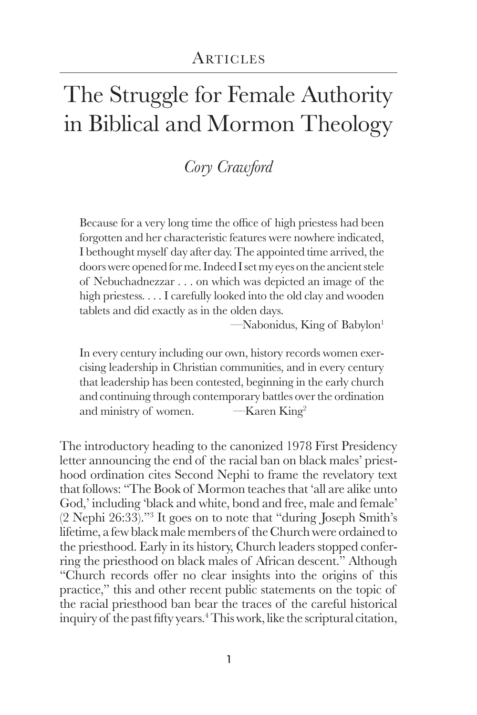# The Struggle for Female Authority in Biblical and Mormon Theology

## *Cory Crawford*

Because for a very long time the office of high priestess had been forgotten and her characteristic features were nowhere indicated, I bethought myself day after day. The appointed time arrived, the doors were opened for me. Indeed I set my eyes on the ancient stele of Nebuchadnezzar . . . on which was depicted an image of the high priestess. . . . I carefully looked into the old clay and wooden tablets and did exactly as in the olden days.

 $-Mabonidus$ , King of Babylon<sup>1</sup>

In every century including our own, history records women exercising leadership in Christian communities, and in every century that leadership has been contested, beginning in the early church and continuing through contemporary battles over the ordination and ministry of women.  $\overline{\phantom{a}}$   $\overline{\phantom{a}}$   $\overline{\phantom{a}}$   $\overline{\phantom{a}}$   $\overline{\phantom{a}}$   $\overline{\phantom{a}}$   $\overline{\phantom{a}}$   $\overline{\phantom{a}}$   $\overline{\phantom{a}}$   $\overline{\phantom{a}}$   $\overline{\phantom{a}}$   $\overline{\phantom{a}}$   $\overline{\phantom{a}}$   $\overline{\phantom{a}}$   $\overline{\phantom{a}}$   $\overline{\phantom{a}}$   $\overline{\phant$ 

The introductory heading to the canonized 1978 First Presidency letter announcing the end of the racial ban on black males' priesthood ordination cites Second Nephi to frame the revelatory text that follows: "The Book of Mormon teaches that 'all are alike unto God,' including 'black and white, bond and free, male and female' (2 Nephi 26:33)."<sup>3</sup> It goes on to note that "during Joseph Smith's lifetime, a few black male members of the Church were ordained to the priesthood. Early in its history, Church leaders stopped conferring the priesthood on black males of African descent." Although "Church records offer no clear insights into the origins of this practice," this and other recent public statements on the topic of the racial priesthood ban bear the traces of the careful historical inquiry of the past fifty years.4 This work, like the scriptural citation,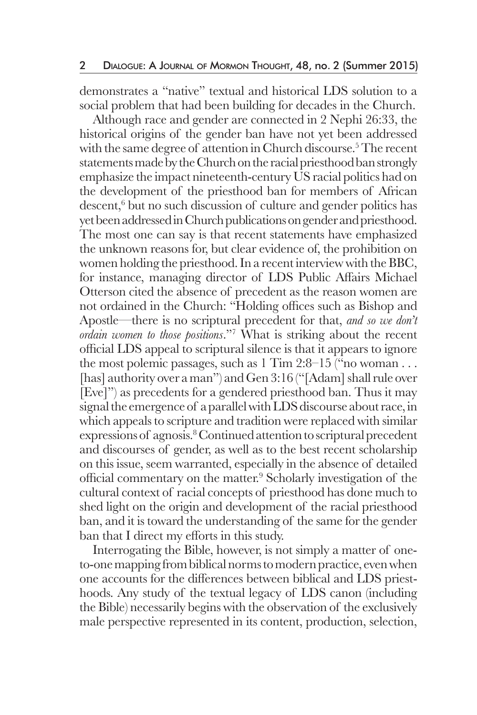demonstrates a "native" textual and historical LDS solution to a social problem that had been building for decades in the Church.

 Although race and gender are connected in 2 Nephi 26:33, the historical origins of the gender ban have not yet been addressed with the same degree of attention in Church discourse.<sup>5</sup> The recent statements made by the Church on the racial priesthood ban strongly emphasize the impact nineteenth-century US racial politics had on the development of the priesthood ban for members of African descent,<sup>6</sup> but no such discussion of culture and gender politics has yet been addressed in Church publications on gender and priesthood. The most one can say is that recent statements have emphasized the unknown reasons for, but clear evidence of, the prohibition on women holding the priesthood. In a recent interview with the BBC, for instance, managing director of LDS Public Affairs Michael Otterson cited the absence of precedent as the reason women are not ordained in the Church: "Holding offices such as Bishop and Apostle—there is no scriptural precedent for that, *and so we don't ordain women to those positions*."7 What is striking about the recent official LDS appeal to scriptural silence is that it appears to ignore the most polemic passages, such as  $1$  Tim  $2:8-15$  ("no woman ... [has] authority over a man") and Gen 3:16 ("[Adam] shall rule over [Eve]") as precedents for a gendered priesthood ban. Thus it may signal the emergence of a parallel with LDS discourse about race, in which appeals to scripture and tradition were replaced with similar expressions of agnosis.<sup>8</sup> Continued attention to scriptural precedent and discourses of gender, as well as to the best recent scholarship on this issue, seem warranted, especially in the absence of detailed official commentary on the matter.<sup>9</sup> Scholarly investigation of the cultural context of racial concepts of priesthood has done much to shed light on the origin and development of the racial priesthood ban, and it is toward the understanding of the same for the gender ban that I direct my efforts in this study.

 Interrogating the Bible, however, is not simply a matter of oneto-one mapping from biblical norms to modern practice, even when one accounts for the differences between biblical and LDS priesthoods. Any study of the textual legacy of LDS canon (including the Bible) necessarily begins with the observation of the exclusively male perspective represented in its content, production, selection,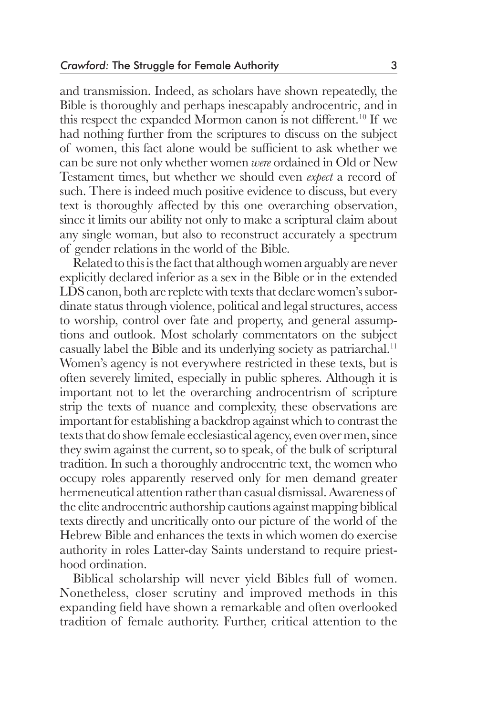and transmission. Indeed, as scholars have shown repeatedly, the Bible is thoroughly and perhaps inescapably androcentric, and in this respect the expanded Mormon canon is not different.<sup>10</sup> If we had nothing further from the scriptures to discuss on the subject of women, this fact alone would be sufficient to ask whether we can be sure not only whether women *were* ordained in Old or New Testament times, but whether we should even *expect* a record of such. There is indeed much positive evidence to discuss, but every text is thoroughly affected by this one overarching observation, since it limits our ability not only to make a scriptural claim about any single woman, but also to reconstruct accurately a spectrum of gender relations in the world of the Bible.

 Related to this is the fact that although women arguably are never explicitly declared inferior as a sex in the Bible or in the extended LDS canon, both are replete with texts that declare women's subordinate status through violence, political and legal structures, access to worship, control over fate and property, and general assumptions and outlook. Most scholarly commentators on the subject casually label the Bible and its underlying society as patriarchal.11 Women's agency is not everywhere restricted in these texts, but is often severely limited, especially in public spheres. Although it is important not to let the overarching androcentrism of scripture strip the texts of nuance and complexity, these observations are important for establishing a backdrop against which to contrast the texts that do show female ecclesiastical agency, even over men, since they swim against the current, so to speak, of the bulk of scriptural tradition. In such a thoroughly androcentric text, the women who occupy roles apparently reserved only for men demand greater hermeneutical attention rather than casual dismissal. Awareness of the elite androcentric authorship cautions against mapping biblical texts directly and uncritically onto our picture of the world of the Hebrew Bible and enhances the texts in which women do exercise authority in roles Latter-day Saints understand to require priesthood ordination.

 Biblical scholarship will never yield Bibles full of women. Nonetheless, closer scrutiny and improved methods in this expanding field have shown a remarkable and often overlooked tradition of female authority. Further, critical attention to the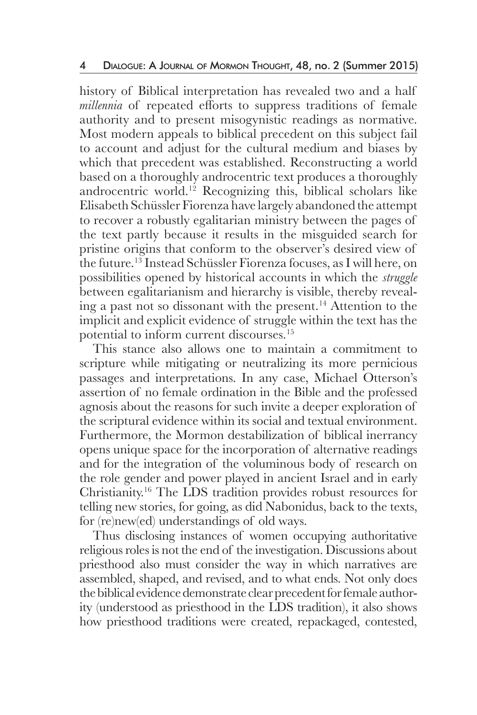history of Biblical interpretation has revealed two and a half *millennia* of repeated efforts to suppress traditions of female authority and to present misogynistic readings as normative. Most modern appeals to biblical precedent on this subject fail to account and adjust for the cultural medium and biases by which that precedent was established. Reconstructing a world based on a thoroughly androcentric text produces a thoroughly androcentric world.12 Recognizing this, biblical scholars like Elisabeth Schüssler Fiorenza have largely abandoned the attempt to recover a robustly egalitarian ministry between the pages of the text partly because it results in the misguided search for pristine origins that conform to the observer's desired view of the future.13 Instead Schüssler Fiorenza focuses, as I will here, on possibilities opened by historical accounts in which the *struggle*  between egalitarianism and hierarchy is visible, thereby revealing a past not so dissonant with the present.14 Attention to the implicit and explicit evidence of struggle within the text has the potential to inform current discourses.15

 This stance also allows one to maintain a commitment to scripture while mitigating or neutralizing its more pernicious passages and interpretations. In any case, Michael Otterson's assertion of no female ordination in the Bible and the professed agnosis about the reasons for such invite a deeper exploration of the scriptural evidence within its social and textual environment. Furthermore, the Mormon destabilization of biblical inerrancy opens unique space for the incorporation of alternative readings and for the integration of the voluminous body of research on the role gender and power played in ancient Israel and in early Christianity.16 The LDS tradition provides robust resources for telling new stories, for going, as did Nabonidus, back to the texts, for (re)new(ed) understandings of old ways.

 Thus disclosing instances of women occupying authoritative religious roles is not the end of the investigation. Discussions about priesthood also must consider the way in which narratives are assembled, shaped, and revised, and to what ends. Not only does the biblical evidence demonstrate clear precedent for female authority (understood as priesthood in the LDS tradition), it also shows how priesthood traditions were created, repackaged, contested,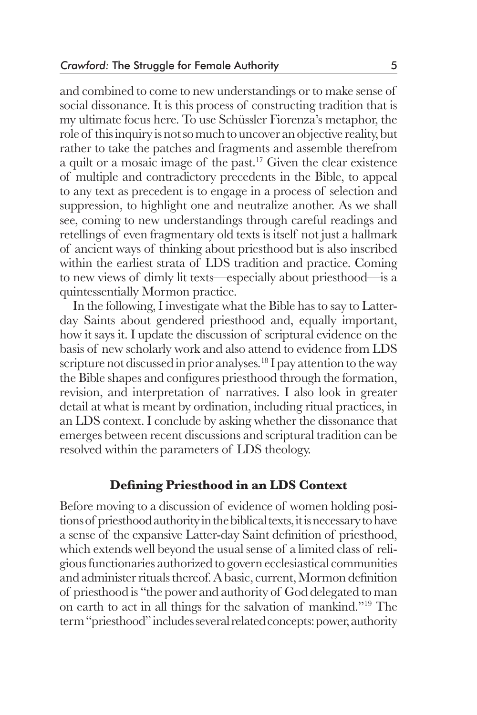and combined to come to new understandings or to make sense of social dissonance. It is this process of constructing tradition that is my ultimate focus here. To use Schüssler Fiorenza's metaphor, the role of this inquiry is not so much to uncover an objective reality, but rather to take the patches and fragments and assemble therefrom a quilt or a mosaic image of the past.17 Given the clear existence of multiple and contradictory precedents in the Bible, to appeal to any text as precedent is to engage in a process of selection and suppression, to highlight one and neutralize another. As we shall see, coming to new understandings through careful readings and retellings of even fragmentary old texts is itself not just a hallmark of ancient ways of thinking about priesthood but is also inscribed within the earliest strata of LDS tradition and practice. Coming to new views of dimly lit texts—especially about priesthood—is a quintessentially Mormon practice.

 In the following, I investigate what the Bible has to say to Latterday Saints about gendered priesthood and, equally important, how it says it. I update the discussion of scriptural evidence on the basis of new scholarly work and also attend to evidence from LDS scripture not discussed in prior analyses.<sup>18</sup> I pay attention to the way the Bible shapes and configures priesthood through the formation, revision, and interpretation of narratives. I also look in greater detail at what is meant by ordination, including ritual practices, in an LDS context. I conclude by asking whether the dissonance that emerges between recent discussions and scriptural tradition can be resolved within the parameters of LDS theology.

### **Defining Priesthood in an LDS Context**

Before moving to a discussion of evidence of women holding positions of priesthood authority in the biblical texts, it is necessary to have a sense of the expansive Latter-day Saint definition of priesthood, which extends well beyond the usual sense of a limited class of religious functionaries authorized to govern ecclesiastical communities and administer rituals thereof. A basic, current, Mormon definition of priesthood is "the power and authority of God delegated to man on earth to act in all things for the salvation of mankind."19 The term "priesthood" includes several related concepts: power, authority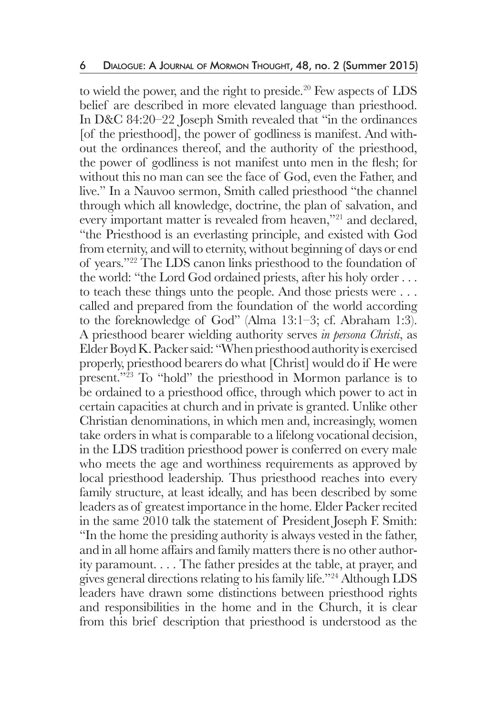to wield the power, and the right to preside.<sup>20</sup> Few aspects of LDS belief are described in more elevated language than priesthood. In D&C 84:20–22 Joseph Smith revealed that "in the ordinances [of the priesthood], the power of godliness is manifest. And without the ordinances thereof, and the authority of the priesthood, the power of godliness is not manifest unto men in the flesh; for without this no man can see the face of God, even the Father, and live." In a Nauvoo sermon, Smith called priesthood "the channel through which all knowledge, doctrine, the plan of salvation, and every important matter is revealed from heaven,"<sup>21</sup> and declared, "the Priesthood is an everlasting principle, and existed with God from eternity, and will to eternity, without beginning of days or end of years."22 The LDS canon links priesthood to the foundation of the world: "the Lord God ordained priests, after his holy order . . . to teach these things unto the people. And those priests were . . . called and prepared from the foundation of the world according to the foreknowledge of God" (Alma 13:1–3; cf. Abraham 1:3). A priesthood bearer wielding authority serves *in persona Christi*, as Elder Boyd K. Packer said: "When priesthood authority is exercised properly, priesthood bearers do what [Christ] would do if He were present."23 To "hold" the priesthood in Mormon parlance is to be ordained to a priesthood office, through which power to act in certain capacities at church and in private is granted. Unlike other Christian denominations, in which men and, increasingly, women take orders in what is comparable to a lifelong vocational decision, in the LDS tradition priesthood power is conferred on every male who meets the age and worthiness requirements as approved by local priesthood leadership. Thus priesthood reaches into every family structure, at least ideally, and has been described by some leaders as of greatest importance in the home. Elder Packer recited in the same 2010 talk the statement of President Joseph F. Smith: "In the home the presiding authority is always vested in the father, and in all home affairs and family matters there is no other authority paramount. . . . The father presides at the table, at prayer, and gives general directions relating to his family life."24 Although LDS leaders have drawn some distinctions between priesthood rights and responsibilities in the home and in the Church, it is clear from this brief description that priesthood is understood as the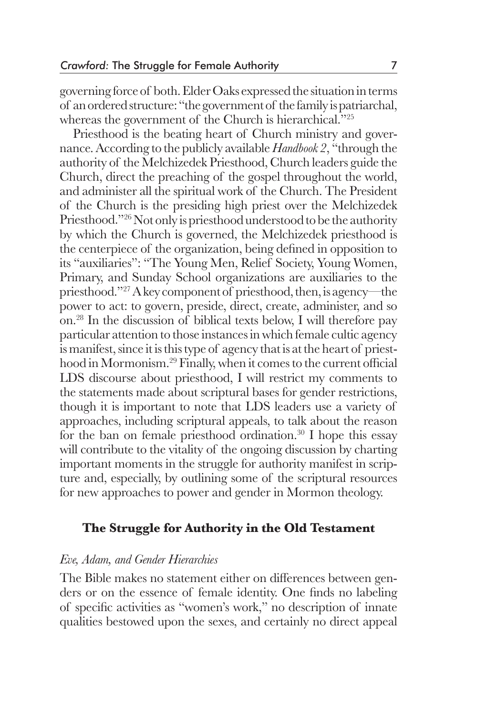governing force of both. Elder Oaks expressed the situation in terms of an ordered structure: "the government of the family is patriarchal, whereas the government of the Church is hierarchical."25

 Priesthood is the beating heart of Church ministry and governance. According to the publicly available *Handbook 2*, "through the authority of the Melchizedek Priesthood, Church leaders guide the Church, direct the preaching of the gospel throughout the world, and administer all the spiritual work of the Church. The President of the Church is the presiding high priest over the Melchizedek Priesthood."26 Not only is priesthood understood to be the authority by which the Church is governed, the Melchizedek priesthood is the centerpiece of the organization, being defined in opposition to its "auxiliaries": "The Young Men, Relief Society, Young Women, Primary, and Sunday School organizations are auxiliaries to the priesthood."27 A key component of priesthood, then, is agency—the power to act: to govern, preside, direct, create, administer, and so on.28 In the discussion of biblical texts below, I will therefore pay particular attention to those instances in which female cultic agency is manifest, since it is this type of agency that is at the heart of priesthood in Mormonism.<sup>29</sup> Finally, when it comes to the current official LDS discourse about priesthood, I will restrict my comments to the statements made about scriptural bases for gender restrictions, though it is important to note that LDS leaders use a variety of approaches, including scriptural appeals, to talk about the reason for the ban on female priesthood ordination.30 I hope this essay will contribute to the vitality of the ongoing discussion by charting important moments in the struggle for authority manifest in scripture and, especially, by outlining some of the scriptural resources for new approaches to power and gender in Mormon theology.

## **The Struggle for Authority in the Old Testament**

### *Eve, Adam, and Gender Hierarchies*

The Bible makes no statement either on differences between genders or on the essence of female identity. One finds no labeling of specific activities as "women's work," no description of innate qualities bestowed upon the sexes, and certainly no direct appeal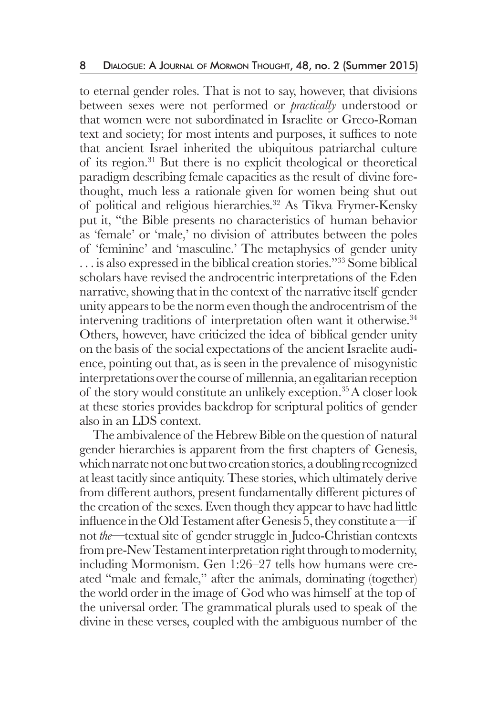to eternal gender roles. That is not to say, however, that divisions between sexes were not performed or *practically* understood or that women were not subordinated in Israelite or Greco-Roman text and society; for most intents and purposes, it suffices to note that ancient Israel inherited the ubiquitous patriarchal culture of its region.31 But there is no explicit theological or theoretical paradigm describing female capacities as the result of divine forethought, much less a rationale given for women being shut out of political and religious hierarchies.32 As Tikva Frymer-Kensky put it, "the Bible presents no characteristics of human behavior as 'female' or 'male,' no division of attributes between the poles of 'feminine' and 'masculine.' The metaphysics of gender unity . . . is also expressed in the biblical creation stories."<sup>33</sup> Some biblical scholars have revised the androcentric interpretations of the Eden narrative, showing that in the context of the narrative itself gender unity appears to be the norm even though the androcentrism of the intervening traditions of interpretation often want it otherwise.<sup>34</sup> Others, however, have criticized the idea of biblical gender unity on the basis of the social expectations of the ancient Israelite audience, pointing out that, as is seen in the prevalence of misogynistic interpretations over the course of millennia, an egalitarian reception of the story would constitute an unlikely exception.35 A closer look at these stories provides backdrop for scriptural politics of gender also in an LDS context.

The ambivalence of the Hebrew Bible on the question of natural gender hierarchies is apparent from the first chapters of Genesis, which narrate not one but two creation stories, a doubling recognized at least tacitly since antiquity. These stories, which ultimately derive from different authors, present fundamentally different pictures of the creation of the sexes. Even though they appear to have had little influence in the Old Testament after Genesis 5, they constitute a—if not *the*—textual site of gender struggle in Judeo-Christian contexts from pre-New Testament interpretation right through to modernity, including Mormonism. Gen 1:26–27 tells how humans were created "male and female," after the animals, dominating (together) the world order in the image of God who was himself at the top of the universal order. The grammatical plurals used to speak of the divine in these verses, coupled with the ambiguous number of the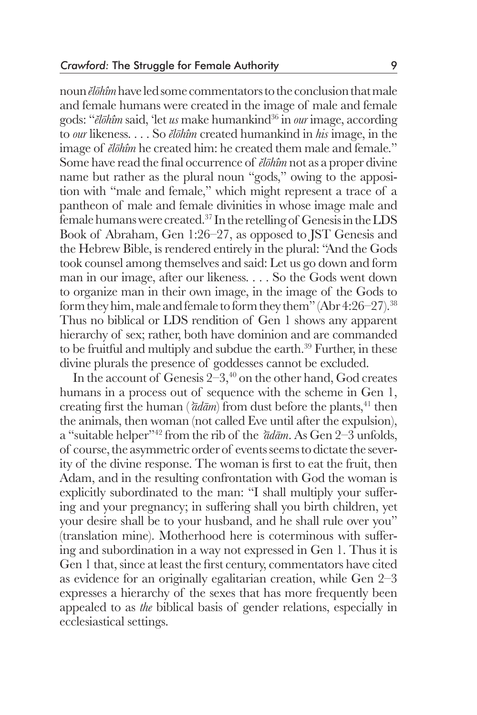noun *ĕlōhîm* have led some commentators to the conclusion that male and female humans were created in the image of male and female gods: "*ĕlōhîm* said, 'let *us* make humankind36 in *our* image, according to *our* likeness. . . . So *ĕlōhîm* created humankind in *his* image, in the image of *ĕlōhîm* he created him: he created them male and female." Some have read the final occurrence of *ĕlōhîm* not as a proper divine name but rather as the plural noun "gods," owing to the apposition with "male and female," which might represent a trace of a pantheon of male and female divinities in whose image male and female humans were created.37 In the retelling of Genesis in the LDS Book of Abraham, Gen 1:26–27, as opposed to JST Genesis and the Hebrew Bible, is rendered entirely in the plural: "And the Gods took counsel among themselves and said: Let us go down and form man in our image, after our likeness. . . . So the Gods went down to organize man in their own image, in the image of the Gods to form they him, male and female to form they them" (Abr 4:26–27).<sup>38</sup> Thus no biblical or LDS rendition of Gen 1 shows any apparent hierarchy of sex; rather, both have dominion and are commanded to be fruitful and multiply and subdue the earth.<sup>39</sup> Further, in these divine plurals the presence of goddesses cannot be excluded.

In the account of Genesis  $2-3,40$  on the other hand, God creates humans in a process out of sequence with the scheme in Gen 1, creating first the human ( $\bar{\alpha}d\bar{a}m$ ) from dust before the plants,<sup>41</sup> then the animals, then woman (not called Eve until after the expulsion), a "suitable helper"42 from the rib of the *ʾādām*. As Gen 2–3 unfolds, of course, the asymmetric order of events seems to dictate the severity of the divine response. The woman is first to eat the fruit, then Adam, and in the resulting confrontation with God the woman is explicitly subordinated to the man: "I shall multiply your suffering and your pregnancy; in suffering shall you birth children, yet your desire shall be to your husband, and he shall rule over you" (translation mine). Motherhood here is coterminous with suffering and subordination in a way not expressed in Gen 1. Thus it is Gen 1 that, since at least the first century, commentators have cited as evidence for an originally egalitarian creation, while Gen 2–3 expresses a hierarchy of the sexes that has more frequently been appealed to as *the* biblical basis of gender relations, especially in ecclesiastical settings.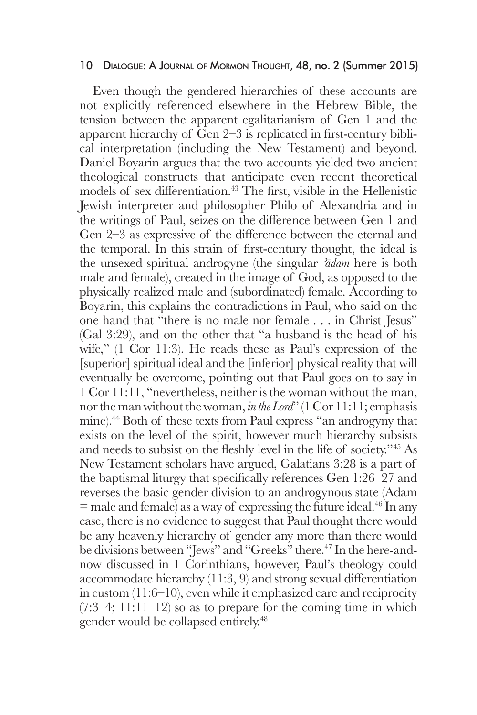#### 10 Dialogue: A Journal of Mormon Thought, 48, no. 2 (Summer 2015)

 Even though the gendered hierarchies of these accounts are not explicitly referenced elsewhere in the Hebrew Bible, the tension between the apparent egalitarianism of Gen 1 and the apparent hierarchy of Gen 2–3 is replicated in first-century biblical interpretation (including the New Testament) and beyond. Daniel Boyarin argues that the two accounts yielded two ancient theological constructs that anticipate even recent theoretical models of sex differentiation.43 The first, visible in the Hellenistic Jewish interpreter and philosopher Philo of Alexandria and in the writings of Paul, seizes on the difference between Gen 1 and Gen 2–3 as expressive of the difference between the eternal and the temporal. In this strain of first-century thought, the ideal is the unsexed spiritual androgyne (the singular *ʾādam* here is both male and female), created in the image of God, as opposed to the physically realized male and (subordinated) female. According to Boyarin, this explains the contradictions in Paul, who said on the one hand that "there is no male nor female . . . in Christ Jesus" (Gal 3:29), and on the other that "a husband is the head of his wife," (1 Cor 11:3). He reads these as Paul's expression of the [superior] spiritual ideal and the [inferior] physical reality that will eventually be overcome, pointing out that Paul goes on to say in 1 Cor 11:11, "nevertheless, neither is the woman without the man, nor the man without the woman, *in the Lord*" (1 Cor 11:11; emphasis mine).<sup>44</sup> Both of these texts from Paul express "an androgyny that exists on the level of the spirit, however much hierarchy subsists and needs to subsist on the fleshly level in the life of society."45 As New Testament scholars have argued, Galatians 3:28 is a part of the baptismal liturgy that specifically references Gen 1:26–27 and reverses the basic gender division to an androgynous state (Adam  $=$  male and female) as a way of expressing the future ideal.<sup>46</sup> In any case, there is no evidence to suggest that Paul thought there would be any heavenly hierarchy of gender any more than there would be divisions between "Jews" and "Greeks" there.<sup>47</sup> In the here-andnow discussed in 1 Corinthians, however, Paul's theology could accommodate hierarchy (11:3, 9) and strong sexual differentiation in custom (11:6–10), even while it emphasized care and reciprocity  $(7:3-4; 11:11-12)$  so as to prepare for the coming time in which gender would be collapsed entirely.48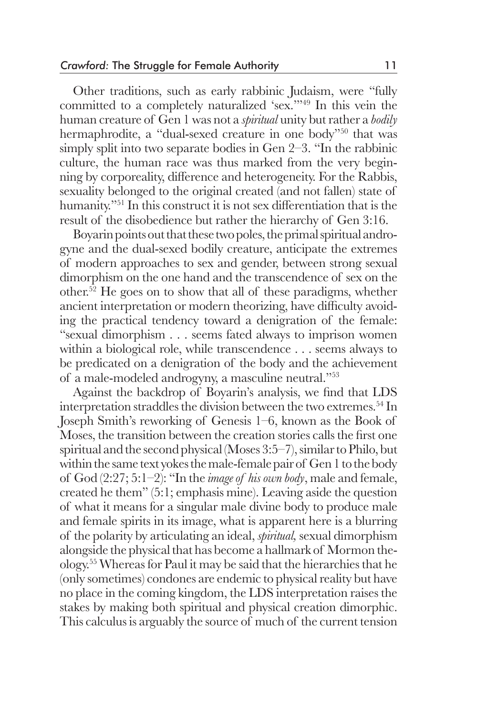Other traditions, such as early rabbinic Judaism, were "fully committed to a completely naturalized 'sex.'"49 In this vein the human creature of Gen 1 was not a *spiritual* unity but rather a *bodily* hermaphrodite, a "dual-sexed creature in one body"<sup>50</sup> that was simply split into two separate bodies in Gen 2–3. "In the rabbinic culture, the human race was thus marked from the very beginning by corporeality, difference and heterogeneity. For the Rabbis, sexuality belonged to the original created (and not fallen) state of humanity."51 In this construct it is not sex differentiation that is the result of the disobedience but rather the hierarchy of Gen 3:16.

 Boyarin points out that these two poles, the primal spiritual androgyne and the dual-sexed bodily creature, anticipate the extremes of modern approaches to sex and gender, between strong sexual dimorphism on the one hand and the transcendence of sex on the other.52 He goes on to show that all of these paradigms, whether ancient interpretation or modern theorizing, have difficulty avoiding the practical tendency toward a denigration of the female: "sexual dimorphism . . . seems fated always to imprison women within a biological role, while transcendence . . . seems always to be predicated on a denigration of the body and the achievement of a male-modeled androgyny, a masculine neutral."53

 Against the backdrop of Boyarin's analysis, we find that LDS interpretation straddles the division between the two extremes.<sup>54</sup> In Joseph Smith's reworking of Genesis 1–6, known as the Book of Moses, the transition between the creation stories calls the first one spiritual and the second physical (Moses 3:5–7), similar to Philo, but within the same text yokes the male-female pair of Gen 1 to the body of God (2:27; 5:1–2): "In the *image of his own body*, male and female, created he them" (5:1; emphasis mine). Leaving aside the question of what it means for a singular male divine body to produce male and female spirits in its image, what is apparent here is a blurring of the polarity by articulating an ideal, *spiritual,* sexual dimorphism alongside the physical that has become a hallmark of Mormon theology.55 Whereas for Paul it may be said that the hierarchies that he (only sometimes) condones are endemic to physical reality but have no place in the coming kingdom, the LDS interpretation raises the stakes by making both spiritual and physical creation dimorphic. This calculus is arguably the source of much of the current tension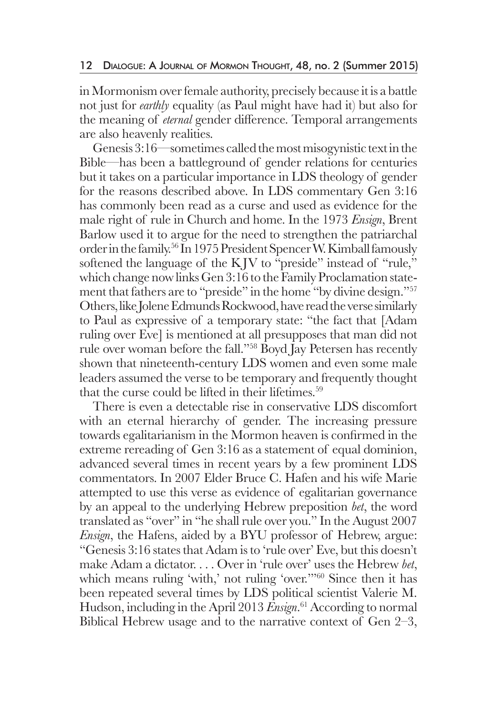in Mormonism over female authority, precisely because it is a battle not just for *earthly* equality (as Paul might have had it) but also for the meaning of *eternal* gender difference. Temporal arrangements are also heavenly realities.

 Genesis 3:16—sometimes called the most misogynistic text in the Bible—has been a battleground of gender relations for centuries but it takes on a particular importance in LDS theology of gender for the reasons described above. In LDS commentary Gen 3:16 has commonly been read as a curse and used as evidence for the male right of rule in Church and home. In the 1973 *Ensign*, Brent Barlow used it to argue for the need to strengthen the patriarchal order in the family.56 In 1975 President Spencer W. Kimball famously softened the language of the KJV to "preside" instead of "rule," which change now links Gen 3:16 to the Family Proclamation statement that fathers are to "preside" in the home "by divine design."57 Others, like Jolene Edmunds Rockwood, have read the verse similarly to Paul as expressive of a temporary state: "the fact that [Adam ruling over Eve] is mentioned at all presupposes that man did not rule over woman before the fall."58 Boyd Jay Petersen has recently shown that nineteenth-century LDS women and even some male leaders assumed the verse to be temporary and frequently thought that the curse could be lifted in their lifetimes.<sup>59</sup>

 There is even a detectable rise in conservative LDS discomfort with an eternal hierarchy of gender. The increasing pressure towards egalitarianism in the Mormon heaven is confirmed in the extreme rereading of Gen 3:16 as a statement of equal dominion, advanced several times in recent years by a few prominent LDS commentators. In 2007 Elder Bruce C. Hafen and his wife Marie attempted to use this verse as evidence of egalitarian governance by an appeal to the underlying Hebrew preposition *bet*, the word translated as "over" in "he shall rule over you." In the August 2007 *Ensign*, the Hafens, aided by a BYU professor of Hebrew, argue: "Genesis 3:16 states that Adam is to 'rule over' Eve, but this doesn't make Adam a dictator. . . . Over in 'rule over' uses the Hebrew *bet*, which means ruling 'with,' not ruling 'over.'"<sup>60</sup> Since then it has been repeated several times by LDS political scientist Valerie M. Hudson, including in the April 2013 *Ensign*. 61 According to normal Biblical Hebrew usage and to the narrative context of Gen 2–3,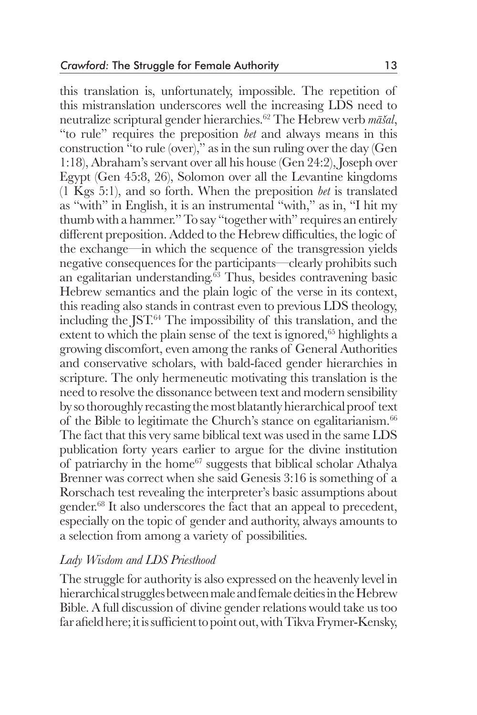this translation is, unfortunately, impossible. The repetition of this mistranslation underscores well the increasing LDS need to neutralize scriptural gender hierarchies.62 The Hebrew verb *māšal*, "to rule" requires the preposition *bet* and always means in this construction "to rule (over)," as in the sun ruling over the day (Gen 1:18), Abraham's servant over all his house (Gen 24:2), Joseph over Egypt (Gen 45:8, 26), Solomon over all the Levantine kingdoms (1 Kgs 5:1), and so forth. When the preposition *bet* is translated as "with" in English, it is an instrumental "with," as in, "I hit my thumb with a hammer." To say "together with" requires an entirely different preposition. Added to the Hebrew difficulties, the logic of the exchange—in which the sequence of the transgression yields negative consequences for the participants—clearly prohibits such an egalitarian understanding.63 Thus, besides contravening basic Hebrew semantics and the plain logic of the verse in its context, this reading also stands in contrast even to previous LDS theology, including the JST. $64$  The impossibility of this translation, and the extent to which the plain sense of the text is ignored, $65$  highlights a growing discomfort, even among the ranks of General Authorities and conservative scholars, with bald-faced gender hierarchies in scripture. The only hermeneutic motivating this translation is the need to resolve the dissonance between text and modern sensibility by so thoroughly recasting the most blatantly hierarchical proof text of the Bible to legitimate the Church's stance on egalitarianism.<sup>66</sup> The fact that this very same biblical text was used in the same LDS publication forty years earlier to argue for the divine institution of patriarchy in the home<sup>67</sup> suggests that biblical scholar Athalya Brenner was correct when she said Genesis 3:16 is something of a Rorschach test revealing the interpreter's basic assumptions about gender.68 It also underscores the fact that an appeal to precedent, especially on the topic of gender and authority, always amounts to a selection from among a variety of possibilities.

### *Lady Wisdom and LDS Priesthood*

The struggle for authority is also expressed on the heavenly level in hierarchical struggles between male and female deities in the Hebrew Bible. A full discussion of divine gender relations would take us too far afield here; it is sufficient to point out, with Tikva Frymer-Kensky,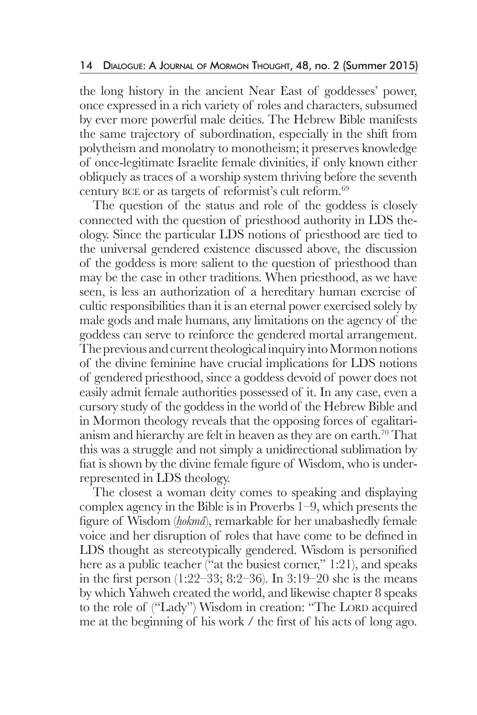the long history in the ancient Near East of goddesses' power, once expressed in a rich variety of roles and characters, subsumed by ever more powerful male deities. The Hebrew Bible manifests the same trajectory of subordination, especially in the shift from polytheism and monolatry to monotheism; it preserves knowledge of once-legitimate Israelite female divinities, if only known either obliquely as traces of a worship system thriving before the seventh century bce or as targets of reformist's cult reform.<sup>69</sup>

 The question of the status and role of the goddess is closely connected with the question of priesthood authority in LDS theology. Since the particular LDS notions of priesthood are tied to the universal gendered existence discussed above, the discussion of the goddess is more salient to the question of priesthood than may be the case in other traditions. When priesthood, as we have seen, is less an authorization of a hereditary human exercise of cultic responsibilities than it is an eternal power exercised solely by male gods and male humans, any limitations on the agency of the goddess can serve to reinforce the gendered mortal arrangement. The previous and current theological inquiry into Mormon notions of the divine feminine have crucial implications for LDS notions of gendered priesthood, since a goddess devoid of power does not easily admit female authorities possessed of it. In any case, even a cursory study of the goddess in the world of the Hebrew Bible and in Mormon theology reveals that the opposing forces of egalitarianism and hierarchy are felt in heaven as they are on earth.<sup>70</sup> That this was a struggle and not simply a unidirectional sublimation by fiat is shown by the divine female figure of Wisdom, who is underrepresented in LDS theology.

 The closest a woman deity comes to speaking and displaying complex agency in the Bible is in Proverbs 1–9, which presents the figure of Wisdom (*ḥokmâ*), remarkable for her unabashedly female voice and her disruption of roles that have come to be defined in LDS thought as stereotypically gendered. Wisdom is personified here as a public teacher ("at the busiest corner," 1:21), and speaks in the first person (1:22–33; 8:2–36). In 3:19–20 she is the means by which Yahweh created the world, and likewise chapter 8 speaks to the role of ("Lady") Wisdom in creation: "The LORD acquired me at the beginning of his work / the first of his acts of long ago.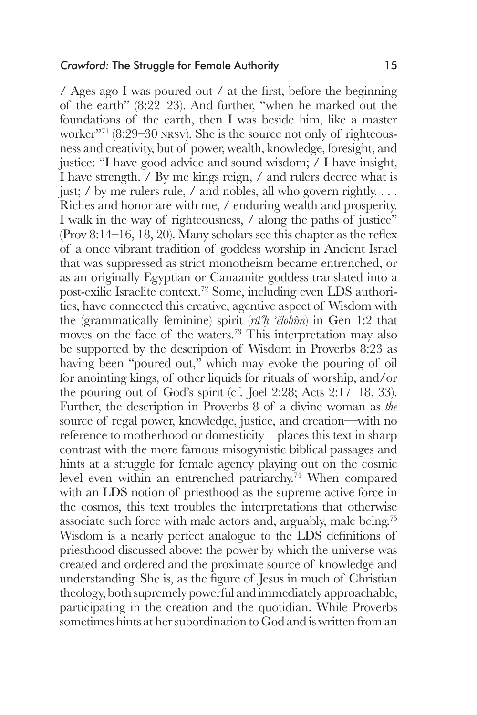/ Ages ago I was poured out / at the first, before the beginning of the earth" (8:22–23). And further, "when he marked out the foundations of the earth, then I was beside him, like a master worker"71 (8:29–30 nrsv). She is the source not only of righteousness and creativity, but of power, wealth, knowledge, foresight, and justice: "I have good advice and sound wisdom; / I have insight, I have strength. / By me kings reign, / and rulers decree what is just; / by me rulers rule, / and nobles, all who govern rightly. . . . Riches and honor are with me, / enduring wealth and prosperity. I walk in the way of righteousness, / along the paths of justice" (Prov 8:14–16, 18, 20). Many scholars see this chapter as the reflex of a once vibrant tradition of goddess worship in Ancient Israel that was suppressed as strict monotheism became entrenched, or as an originally Egyptian or Canaanite goddess translated into a post-exilic Israelite context.72 Some, including even LDS authorities, have connected this creative, agentive aspect of Wisdom with the (grammatically feminine) spirit (*rûªḥ* ʾ*ĕlōhîm*) in Gen 1:2 that moves on the face of the waters.<sup>73</sup> This interpretation may also be supported by the description of Wisdom in Proverbs 8:23 as having been "poured out," which may evoke the pouring of oil for anointing kings, of other liquids for rituals of worship, and/or the pouring out of God's spirit (cf. Joel 2:28; Acts 2:17–18, 33). Further, the description in Proverbs 8 of a divine woman as *the* source of regal power, knowledge, justice, and creation—with no reference to motherhood or domesticity—places this text in sharp contrast with the more famous misogynistic biblical passages and hints at a struggle for female agency playing out on the cosmic level even within an entrenched patriarchy.74 When compared with an LDS notion of priesthood as the supreme active force in the cosmos, this text troubles the interpretations that otherwise associate such force with male actors and, arguably, male being.75 Wisdom is a nearly perfect analogue to the LDS definitions of priesthood discussed above: the power by which the universe was created and ordered and the proximate source of knowledge and understanding. She is, as the figure of Jesus in much of Christian theology, both supremely powerful and immediately approachable, participating in the creation and the quotidian. While Proverbs sometimes hints at her subordination to God and is written from an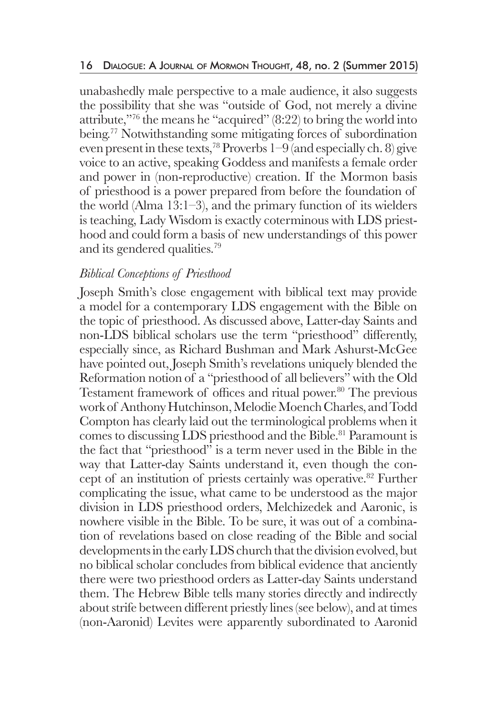unabashedly male perspective to a male audience, it also suggests the possibility that she was "outside of God, not merely a divine attribute,"<sup>76</sup> the means he "acquired"  $(8:22)$  to bring the world into being.77 Notwithstanding some mitigating forces of subordination even present in these texts,<sup>78</sup> Proverbs  $1-9$  (and especially ch. 8) give voice to an active, speaking Goddess and manifests a female order and power in (non-reproductive) creation. If the Mormon basis of priesthood is a power prepared from before the foundation of the world (Alma 13:1–3), and the primary function of its wielders is teaching, Lady Wisdom is exactly coterminous with LDS priesthood and could form a basis of new understandings of this power and its gendered qualities.<sup>79</sup>

## *Biblical Conceptions of Priesthood*

Joseph Smith's close engagement with biblical text may provide a model for a contemporary LDS engagement with the Bible on the topic of priesthood. As discussed above, Latter-day Saints and non-LDS biblical scholars use the term "priesthood" differently, especially since, as Richard Bushman and Mark Ashurst-McGee have pointed out, Joseph Smith's revelations uniquely blended the Reformation notion of a "priesthood of all believers" with the Old Testament framework of offices and ritual power.<sup>80</sup> The previous work of Anthony Hutchinson, Melodie Moench Charles, and Todd Compton has clearly laid out the terminological problems when it comes to discussing LDS priesthood and the Bible.<sup>81</sup> Paramount is the fact that "priesthood" is a term never used in the Bible in the way that Latter-day Saints understand it, even though the concept of an institution of priests certainly was operative.<sup>82</sup> Further complicating the issue, what came to be understood as the major division in LDS priesthood orders, Melchizedek and Aaronic, is nowhere visible in the Bible. To be sure, it was out of a combination of revelations based on close reading of the Bible and social developments in the early LDS church that the division evolved, but no biblical scholar concludes from biblical evidence that anciently there were two priesthood orders as Latter-day Saints understand them. The Hebrew Bible tells many stories directly and indirectly about strife between different priestly lines (see below), and at times (non-Aaronid) Levites were apparently subordinated to Aaronid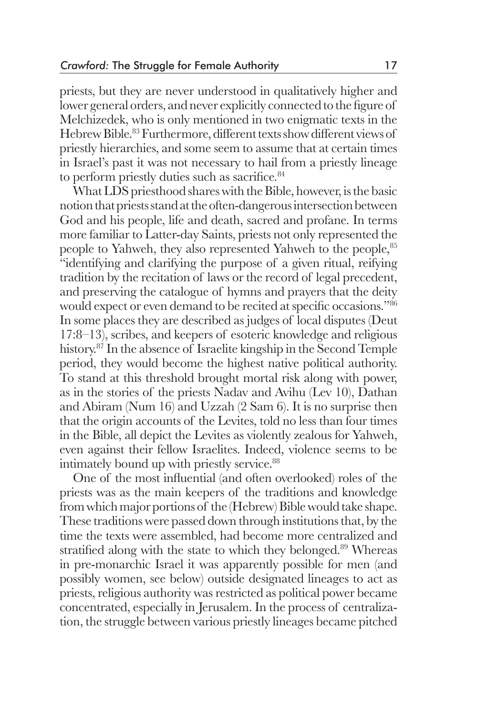priests, but they are never understood in qualitatively higher and lower general orders, and never explicitly connected to the figure of Melchizedek, who is only mentioned in two enigmatic texts in the Hebrew Bible.<sup>83</sup> Furthermore, different texts show different views of priestly hierarchies, and some seem to assume that at certain times in Israel's past it was not necessary to hail from a priestly lineage to perform priestly duties such as sacrifice.<sup>84</sup>

 What LDS priesthood shares with the Bible, however, is the basic notion that priests stand at the often-dangerous intersection between God and his people, life and death, sacred and profane. In terms more familiar to Latter-day Saints, priests not only represented the people to Yahweh, they also represented Yahweh to the people, <sup>85</sup> "identifying and clarifying the purpose of a given ritual, reifying tradition by the recitation of laws or the record of legal precedent, and preserving the catalogue of hymns and prayers that the deity would expect or even demand to be recited at specific occasions."<sup>86</sup> In some places they are described as judges of local disputes (Deut 17:8–13), scribes, and keepers of esoteric knowledge and religious history.<sup>87</sup> In the absence of Israelite kingship in the Second Temple period, they would become the highest native political authority. To stand at this threshold brought mortal risk along with power, as in the stories of the priests Nadav and Avihu (Lev 10), Dathan and Abiram (Num 16) and Uzzah (2 Sam 6). It is no surprise then that the origin accounts of the Levites, told no less than four times in the Bible, all depict the Levites as violently zealous for Yahweh, even against their fellow Israelites. Indeed, violence seems to be intimately bound up with priestly service.<sup>88</sup>

 One of the most influential (and often overlooked) roles of the priests was as the main keepers of the traditions and knowledge from which major portions of the (Hebrew) Bible would take shape. These traditions were passed down through institutions that, by the time the texts were assembled, had become more centralized and stratified along with the state to which they belonged.<sup>89</sup> Whereas in pre-monarchic Israel it was apparently possible for men (and possibly women, see below) outside designated lineages to act as priests, religious authority was restricted as political power became concentrated, especially in Jerusalem. In the process of centralization, the struggle between various priestly lineages became pitched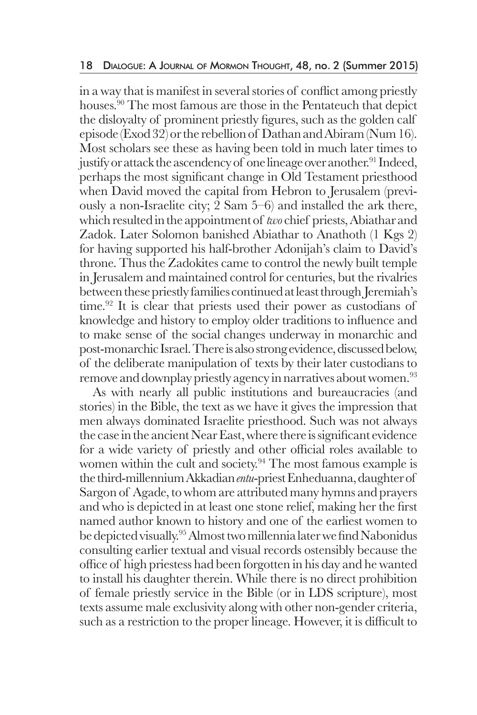in a way that is manifest in several stories of conflict among priestly houses.<sup>90</sup> The most famous are those in the Pentateuch that depict the disloyalty of prominent priestly figures, such as the golden calf episode (Exod 32) or the rebellion of Dathan and Abiram (Num 16). Most scholars see these as having been told in much later times to justify or attack the ascendency of one lineage over another.<sup>91</sup> Indeed, perhaps the most significant change in Old Testament priesthood when David moved the capital from Hebron to Jerusalem (previously a non-Israelite city; 2 Sam 5–6) and installed the ark there, which resulted in the appointment of *two* chief priests, Abiathar and Zadok. Later Solomon banished Abiathar to Anathoth (1 Kgs 2) for having supported his half-brother Adonijah's claim to David's throne. Thus the Zadokites came to control the newly built temple in Jerusalem and maintained control for centuries, but the rivalries between these priestly families continued at least through Jeremiah's time.<sup>92</sup> It is clear that priests used their power as custodians of knowledge and history to employ older traditions to influence and to make sense of the social changes underway in monarchic and post-monarchic Israel. There is also strong evidence, discussed below, of the deliberate manipulation of texts by their later custodians to remove and downplay priestly agency in narratives about women.<sup>93</sup>

 As with nearly all public institutions and bureaucracies (and stories) in the Bible, the text as we have it gives the impression that men always dominated Israelite priesthood. Such was not always the case in the ancient Near East, where there is significant evidence for a wide variety of priestly and other official roles available to women within the cult and society.<sup>94</sup> The most famous example is the third-millennium Akkadian *entu*-priest Enheduanna, daughter of Sargon of Agade, to whom are attributed many hymns and prayers and who is depicted in at least one stone relief, making her the first named author known to history and one of the earliest women to be depicted visually.95 Almost two millennia later we find Nabonidus consulting earlier textual and visual records ostensibly because the office of high priestess had been forgotten in his day and he wanted to install his daughter therein. While there is no direct prohibition of female priestly service in the Bible (or in LDS scripture), most texts assume male exclusivity along with other non-gender criteria, such as a restriction to the proper lineage. However, it is difficult to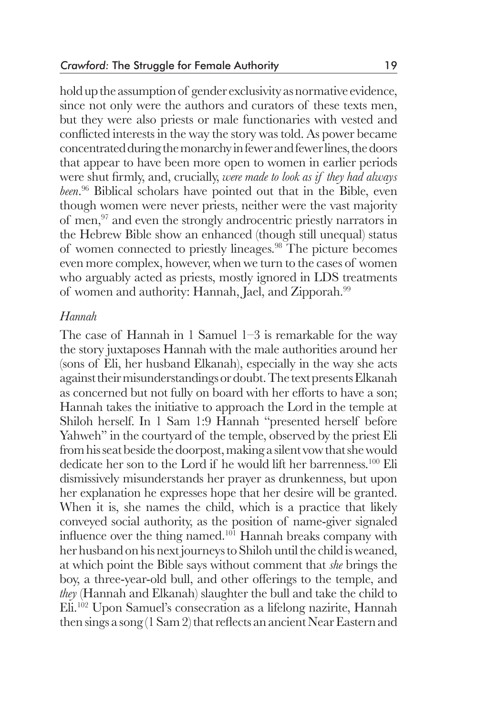hold up the assumption of gender exclusivity as normative evidence, since not only were the authors and curators of these texts men, but they were also priests or male functionaries with vested and conflicted interests in the way the story was told. As power became concentrated during the monarchy in fewer and fewer lines, the doors that appear to have been more open to women in earlier periods were shut firmly, and, crucially, *were made to look as if they had always been*. <sup>96</sup> Biblical scholars have pointed out that in the Bible, even though women were never priests, neither were the vast majority of men,97 and even the strongly androcentric priestly narrators in the Hebrew Bible show an enhanced (though still unequal) status of women connected to priestly lineages.<sup>98</sup> The picture becomes even more complex, however, when we turn to the cases of women who arguably acted as priests, mostly ignored in LDS treatments of women and authority: Hannah, Jael, and Zipporah.<sup>99</sup>

## *Hannah*

The case of Hannah in 1 Samuel 1–3 is remarkable for the way the story juxtaposes Hannah with the male authorities around her (sons of Eli, her husband Elkanah), especially in the way she acts against their misunderstandings or doubt. The text presents Elkanah as concerned but not fully on board with her efforts to have a son; Hannah takes the initiative to approach the Lord in the temple at Shiloh herself. In 1 Sam 1:9 Hannah "presented herself before Yahweh" in the courtyard of the temple, observed by the priest Eli from his seat beside the doorpost, making a silent vow that she would dedicate her son to the Lord if he would lift her barrenness.100 Eli dismissively misunderstands her prayer as drunkenness, but upon her explanation he expresses hope that her desire will be granted. When it is, she names the child, which is a practice that likely conveyed social authority, as the position of name-giver signaled influence over the thing named.<sup>101</sup> Hannah breaks company with her husband on his next journeys to Shiloh until the child is weaned, at which point the Bible says without comment that *she* brings the boy, a three-year-old bull, and other offerings to the temple, and *they* (Hannah and Elkanah) slaughter the bull and take the child to Eli.102 Upon Samuel's consecration as a lifelong nazirite, Hannah then sings a song (1 Sam 2) that reflects an ancient Near Eastern and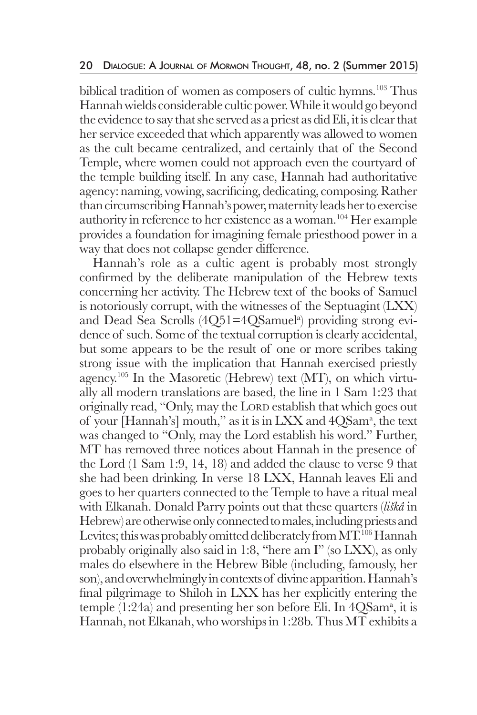biblical tradition of women as composers of cultic hymns.<sup>103</sup> Thus Hannah wields considerable cultic power. While it would go beyond the evidence to say that she served as a priest as did Eli, it is clear that her service exceeded that which apparently was allowed to women as the cult became centralized, and certainly that of the Second Temple, where women could not approach even the courtyard of the temple building itself. In any case, Hannah had authoritative agency: naming, vowing, sacrificing, dedicating, composing. Rather than circumscribing Hannah's power, maternity leads her to exercise authority in reference to her existence as a woman.104 Her example provides a foundation for imagining female priesthood power in a way that does not collapse gender difference.

 Hannah's role as a cultic agent is probably most strongly confirmed by the deliberate manipulation of the Hebrew texts concerning her activity. The Hebrew text of the books of Samuel is notoriously corrupt, with the witnesses of the Septuagint (LXX) and Dead Sea Scrolls (4Q51=4QSamuel<sup>a</sup>) providing strong evidence of such. Some of the textual corruption is clearly accidental, but some appears to be the result of one or more scribes taking strong issue with the implication that Hannah exercised priestly agency.<sup>105</sup> In the Masoretic (Hebrew) text (MT), on which virtually all modern translations are based, the line in 1 Sam 1:23 that originally read, "Only, may the LORD establish that which goes out of your [Hannah's] mouth," as it is in LXX and 4QSam<sup>a</sup>, the text was changed to "Only, may the Lord establish his word." Further, MT has removed three notices about Hannah in the presence of the Lord (1 Sam 1:9, 14, 18) and added the clause to verse 9 that she had been drinking. In verse 18 LXX, Hannah leaves Eli and goes to her quarters connected to the Temple to have a ritual meal with Elkanah. Donald Parry points out that these quarters (*liškâ* in Hebrew) are otherwise only connected to males, including priests and Levites; this was probably omitted deliberately from MT.<sup>106</sup> Hannah probably originally also said in 1:8, "here am I" (so LXX), as only males do elsewhere in the Hebrew Bible (including, famously, her son), and overwhelmingly in contexts of divine apparition. Hannah's final pilgrimage to Shiloh in LXX has her explicitly entering the temple (1:24a) and presenting her son before Eli. In 4QSam<sup>a</sup>, it is Hannah, not Elkanah, who worships in 1:28b. Thus MT exhibits a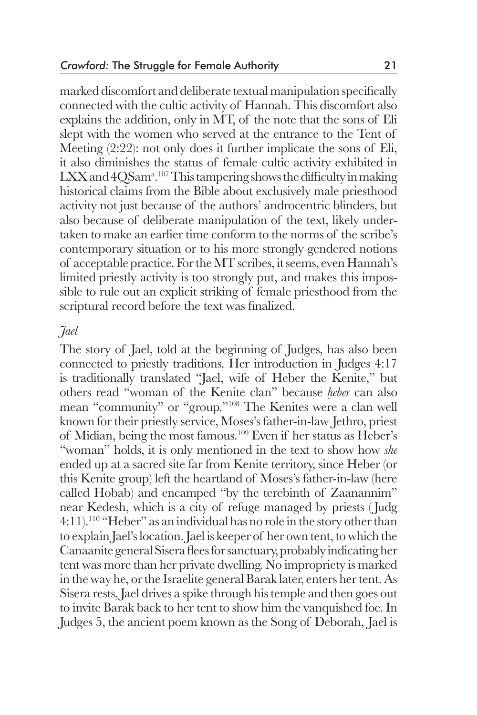marked discomfort and deliberate textual manipulation specifically connected with the cultic activity of Hannah. This discomfort also explains the addition, only in MT, of the note that the sons of Eli slept with the women who served at the entrance to the Tent of Meeting  $(2:22)$ : not only does it further implicate the sons of Eli, it also diminishes the status of female cultic activity exhibited in LXX and 4QSam<sup>a</sup>.<sup>107</sup> This tampering shows the difficulty in making historical claims from the Bible about exclusively male priesthood activity not just because of the authors' androcentric blinders, but also because of deliberate manipulation of the text, likely undertaken to make an earlier time conform to the norms of the scribe's contemporary situation or to his more strongly gendered notions of acceptable practice. For the MT scribes, it seems, even Hannah's limited priestly activity is too strongly put, and makes this impossible to rule out an explicit striking of female priesthood from the scriptural record before the text was finalized.

### *Jael*

The story of Jael, told at the beginning of Judges, has also been connected to priestly traditions. Her introduction in Judges 4:17 is traditionally translated "Jael, wife of Heber the Kenite," but others read "woman of the Kenite clan" because *ḥeber* can also mean "community" or "group."108 The Kenites were a clan well known for their priestly service, Moses's father-in-law Jethro, priest of Midian, being the most famous.109 Even if her status as Heber's "woman" holds, it is only mentioned in the text to show how *she* ended up at a sacred site far from Kenite territory, since Heber (or this Kenite group) left the heartland of Moses's father-in-law (here called Hobab) and encamped "by the terebinth of Zaanannim" near Kedesh, which is a city of refuge managed by priests ( Judg 4:11).110 "Heber" as an individual has no role in the story other than to explain Jael's location. Jael is keeper of her own tent, to which the Canaanite general Sisera flees for sanctuary, probably indicating her tent was more than her private dwelling. No impropriety is marked in the way he, or the Israelite general Barak later, enters her tent. As Sisera rests, Jael drives a spike through his temple and then goes out to invite Barak back to her tent to show him the vanquished foe. In Judges 5, the ancient poem known as the Song of Deborah, Jael is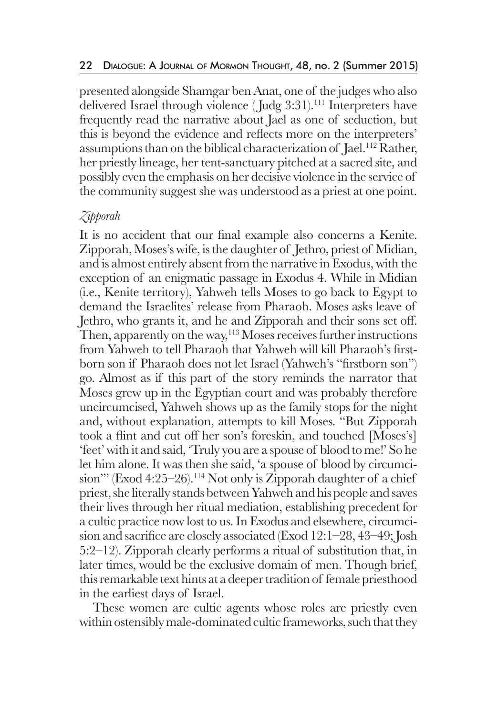presented alongside Shamgar ben Anat, one of the judges who also delivered Israel through violence ( Judg 3:31).111 Interpreters have frequently read the narrative about Jael as one of seduction, but this is beyond the evidence and reflects more on the interpreters' assumptions than on the biblical characterization of Jael.<sup>112</sup> Rather, her priestly lineage, her tent-sanctuary pitched at a sacred site, and possibly even the emphasis on her decisive violence in the service of the community suggest she was understood as a priest at one point.

## *Zipporah*

It is no accident that our final example also concerns a Kenite. Zipporah, Moses's wife, is the daughter of Jethro, priest of Midian, and is almost entirely absent from the narrative in Exodus, with the exception of an enigmatic passage in Exodus 4. While in Midian (i.e., Kenite territory), Yahweh tells Moses to go back to Egypt to demand the Israelites' release from Pharaoh. Moses asks leave of Jethro, who grants it, and he and Zipporah and their sons set off. Then, apparently on the way,<sup>113</sup> Moses receives further instructions from Yahweh to tell Pharaoh that Yahweh will kill Pharaoh's firstborn son if Pharaoh does not let Israel (Yahweh's "firstborn son") go. Almost as if this part of the story reminds the narrator that Moses grew up in the Egyptian court and was probably therefore uncircumcised, Yahweh shows up as the family stops for the night and, without explanation, attempts to kill Moses. "But Zipporah took a flint and cut off her son's foreskin, and touched [Moses's] 'feet' with it and said, 'Truly you are a spouse of blood to me!' So he let him alone. It was then she said, 'a spouse of blood by circumcision"" (Exod 4:25–26).<sup>114</sup> Not only is Zipporah daughter of a chief priest, she literally stands between Yahweh and his people and saves their lives through her ritual mediation, establishing precedent for a cultic practice now lost to us. In Exodus and elsewhere, circumcision and sacrifice are closely associated (Exod 12:1–28, 43–49; Josh 5:2–12). Zipporah clearly performs a ritual of substitution that, in later times, would be the exclusive domain of men. Though brief, this remarkable text hints at a deeper tradition of female priesthood in the earliest days of Israel.

 These women are cultic agents whose roles are priestly even within ostensibly male-dominated cultic frameworks, such that they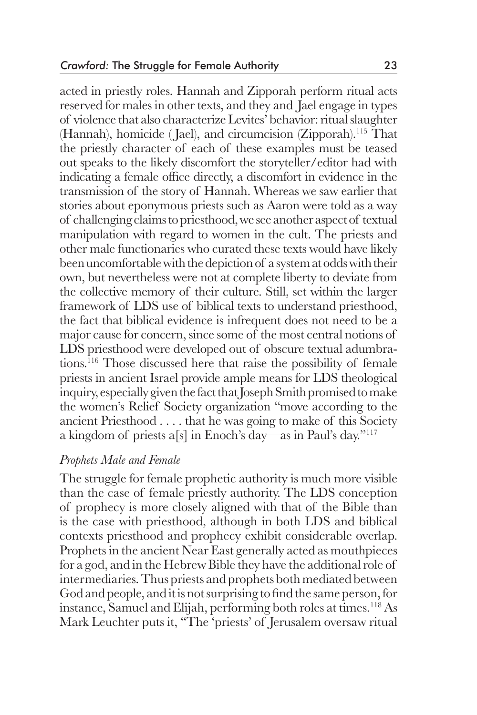acted in priestly roles. Hannah and Zipporah perform ritual acts reserved for males in other texts, and they and Jael engage in types of violence that also characterize Levites' behavior: ritual slaughter (Hannah), homicide ( Jael), and circumcision (Zipporah).115 That the priestly character of each of these examples must be teased out speaks to the likely discomfort the storyteller/editor had with indicating a female office directly, a discomfort in evidence in the transmission of the story of Hannah. Whereas we saw earlier that stories about eponymous priests such as Aaron were told as a way of challenging claims to priesthood, we see another aspect of textual manipulation with regard to women in the cult. The priests and other male functionaries who curated these texts would have likely been uncomfortable with the depiction of a system at odds with their own, but nevertheless were not at complete liberty to deviate from the collective memory of their culture. Still, set within the larger framework of LDS use of biblical texts to understand priesthood, the fact that biblical evidence is infrequent does not need to be a major cause for concern, since some of the most central notions of LDS priesthood were developed out of obscure textual adumbrations.116 Those discussed here that raise the possibility of female priests in ancient Israel provide ample means for LDS theological inquiry, especially given the fact that Joseph Smith promised to make the women's Relief Society organization "move according to the ancient Priesthood . . . . that he was going to make of this Society a kingdom of priests a[s] in Enoch's day—as in Paul's day."117

### *Prophets Male and Female*

The struggle for female prophetic authority is much more visible than the case of female priestly authority. The LDS conception of prophecy is more closely aligned with that of the Bible than is the case with priesthood, although in both LDS and biblical contexts priesthood and prophecy exhibit considerable overlap. Prophets in the ancient Near East generally acted as mouthpieces for a god, and in the Hebrew Bible they have the additional role of intermediaries. Thus priests and prophets both mediated between God and people, and it is not surprising to find the same person, for instance, Samuel and Elijah, performing both roles at times.118 As Mark Leuchter puts it, "The 'priests' of Jerusalem oversaw ritual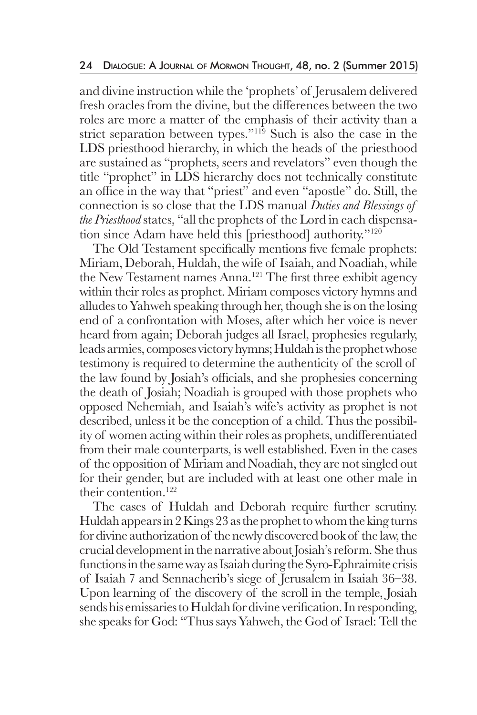and divine instruction while the 'prophets' of Jerusalem delivered fresh oracles from the divine, but the differences between the two roles are more a matter of the emphasis of their activity than a strict separation between types."<sup>119</sup> Such is also the case in the LDS priesthood hierarchy, in which the heads of the priesthood are sustained as "prophets, seers and revelators" even though the title "prophet" in LDS hierarchy does not technically constitute an office in the way that "priest" and even "apostle" do. Still, the connection is so close that the LDS manual *Duties and Blessings of the Priesthood* states, "all the prophets of the Lord in each dispensation since Adam have held this [priesthood] authority."120

 The Old Testament specifically mentions five female prophets: Miriam, Deborah, Huldah, the wife of Isaiah, and Noadiah, while the New Testament names Anna.<sup>121</sup> The first three exhibit agency within their roles as prophet. Miriam composes victory hymns and alludes to Yahweh speaking through her, though she is on the losing end of a confrontation with Moses, after which her voice is never heard from again; Deborah judges all Israel, prophesies regularly, leads armies, composes victory hymns; Huldah is the prophet whose testimony is required to determine the authenticity of the scroll of the law found by Josiah's officials, and she prophesies concerning the death of Josiah; Noadiah is grouped with those prophets who opposed Nehemiah, and Isaiah's wife's activity as prophet is not described, unless it be the conception of a child. Thus the possibility of women acting within their roles as prophets, undifferentiated from their male counterparts, is well established. Even in the cases of the opposition of Miriam and Noadiah, they are not singled out for their gender, but are included with at least one other male in their contention.122

 The cases of Huldah and Deborah require further scrutiny. Huldah appears in 2 Kings 23 as the prophet to whom the king turns for divine authorization of the newly discovered book of the law, the crucial development in the narrative about Josiah's reform. She thus functions in the same way as Isaiah during the Syro-Ephraimite crisis of Isaiah 7 and Sennacherib's siege of Jerusalem in Isaiah 36–38. Upon learning of the discovery of the scroll in the temple, Josiah sends his emissaries to Huldah for divine verification. In responding, she speaks for God: "Thus says Yahweh, the God of Israel: Tell the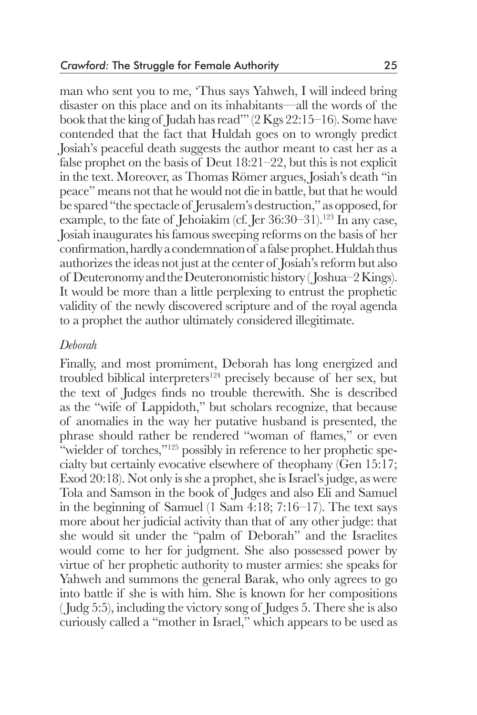man who sent you to me, 'Thus says Yahweh, I will indeed bring disaster on this place and on its inhabitants—all the words of the book that the king of Judah has read'" (2 Kgs 22:15–16). Some have contended that the fact that Huldah goes on to wrongly predict Josiah's peaceful death suggests the author meant to cast her as a false prophet on the basis of Deut 18:21–22, but this is not explicit in the text. Moreover, as Thomas Römer argues, Josiah's death "in peace" means not that he would not die in battle, but that he would be spared "the spectacle of Jerusalem's destruction," as opposed, for example, to the fate of Jehoiakim (cf. Jer  $36:30-31$ ).<sup>123</sup> In any case, Josiah inaugurates his famous sweeping reforms on the basis of her confirmation, hardly a condemnation of a false prophet. Huldah thus authorizes the ideas not just at the center of Josiah's reform but also of Deuteronomy and the Deuteronomistic history ( Joshua–2 Kings). It would be more than a little perplexing to entrust the prophetic validity of the newly discovered scripture and of the royal agenda to a prophet the author ultimately considered illegitimate.

#### *Deborah*

Finally, and most promiment, Deborah has long energized and troubled biblical interpreters<sup>124</sup> precisely because of her sex, but the text of Judges finds no trouble therewith. She is described as the "wife of Lappidoth," but scholars recognize, that because of anomalies in the way her putative husband is presented, the phrase should rather be rendered "woman of flames," or even "wielder of torches,"<sup>125</sup> possibly in reference to her prophetic specialty but certainly evocative elsewhere of theophany (Gen 15:17; Exod 20:18). Not only is she a prophet, she is Israel's judge, as were Tola and Samson in the book of Judges and also Eli and Samuel in the beginning of Samuel (1 Sam 4:18; 7:16–17). The text says more about her judicial activity than that of any other judge: that she would sit under the "palm of Deborah" and the Israelites would come to her for judgment. She also possessed power by virtue of her prophetic authority to muster armies: she speaks for Yahweh and summons the general Barak, who only agrees to go into battle if she is with him. She is known for her compositions ( Judg 5:5), including the victory song of Judges 5. There she is also curiously called a "mother in Israel," which appears to be used as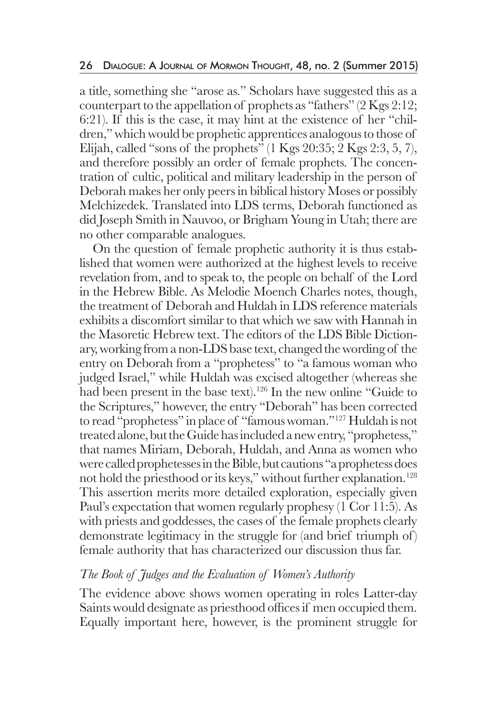a title, something she "arose as." Scholars have suggested this as a counterpart to the appellation of prophets as "fathers"  $(2 \text{Kgs } 2:12;$ 6:21). If this is the case, it may hint at the existence of her "children," which would be prophetic apprentices analogous to those of Elijah, called "sons of the prophets"  $(1 \text{Kgs } 20:35; 2 \text{Kgs } 2:3, 5, 7)$ , and therefore possibly an order of female prophets. The concentration of cultic, political and military leadership in the person of Deborah makes her only peers in biblical history Moses or possibly Melchizedek. Translated into LDS terms, Deborah functioned as did Joseph Smith in Nauvoo, or Brigham Young in Utah; there are no other comparable analogues.

 On the question of female prophetic authority it is thus established that women were authorized at the highest levels to receive revelation from, and to speak to, the people on behalf of the Lord in the Hebrew Bible. As Melodie Moench Charles notes, though, the treatment of Deborah and Huldah in LDS reference materials exhibits a discomfort similar to that which we saw with Hannah in the Masoretic Hebrew text. The editors of the LDS Bible Dictionary, working from a non-LDS base text, changed the wording of the entry on Deborah from a "prophetess" to "a famous woman who judged Israel," while Huldah was excised altogether (whereas she had been present in the base text).<sup>126</sup> In the new online "Guide to the Scriptures," however, the entry "Deborah" has been corrected to read "prophetess" in place of "famous woman."127 Huldah is not treated alone, but the Guide has included a new entry, "prophetess," that names Miriam, Deborah, Huldah, and Anna as women who were called prophetesses in the Bible, but cautions "a prophetess does not hold the priesthood or its keys," without further explanation.<sup>128</sup> This assertion merits more detailed exploration, especially given Paul's expectation that women regularly prophesy (1 Cor 11:5). As with priests and goddesses, the cases of the female prophets clearly demonstrate legitimacy in the struggle for (and brief triumph of) female authority that has characterized our discussion thus far.

## *The Book of Judges and the Evaluation of Women's Authority*

The evidence above shows women operating in roles Latter-day Saints would designate as priesthood offices if men occupied them. Equally important here, however, is the prominent struggle for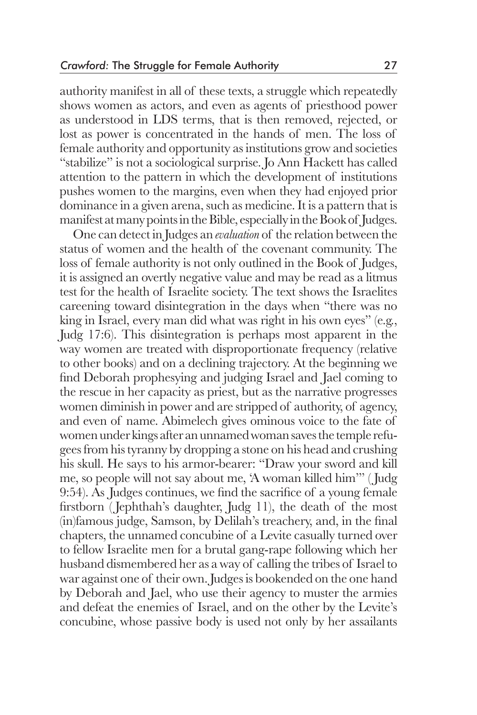authority manifest in all of these texts, a struggle which repeatedly shows women as actors, and even as agents of priesthood power as understood in LDS terms, that is then removed, rejected, or lost as power is concentrated in the hands of men. The loss of female authority and opportunity as institutions grow and societies "stabilize" is not a sociological surprise. Jo Ann Hackett has called attention to the pattern in which the development of institutions pushes women to the margins, even when they had enjoyed prior dominance in a given arena, such as medicine. It is a pattern that is manifest at many points in the Bible, especially in the Book of Judges.

 One can detect in Judges an *evaluation* of the relation between the status of women and the health of the covenant community. The loss of female authority is not only outlined in the Book of Judges, it is assigned an overtly negative value and may be read as a litmus test for the health of Israelite society. The text shows the Israelites careening toward disintegration in the days when "there was no king in Israel, every man did what was right in his own eyes" (e.g., Judg 17:6). This disintegration is perhaps most apparent in the way women are treated with disproportionate frequency (relative to other books) and on a declining trajectory. At the beginning we find Deborah prophesying and judging Israel and Jael coming to the rescue in her capacity as priest, but as the narrative progresses women diminish in power and are stripped of authority, of agency, and even of name. Abimelech gives ominous voice to the fate of women under kings after an unnamed woman saves the temple refugees from his tyranny by dropping a stone on his head and crushing his skull. He says to his armor-bearer: "Draw your sword and kill me, so people will not say about me, 'A woman killed him'" ( Judg 9:54). As Judges continues, we find the sacrifice of a young female firstborn ( Jephthah's daughter, Judg 11), the death of the most (in)famous judge, Samson, by Delilah's treachery, and, in the final chapters, the unnamed concubine of a Levite casually turned over to fellow Israelite men for a brutal gang-rape following which her husband dismembered her as a way of calling the tribes of Israel to war against one of their own. Judges is bookended on the one hand by Deborah and Jael, who use their agency to muster the armies and defeat the enemies of Israel, and on the other by the Levite's concubine, whose passive body is used not only by her assailants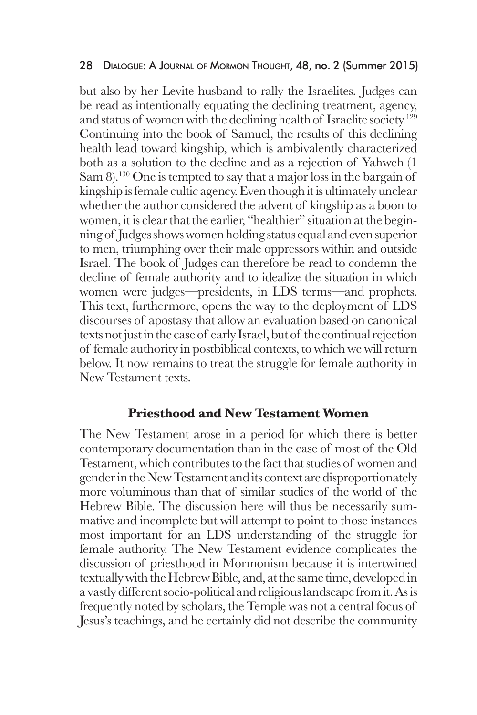but also by her Levite husband to rally the Israelites. Judges can be read as intentionally equating the declining treatment, agency, and status of women with the declining health of Israelite society.<sup>129</sup> Continuing into the book of Samuel, the results of this declining health lead toward kingship, which is ambivalently characterized both as a solution to the decline and as a rejection of Yahweh (1 Sam 8).<sup>130</sup> One is tempted to say that a major loss in the bargain of kingship is female cultic agency. Even though it is ultimately unclear whether the author considered the advent of kingship as a boon to women, it is clear that the earlier, "healthier" situation at the beginning of Judges shows women holding status equal and even superior to men, triumphing over their male oppressors within and outside Israel. The book of Judges can therefore be read to condemn the decline of female authority and to idealize the situation in which women were judges—presidents, in LDS terms—and prophets. This text, furthermore, opens the way to the deployment of LDS discourses of apostasy that allow an evaluation based on canonical texts not just in the case of early Israel, but of the continual rejection of female authority in postbiblical contexts, to which we will return below. It now remains to treat the struggle for female authority in New Testament texts.

## **Priesthood and New Testament Women**

The New Testament arose in a period for which there is better contemporary documentation than in the case of most of the Old Testament, which contributes to the fact that studies of women and gender in the New Testament and its context are disproportionately more voluminous than that of similar studies of the world of the Hebrew Bible. The discussion here will thus be necessarily summative and incomplete but will attempt to point to those instances most important for an LDS understanding of the struggle for female authority. The New Testament evidence complicates the discussion of priesthood in Mormonism because it is intertwined textually with the Hebrew Bible, and, at the same time, developed in a vastly different socio-political and religious landscape from it. As is frequently noted by scholars, the Temple was not a central focus of Jesus's teachings, and he certainly did not describe the community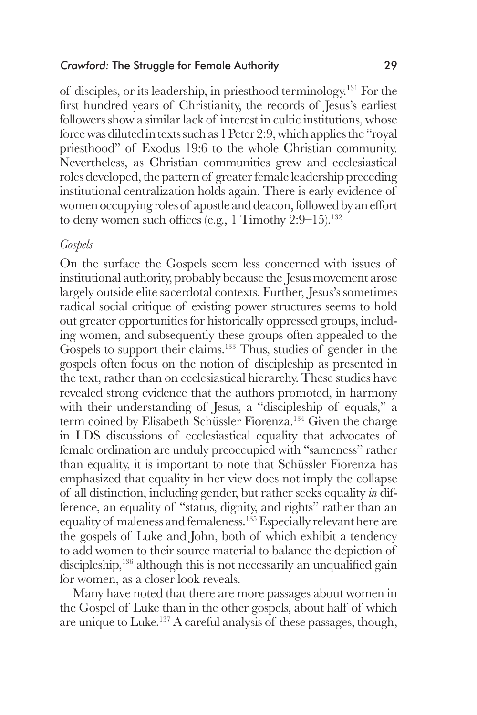of disciples, or its leadership, in priesthood terminology.131 For the first hundred years of Christianity, the records of Jesus's earliest followers show a similar lack of interest in cultic institutions, whose force was diluted in texts such as 1 Peter 2:9, which applies the "royal priesthood" of Exodus 19:6 to the whole Christian community. Nevertheless, as Christian communities grew and ecclesiastical roles developed, the pattern of greater female leadership preceding institutional centralization holds again. There is early evidence of women occupying roles of apostle and deacon, followed by an effort to deny women such offices (e.g., 1 Timothy  $2:9-15$ ).<sup>132</sup>

#### *Gospels*

On the surface the Gospels seem less concerned with issues of institutional authority, probably because the Jesus movement arose largely outside elite sacerdotal contexts. Further, Jesus's sometimes radical social critique of existing power structures seems to hold out greater opportunities for historically oppressed groups, including women, and subsequently these groups often appealed to the Gospels to support their claims.<sup>133</sup> Thus, studies of gender in the gospels often focus on the notion of discipleship as presented in the text, rather than on ecclesiastical hierarchy. These studies have revealed strong evidence that the authors promoted, in harmony with their understanding of Jesus, a "discipleship of equals," a term coined by Elisabeth Schüssler Fiorenza.<sup>134</sup> Given the charge in LDS discussions of ecclesiastical equality that advocates of female ordination are unduly preoccupied with "sameness" rather than equality, it is important to note that Schüssler Fiorenza has emphasized that equality in her view does not imply the collapse of all distinction, including gender, but rather seeks equality *in* difference, an equality of "status, dignity, and rights" rather than an equality of maleness and femaleness.135 Especially relevant here are the gospels of Luke and John, both of which exhibit a tendency to add women to their source material to balance the depiction of discipleship,<sup>136</sup> although this is not necessarily an unqualified gain for women, as a closer look reveals.

 Many have noted that there are more passages about women in the Gospel of Luke than in the other gospels, about half of which are unique to Luke.137 A careful analysis of these passages, though,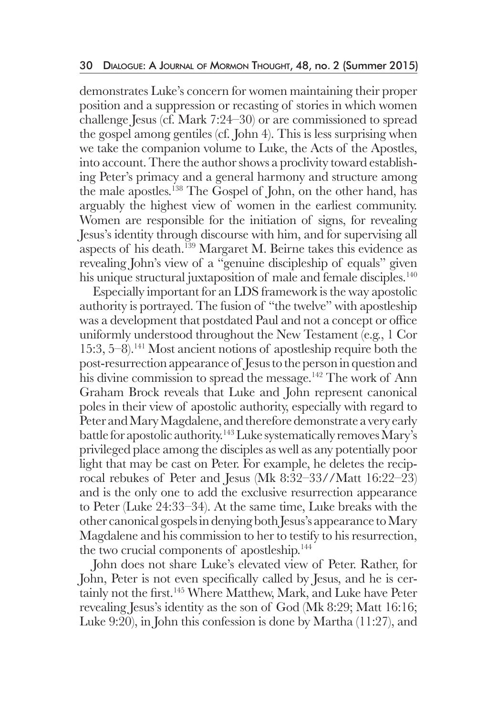demonstrates Luke's concern for women maintaining their proper position and a suppression or recasting of stories in which women challenge Jesus (cf. Mark 7:24–30) or are commissioned to spread the gospel among gentiles (cf. John 4). This is less surprising when we take the companion volume to Luke, the Acts of the Apostles, into account. There the author shows a proclivity toward establishing Peter's primacy and a general harmony and structure among the male apostles.138 The Gospel of John, on the other hand, has arguably the highest view of women in the earliest community. Women are responsible for the initiation of signs, for revealing Jesus's identity through discourse with him, and for supervising all aspects of his death.139 Margaret M. Beirne takes this evidence as revealing John's view of a "genuine discipleship of equals" given his unique structural juxtaposition of male and female disciples.<sup>140</sup>

 Especially important for an LDS framework is the way apostolic authority is portrayed. The fusion of "the twelve" with apostleship was a development that postdated Paul and not a concept or office uniformly understood throughout the New Testament (e.g., 1 Cor 15:3, 5–8).141 Most ancient notions of apostleship require both the post-resurrection appearance of Jesus to the person in question and his divine commission to spread the message.<sup>142</sup> The work of Ann Graham Brock reveals that Luke and John represent canonical poles in their view of apostolic authority, especially with regard to Peter and Mary Magdalene, and therefore demonstrate a very early battle for apostolic authority.143 Luke systematically removes Mary's privileged place among the disciples as well as any potentially poor light that may be cast on Peter. For example, he deletes the reciprocal rebukes of Peter and Jesus (Mk 8:32–33//Matt 16:22–23) and is the only one to add the exclusive resurrection appearance to Peter (Luke 24:33–34). At the same time, Luke breaks with the other canonical gospels in denying both Jesus's appearance to Mary Magdalene and his commission to her to testify to his resurrection, the two crucial components of apostleship.<sup>144</sup>

 John does not share Luke's elevated view of Peter. Rather, for John, Peter is not even specifically called by Jesus, and he is certainly not the first.<sup>145</sup> Where Matthew, Mark, and Luke have Peter revealing Jesus's identity as the son of God (Mk 8:29; Matt 16:16; Luke 9:20), in John this confession is done by Martha (11:27), and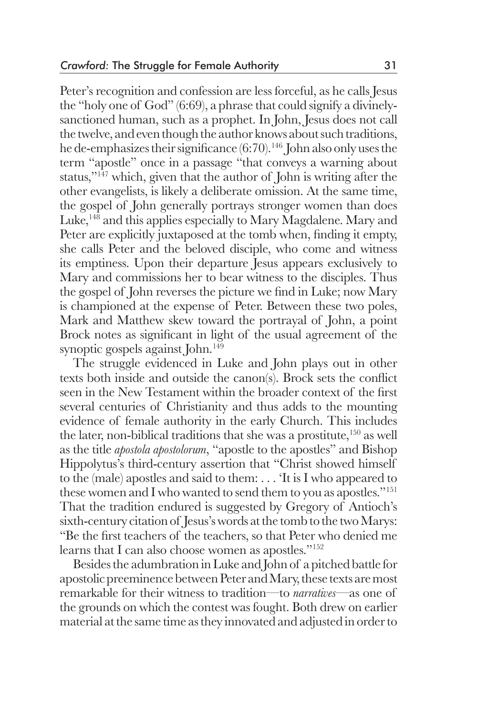Peter's recognition and confession are less forceful, as he calls Jesus the "holy one of God" (6:69), a phrase that could signify a divinelysanctioned human, such as a prophet. In John, Jesus does not call the twelve, and even though the author knows about such traditions, he de-emphasizes their significance (6:70).<sup>146</sup> John also only uses the term "apostle" once in a passage "that conveys a warning about status,"147 which, given that the author of John is writing after the other evangelists, is likely a deliberate omission. At the same time, the gospel of John generally portrays stronger women than does Luke,<sup>148</sup> and this applies especially to Mary Magdalene. Mary and Peter are explicitly juxtaposed at the tomb when, finding it empty, she calls Peter and the beloved disciple, who come and witness its emptiness. Upon their departure Jesus appears exclusively to Mary and commissions her to bear witness to the disciples. Thus the gospel of John reverses the picture we find in Luke; now Mary is championed at the expense of Peter. Between these two poles, Mark and Matthew skew toward the portrayal of John, a point Brock notes as significant in light of the usual agreement of the synoptic gospels against John.<sup>149</sup>

 The struggle evidenced in Luke and John plays out in other texts both inside and outside the canon(s). Brock sets the conflict seen in the New Testament within the broader context of the first several centuries of Christianity and thus adds to the mounting evidence of female authority in the early Church. This includes the later, non-biblical traditions that she was a prostitute, $150$  as well as the title *apostola apostolorum*, "apostle to the apostles" and Bishop Hippolytus's third-century assertion that "Christ showed himself to the (male) apostles and said to them: . . . 'It is I who appeared to these women and I who wanted to send them to you as apostles."151 That the tradition endured is suggested by Gregory of Antioch's sixth-century citation of Jesus's words at the tomb to the two Marys: "Be the first teachers of the teachers, so that Peter who denied me learns that I can also choose women as apostles."152

 Besides the adumbration in Luke and John of a pitched battle for apostolic preeminence between Peter and Mary, these texts are most remarkable for their witness to tradition—to *narratives*—as one of the grounds on which the contest was fought. Both drew on earlier material at the same time as they innovated and adjusted in order to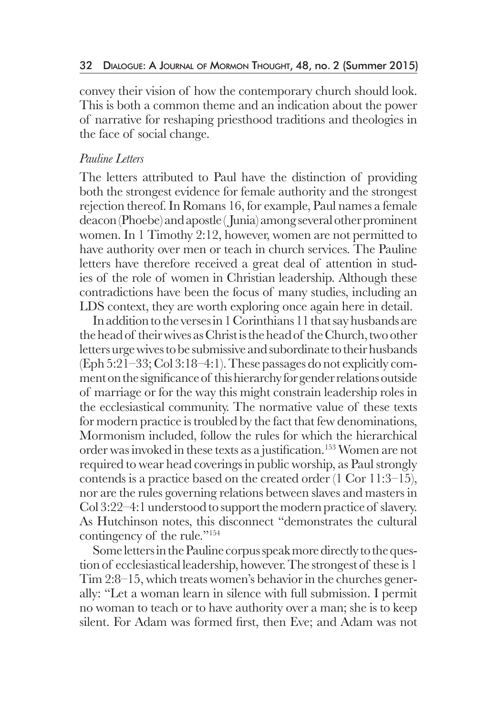convey their vision of how the contemporary church should look. This is both a common theme and an indication about the power of narrative for reshaping priesthood traditions and theologies in the face of social change.

## *Pauline Letters*

The letters attributed to Paul have the distinction of providing both the strongest evidence for female authority and the strongest rejection thereof. In Romans 16, for example, Paul names a female deacon (Phoebe) and apostle ( Junia) among several other prominent women. In 1 Timothy 2:12, however, women are not permitted to have authority over men or teach in church services. The Pauline letters have therefore received a great deal of attention in studies of the role of women in Christian leadership. Although these contradictions have been the focus of many studies, including an LDS context, they are worth exploring once again here in detail.

 In addition to the verses in 1 Corinthians 11 that say husbands are the head of their wives as Christ is the head of the Church, two other letters urge wives to be submissive and subordinate to their husbands (Eph 5:21–33; Col 3:18–4:1). These passages do not explicitly comment on the significance of this hierarchy for gender relations outside of marriage or for the way this might constrain leadership roles in the ecclesiastical community. The normative value of these texts for modern practice is troubled by the fact that few denominations, Mormonism included, follow the rules for which the hierarchical order was invoked in these texts as a justification.<sup>153</sup> Women are not required to wear head coverings in public worship, as Paul strongly contends is a practice based on the created order (1 Cor 11:3–15), nor are the rules governing relations between slaves and masters in Col 3:22–4:1 understood to support the modern practice of slavery. As Hutchinson notes, this disconnect "demonstrates the cultural contingency of the rule."154

 Some letters in the Pauline corpus speak more directly to the question of ecclesiastical leadership, however. The strongest of these is 1 Tim 2:8–15, which treats women's behavior in the churches generally: "Let a woman learn in silence with full submission. I permit no woman to teach or to have authority over a man; she is to keep silent. For Adam was formed first, then Eve; and Adam was not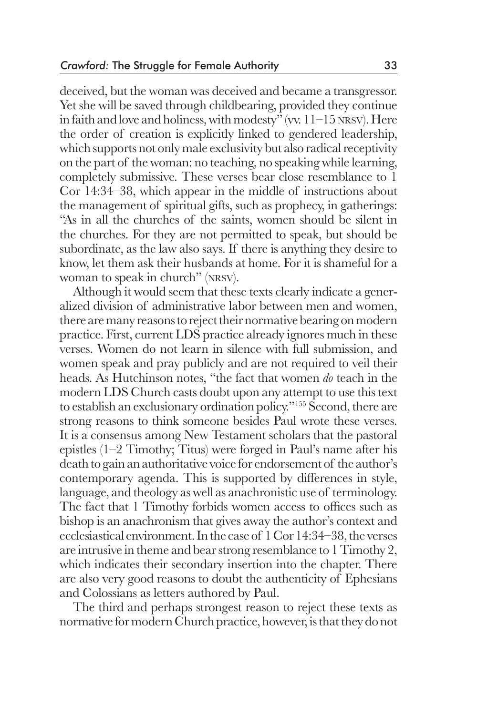deceived, but the woman was deceived and became a transgressor. Yet she will be saved through childbearing, provided they continue in faith and love and holiness, with modesty" (vv. 11–15 nrsv). Here the order of creation is explicitly linked to gendered leadership, which supports not only male exclusivity but also radical receptivity on the part of the woman: no teaching, no speaking while learning, completely submissive. These verses bear close resemblance to 1 Cor 14:34–38, which appear in the middle of instructions about the management of spiritual gifts, such as prophecy, in gatherings: "As in all the churches of the saints, women should be silent in the churches. For they are not permitted to speak, but should be subordinate, as the law also says. If there is anything they desire to know, let them ask their husbands at home. For it is shameful for a woman to speak in church" (nrsv).

 Although it would seem that these texts clearly indicate a generalized division of administrative labor between men and women, there are many reasons to reject their normative bearing on modern practice. First, current LDS practice already ignores much in these verses. Women do not learn in silence with full submission, and women speak and pray publicly and are not required to veil their heads. As Hutchinson notes, "the fact that women *do* teach in the modern LDS Church casts doubt upon any attempt to use this text to establish an exclusionary ordination policy."155 Second, there are strong reasons to think someone besides Paul wrote these verses. It is a consensus among New Testament scholars that the pastoral epistles (1–2 Timothy; Titus) were forged in Paul's name after his death to gain an authoritative voice for endorsement of the author's contemporary agenda. This is supported by differences in style, language, and theology as well as anachronistic use of terminology. The fact that 1 Timothy forbids women access to offices such as bishop is an anachronism that gives away the author's context and ecclesiastical environment. In the case of 1 Cor 14:34–38, the verses are intrusive in theme and bear strong resemblance to 1 Timothy 2, which indicates their secondary insertion into the chapter. There are also very good reasons to doubt the authenticity of Ephesians and Colossians as letters authored by Paul.

 The third and perhaps strongest reason to reject these texts as normative for modern Church practice, however, is that they do not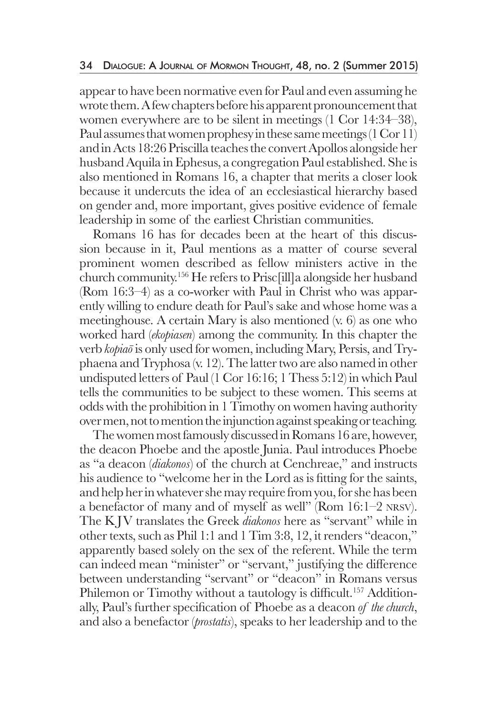appear to have been normative even for Paul and even assuming he wrote them. A few chapters before his apparent pronouncement that women everywhere are to be silent in meetings (1 Cor 14:34–38), Paul assumes that women prophesy in these same meetings (1 Cor 11) and in Acts 18:26 Priscilla teaches the convert Apollos alongside her husband Aquila in Ephesus, a congregation Paul established. She is also mentioned in Romans 16, a chapter that merits a closer look because it undercuts the idea of an ecclesiastical hierarchy based on gender and, more important, gives positive evidence of female leadership in some of the earliest Christian communities.

 Romans 16 has for decades been at the heart of this discussion because in it, Paul mentions as a matter of course several prominent women described as fellow ministers active in the church community.156 He refers to Prisc[ill]a alongside her husband (Rom 16:3–4) as a co-worker with Paul in Christ who was apparently willing to endure death for Paul's sake and whose home was a meetinghouse. A certain Mary is also mentioned (v. 6) as one who worked hard (*ekopiasen*) among the community. In this chapter the verb *kopiaō* is only used for women, including Mary, Persis, and Tryphaena and Tryphosa (v. 12). The latter two are also named in other undisputed letters of Paul (1 Cor 16:16; 1 Thess 5:12) in which Paul tells the communities to be subject to these women. This seems at odds with the prohibition in 1 Timothy on women having authority over men, not to mention the injunction against speaking or teaching.

 The women most famously discussed in Romans 16 are, however, the deacon Phoebe and the apostle Junia. Paul introduces Phoebe as "a deacon (*diakonos*) of the church at Cenchreae," and instructs his audience to "welcome her in the Lord as is fitting for the saints, and help her in whatever she may require from you, for she has been a benefactor of many and of myself as well" (Rom 16:1–2 nrsv). The K JV translates the Greek *diakonos* here as "servant" while in other texts, such as Phil 1:1 and 1 Tim 3:8, 12, it renders "deacon," apparently based solely on the sex of the referent. While the term can indeed mean "minister" or "servant," justifying the difference between understanding "servant" or "deacon" in Romans versus Philemon or Timothy without a tautology is difficult.<sup>157</sup> Additionally, Paul's further specification of Phoebe as a deacon *of the church*, and also a benefactor (*prostatis*), speaks to her leadership and to the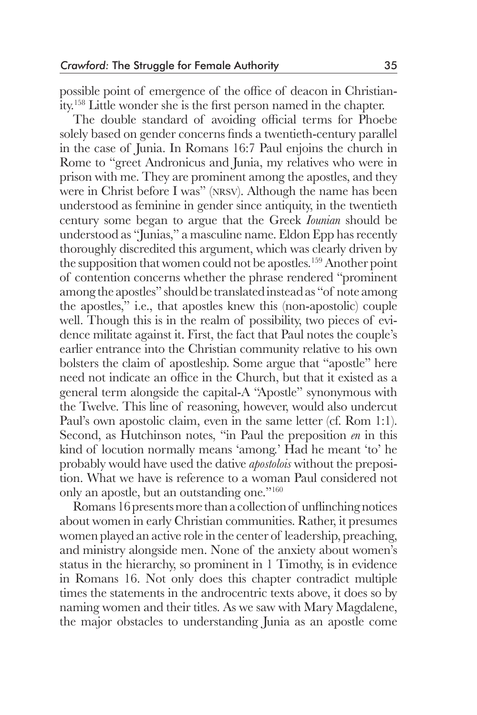possible point of emergence of the office of deacon in Christianity.158 Little wonder she is the first person named in the chapter.

 The double standard of avoiding official terms for Phoebe solely based on gender concerns finds a twentieth-century parallel in the case of Junia. In Romans 16:7 Paul enjoins the church in Rome to "greet Andronicus and Junia, my relatives who were in prison with me. They are prominent among the apostles, and they were in Christ before I was" (nrsv). Although the name has been understood as feminine in gender since antiquity, in the twentieth century some began to argue that the Greek *Iounian* should be understood as "Junias," a masculine name. Eldon Epp has recently thoroughly discredited this argument, which was clearly driven by the supposition that women could not be apostles.<sup>159</sup> Another point of contention concerns whether the phrase rendered "prominent among the apostles" should be translated instead as "of note among the apostles," i.e., that apostles knew this (non-apostolic) couple well. Though this is in the realm of possibility, two pieces of evidence militate against it. First, the fact that Paul notes the couple's earlier entrance into the Christian community relative to his own bolsters the claim of apostleship. Some argue that "apostle" here need not indicate an office in the Church, but that it existed as a general term alongside the capital-A "Apostle" synonymous with the Twelve. This line of reasoning, however, would also undercut Paul's own apostolic claim, even in the same letter (cf. Rom 1:1). Second, as Hutchinson notes, "in Paul the preposition *en* in this kind of locution normally means 'among.' Had he meant 'to' he probably would have used the dative *apostolois* without the preposition. What we have is reference to a woman Paul considered not only an apostle, but an outstanding one."160

 Romans 16 presents more than a collection of unflinching notices about women in early Christian communities. Rather, it presumes women played an active role in the center of leadership, preaching, and ministry alongside men. None of the anxiety about women's status in the hierarchy, so prominent in 1 Timothy, is in evidence in Romans 16. Not only does this chapter contradict multiple times the statements in the androcentric texts above, it does so by naming women and their titles. As we saw with Mary Magdalene, the major obstacles to understanding Junia as an apostle come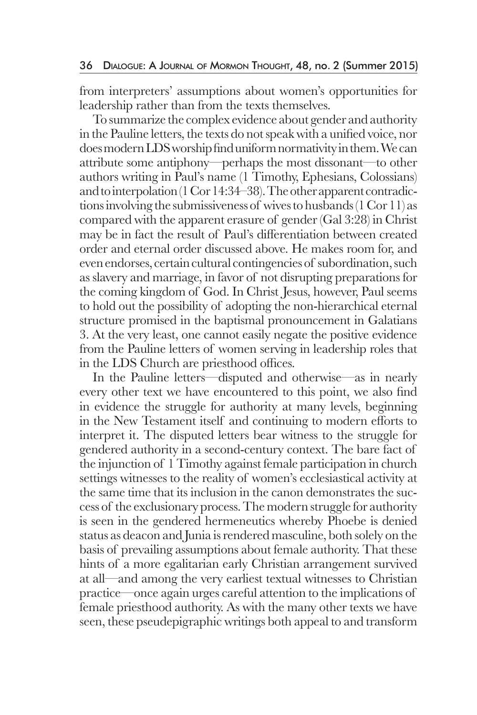from interpreters' assumptions about women's opportunities for leadership rather than from the texts themselves.

 To summarize the complex evidence about gender and authority in the Pauline letters, the texts do not speak with a unified voice, nor does modern LDS worship find uniform normativity in them. We can attribute some antiphony—perhaps the most dissonant—to other authors writing in Paul's name (1 Timothy, Ephesians, Colossians) and to interpolation (1 Cor 14:34–38). The other apparent contradictions involving the submissiveness of wives to husbands (1 Cor 11) as compared with the apparent erasure of gender (Gal 3:28) in Christ may be in fact the result of Paul's differentiation between created order and eternal order discussed above. He makes room for, and even endorses, certain cultural contingencies of subordination, such as slavery and marriage, in favor of not disrupting preparations for the coming kingdom of God. In Christ Jesus, however, Paul seems to hold out the possibility of adopting the non-hierarchical eternal structure promised in the baptismal pronouncement in Galatians 3. At the very least, one cannot easily negate the positive evidence from the Pauline letters of women serving in leadership roles that in the LDS Church are priesthood offices.

 In the Pauline letters—disputed and otherwise—as in nearly every other text we have encountered to this point, we also find in evidence the struggle for authority at many levels, beginning in the New Testament itself and continuing to modern efforts to interpret it. The disputed letters bear witness to the struggle for gendered authority in a second-century context. The bare fact of the injunction of 1 Timothy against female participation in church settings witnesses to the reality of women's ecclesiastical activity at the same time that its inclusion in the canon demonstrates the success of the exclusionary process. The modern struggle for authority is seen in the gendered hermeneutics whereby Phoebe is denied status as deacon and Junia is rendered masculine, both solely on the basis of prevailing assumptions about female authority. That these hints of a more egalitarian early Christian arrangement survived at all—and among the very earliest textual witnesses to Christian practice—once again urges careful attention to the implications of female priesthood authority. As with the many other texts we have seen, these pseudepigraphic writings both appeal to and transform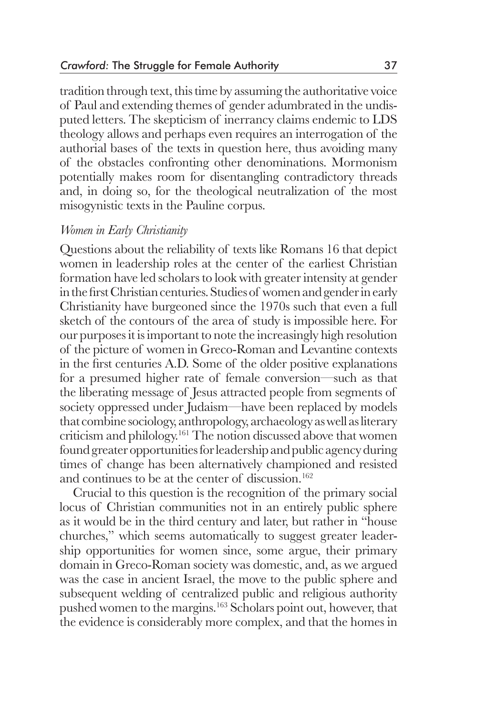tradition through text, this time by assuming the authoritative voice of Paul and extending themes of gender adumbrated in the undisputed letters. The skepticism of inerrancy claims endemic to LDS theology allows and perhaps even requires an interrogation of the authorial bases of the texts in question here, thus avoiding many of the obstacles confronting other denominations. Mormonism potentially makes room for disentangling contradictory threads and, in doing so, for the theological neutralization of the most misogynistic texts in the Pauline corpus.

#### *Women in Early Christianity*

Questions about the reliability of texts like Romans 16 that depict women in leadership roles at the center of the earliest Christian formation have led scholars to look with greater intensity at gender in the first Christian centuries. Studies of women and gender in early Christianity have burgeoned since the 1970s such that even a full sketch of the contours of the area of study is impossible here. For our purposes it is important to note the increasingly high resolution of the picture of women in Greco-Roman and Levantine contexts in the first centuries A.D. Some of the older positive explanations for a presumed higher rate of female conversion—such as that the liberating message of Jesus attracted people from segments of society oppressed under Judaism—have been replaced by models that combine sociology, anthropology, archaeology as well as literary criticism and philology.161 The notion discussed above that women found greater opportunities for leadership and public agency during times of change has been alternatively championed and resisted and continues to be at the center of discussion.<sup>162</sup>

 Crucial to this question is the recognition of the primary social locus of Christian communities not in an entirely public sphere as it would be in the third century and later, but rather in "house churches," which seems automatically to suggest greater leadership opportunities for women since, some argue, their primary domain in Greco-Roman society was domestic, and, as we argued was the case in ancient Israel, the move to the public sphere and subsequent welding of centralized public and religious authority pushed women to the margins.163 Scholars point out, however, that the evidence is considerably more complex, and that the homes in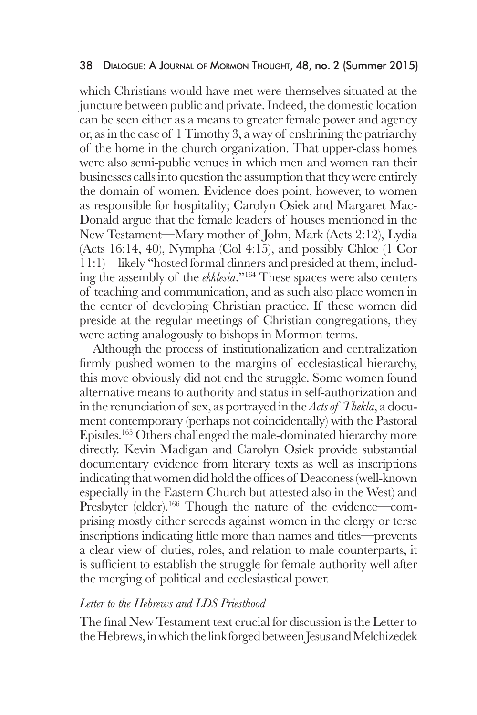which Christians would have met were themselves situated at the juncture between public and private. Indeed, the domestic location can be seen either as a means to greater female power and agency or, as in the case of 1 Timothy 3, a way of enshrining the patriarchy of the home in the church organization. That upper-class homes were also semi-public venues in which men and women ran their businesses calls into question the assumption that they were entirely the domain of women. Evidence does point, however, to women as responsible for hospitality; Carolyn Osiek and Margaret Mac-Donald argue that the female leaders of houses mentioned in the New Testament—Mary mother of John, Mark (Acts 2:12), Lydia (Acts 16:14, 40), Nympha (Col 4:15), and possibly Chloe (1 Cor 11:1)—likely "hosted formal dinners and presided at them, including the assembly of the *ekklesia*."164 These spaces were also centers of teaching and communication, and as such also place women in the center of developing Christian practice. If these women did preside at the regular meetings of Christian congregations, they were acting analogously to bishops in Mormon terms.

 Although the process of institutionalization and centralization firmly pushed women to the margins of ecclesiastical hierarchy, this move obviously did not end the struggle. Some women found alternative means to authority and status in self-authorization and in the renunciation of sex, as portrayed in the *Acts of Thekla*, a document contemporary (perhaps not coincidentally) with the Pastoral Epistles.165 Others challenged the male-dominated hierarchy more directly. Kevin Madigan and Carolyn Osiek provide substantial documentary evidence from literary texts as well as inscriptions indicating that women did hold the offices of Deaconess (well-known especially in the Eastern Church but attested also in the West) and Presbyter (elder).<sup>166</sup> Though the nature of the evidence—comprising mostly either screeds against women in the clergy or terse inscriptions indicating little more than names and titles—prevents a clear view of duties, roles, and relation to male counterparts, it is sufficient to establish the struggle for female authority well after the merging of political and ecclesiastical power.

### *Letter to the Hebrews and LDS Priesthood*

The final New Testament text crucial for discussion is the Letter to the Hebrews, in which the link forged between Jesus and Melchizedek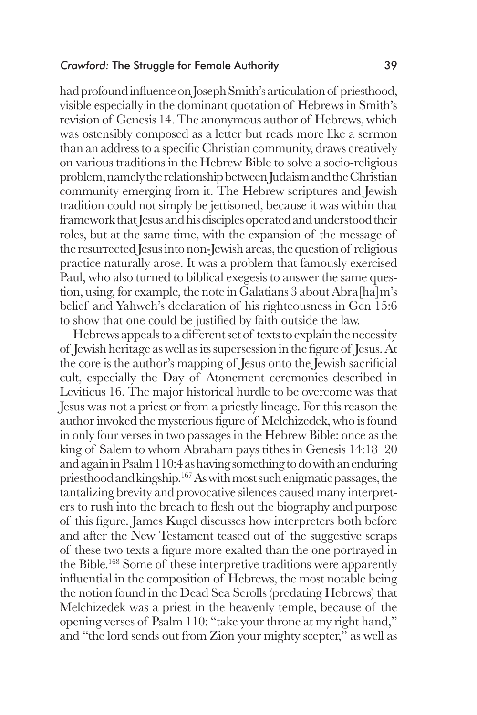had profound influence on Joseph Smith's articulation of priesthood, visible especially in the dominant quotation of Hebrews in Smith's revision of Genesis 14. The anonymous author of Hebrews, which was ostensibly composed as a letter but reads more like a sermon than an address to a specific Christian community, draws creatively on various traditions in the Hebrew Bible to solve a socio-religious problem, namely the relationship between Judaism and the Christian community emerging from it. The Hebrew scriptures and Jewish tradition could not simply be jettisoned, because it was within that framework that Jesus and his disciples operated and understood their roles, but at the same time, with the expansion of the message of the resurrected Jesus into non-Jewish areas, the question of religious practice naturally arose. It was a problem that famously exercised Paul, who also turned to biblical exegesis to answer the same question, using, for example, the note in Galatians 3 about Abra[ha]m's belief and Yahweh's declaration of his righteousness in Gen 15:6 to show that one could be justified by faith outside the law.

 Hebrews appeals to a different set of texts to explain the necessity of Jewish heritage as well as its supersession in the figure of Jesus. At the core is the author's mapping of Jesus onto the Jewish sacrificial cult, especially the Day of Atonement ceremonies described in Leviticus 16. The major historical hurdle to be overcome was that Jesus was not a priest or from a priestly lineage. For this reason the author invoked the mysterious figure of Melchizedek, who is found in only four verses in two passages in the Hebrew Bible: once as the king of Salem to whom Abraham pays tithes in Genesis 14:18–20 and again in Psalm 110:4 as having something to do with an enduring priesthood and kingship.167 As with most such enigmatic passages, the tantalizing brevity and provocative silences caused many interpreters to rush into the breach to flesh out the biography and purpose of this figure. James Kugel discusses how interpreters both before and after the New Testament teased out of the suggestive scraps of these two texts a figure more exalted than the one portrayed in the Bible.168 Some of these interpretive traditions were apparently influential in the composition of Hebrews, the most notable being the notion found in the Dead Sea Scrolls (predating Hebrews) that Melchizedek was a priest in the heavenly temple, because of the opening verses of Psalm 110: "take your throne at my right hand," and "the lord sends out from Zion your mighty scepter," as well as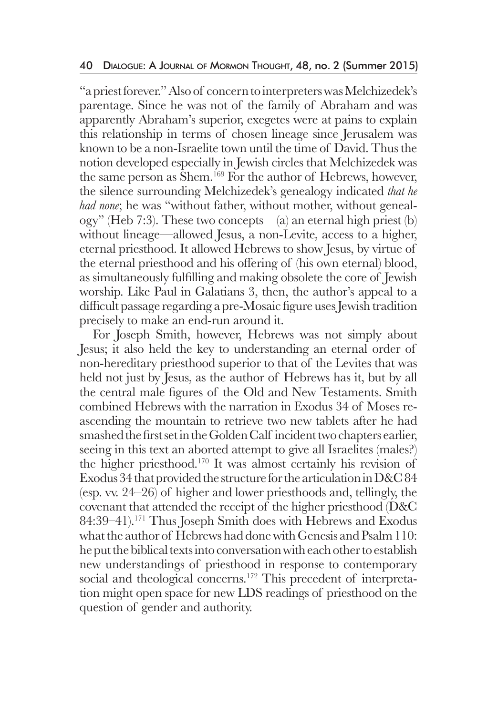"a priest forever." Also of concern to interpreters was Melchizedek's parentage. Since he was not of the family of Abraham and was apparently Abraham's superior, exegetes were at pains to explain this relationship in terms of chosen lineage since Jerusalem was known to be a non-Israelite town until the time of David. Thus the notion developed especially in Jewish circles that Melchizedek was the same person as Shem.<sup>169</sup> For the author of Hebrews, however, the silence surrounding Melchizedek's genealogy indicated *that he had none*; he was "without father, without mother, without genealogy" (Heb 7:3). These two concepts—(a) an eternal high priest (b) without lineage—allowed Jesus, a non-Levite, access to a higher, eternal priesthood. It allowed Hebrews to show Jesus, by virtue of the eternal priesthood and his offering of (his own eternal) blood, as simultaneously fulfilling and making obsolete the core of Jewish worship. Like Paul in Galatians 3, then, the author's appeal to a difficult passage regarding a pre-Mosaic figure uses Jewish tradition precisely to make an end-run around it.

 For Joseph Smith, however, Hebrews was not simply about Jesus; it also held the key to understanding an eternal order of non-hereditary priesthood superior to that of the Levites that was held not just by Jesus, as the author of Hebrews has it, but by all the central male figures of the Old and New Testaments. Smith combined Hebrews with the narration in Exodus 34 of Moses reascending the mountain to retrieve two new tablets after he had smashed the first set in the Golden Calf incident two chapters earlier, seeing in this text an aborted attempt to give all Israelites (males?) the higher priesthood.170 It was almost certainly his revision of Exodus 34 that provided the structure for the articulation in D&C 84 (esp. vv. 24–26) of higher and lower priesthoods and, tellingly, the covenant that attended the receipt of the higher priesthood (D&C 84:39–41).<sup>171</sup> Thus Joseph Smith does with Hebrews and Exodus what the author of Hebrews had done with Genesis and Psalm 110: he put the biblical texts into conversation with each other to establish new understandings of priesthood in response to contemporary social and theological concerns.<sup>172</sup> This precedent of interpretation might open space for new LDS readings of priesthood on the question of gender and authority.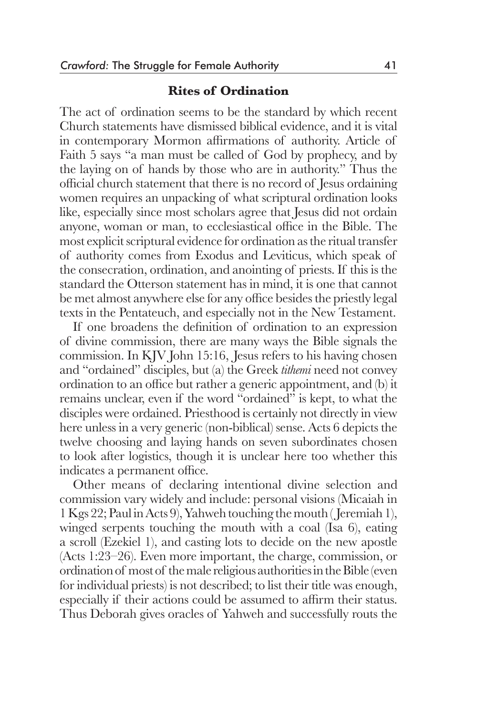#### **Rites of Ordination**

The act of ordination seems to be the standard by which recent Church statements have dismissed biblical evidence, and it is vital in contemporary Mormon affirmations of authority. Article of Faith 5 says "a man must be called of God by prophecy, and by the laying on of hands by those who are in authority." Thus the official church statement that there is no record of Jesus ordaining women requires an unpacking of what scriptural ordination looks like, especially since most scholars agree that Jesus did not ordain anyone, woman or man, to ecclesiastical office in the Bible. The most explicit scriptural evidence for ordination as the ritual transfer of authority comes from Exodus and Leviticus, which speak of the consecration, ordination, and anointing of priests. If this is the standard the Otterson statement has in mind, it is one that cannot be met almost anywhere else for any office besides the priestly legal texts in the Pentateuch, and especially not in the New Testament.

 If one broadens the definition of ordination to an expression of divine commission, there are many ways the Bible signals the commission. In KJV John 15:16, Jesus refers to his having chosen and "ordained" disciples, but (a) the Greek *tithemi* need not convey ordination to an office but rather a generic appointment, and (b) it remains unclear, even if the word "ordained" is kept, to what the disciples were ordained. Priesthood is certainly not directly in view here unless in a very generic (non-biblical) sense. Acts 6 depicts the twelve choosing and laying hands on seven subordinates chosen to look after logistics, though it is unclear here too whether this indicates a permanent office.

 Other means of declaring intentional divine selection and commission vary widely and include: personal visions (Micaiah in 1 Kgs 22; Paul in Acts 9), Yahweh touching the mouth ( Jeremiah 1), winged serpents touching the mouth with a coal (Isa 6), eating a scroll (Ezekiel 1), and casting lots to decide on the new apostle (Acts 1:23–26). Even more important, the charge, commission, or ordination of most of the male religious authorities in the Bible (even for individual priests) is not described; to list their title was enough, especially if their actions could be assumed to affirm their status. Thus Deborah gives oracles of Yahweh and successfully routs the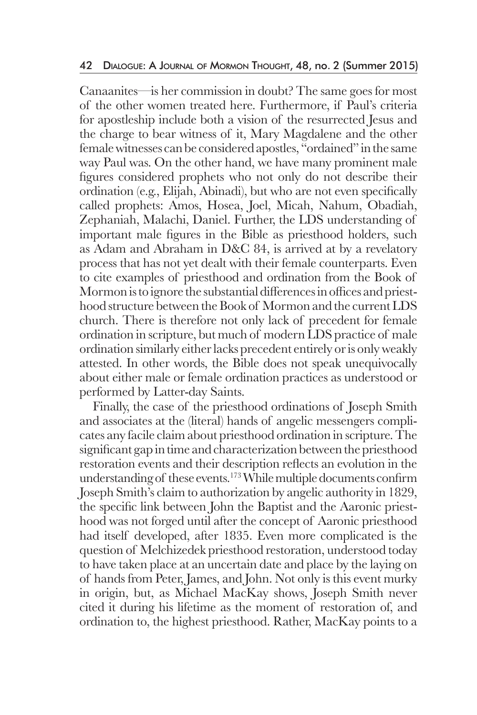Canaanites—is her commission in doubt? The same goes for most of the other women treated here. Furthermore, if Paul's criteria for apostleship include both a vision of the resurrected Jesus and the charge to bear witness of it, Mary Magdalene and the other female witnesses can be considered apostles, "ordained" in the same way Paul was. On the other hand, we have many prominent male figures considered prophets who not only do not describe their ordination (e.g., Elijah, Abinadi), but who are not even specifically called prophets: Amos, Hosea, Joel, Micah, Nahum, Obadiah, Zephaniah, Malachi, Daniel. Further, the LDS understanding of important male figures in the Bible as priesthood holders, such as Adam and Abraham in D&C 84, is arrived at by a revelatory process that has not yet dealt with their female counterparts. Even to cite examples of priesthood and ordination from the Book of Mormon is to ignore the substantial differences in offices and priesthood structure between the Book of Mormon and the current LDS church. There is therefore not only lack of precedent for female ordination in scripture, but much of modern LDS practice of male ordination similarly either lacks precedent entirely or is only weakly attested. In other words, the Bible does not speak unequivocally about either male or female ordination practices as understood or performed by Latter-day Saints.

 Finally, the case of the priesthood ordinations of Joseph Smith and associates at the (literal) hands of angelic messengers complicates any facile claim about priesthood ordination in scripture. The significant gap in time and characterization between the priesthood restoration events and their description reflects an evolution in the understanding of these events.173 While multiple documents confirm Joseph Smith's claim to authorization by angelic authority in 1829, the specific link between John the Baptist and the Aaronic priesthood was not forged until after the concept of Aaronic priesthood had itself developed, after 1835. Even more complicated is the question of Melchizedek priesthood restoration, understood today to have taken place at an uncertain date and place by the laying on of hands from Peter, James, and John. Not only is this event murky in origin, but, as Michael MacKay shows, Joseph Smith never cited it during his lifetime as the moment of restoration of, and ordination to, the highest priesthood. Rather, MacKay points to a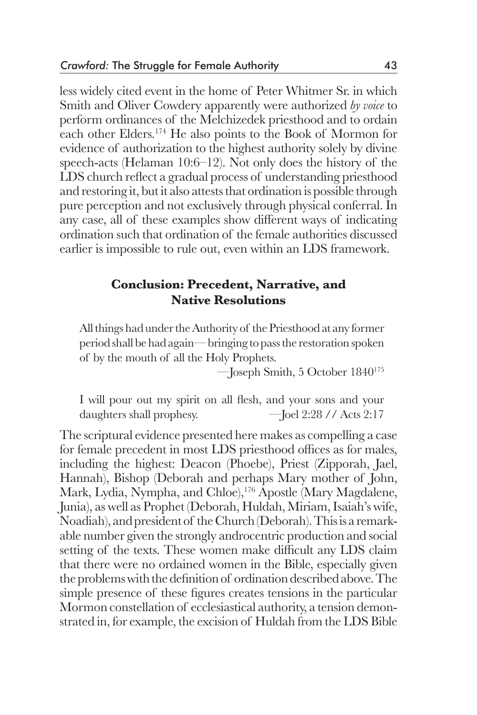less widely cited event in the home of Peter Whitmer Sr. in which Smith and Oliver Cowdery apparently were authorized *by voice* to perform ordinances of the Melchizedek priesthood and to ordain each other Elders.174 He also points to the Book of Mormon for evidence of authorization to the highest authority solely by divine speech-acts (Helaman 10:6–12). Not only does the history of the LDS church reflect a gradual process of understanding priesthood and restoring it, but it also attests that ordination is possible through pure perception and not exclusively through physical conferral. In any case, all of these examples show different ways of indicating ordination such that ordination of the female authorities discussed earlier is impossible to rule out, even within an LDS framework.

## **Conclusion: Precedent, Narrative, and Native Resolutions**

All things had under the Authority of the Priesthood at any former period shall be had again— bringing to pass the restoration spoken of by the mouth of all the Holy Prophets.

—Joseph Smith, 5 October 1840175

I will pour out my spirit on all flesh, and your sons and your daughters shall prophesy.  $-\text{Joel } 2:28 \text{ // } \text{Acts } 2:17$ 

The scriptural evidence presented here makes as compelling a case for female precedent in most LDS priesthood offices as for males, including the highest: Deacon (Phoebe), Priest (Zipporah, Jael, Hannah), Bishop (Deborah and perhaps Mary mother of John, Mark, Lydia, Nympha, and Chloe),<sup>176</sup> Apostle (Mary Magdalene, Junia), as well as Prophet (Deborah, Huldah, Miriam, Isaiah's wife, Noadiah), and president of the Church (Deborah). This is a remarkable number given the strongly androcentric production and social setting of the texts. These women make difficult any LDS claim that there were no ordained women in the Bible, especially given the problems with the definition of ordination described above. The simple presence of these figures creates tensions in the particular Mormon constellation of ecclesiastical authority, a tension demonstrated in, for example, the excision of Huldah from the LDS Bible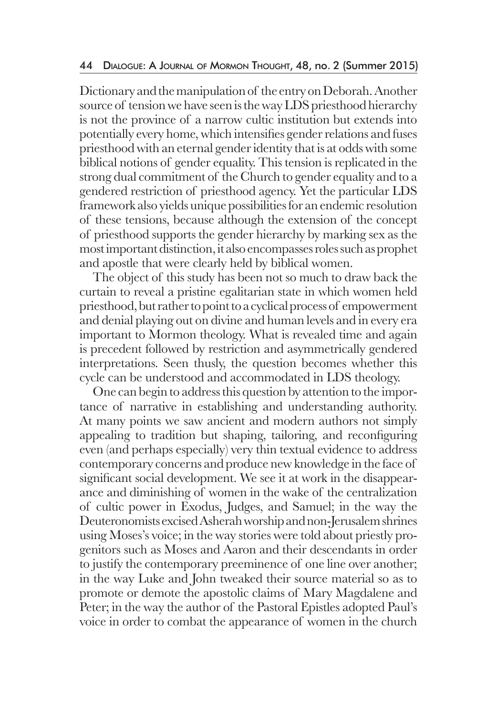Dictionary and the manipulation of the entry on Deborah. Another source of tension we have seen is the way LDS priesthood hierarchy is not the province of a narrow cultic institution but extends into potentially every home, which intensifies gender relations and fuses priesthood with an eternal gender identity that is at odds with some biblical notions of gender equality. This tension is replicated in the strong dual commitment of the Church to gender equality and to a gendered restriction of priesthood agency. Yet the particular LDS framework also yields unique possibilities for an endemic resolution of these tensions, because although the extension of the concept of priesthood supports the gender hierarchy by marking sex as the most important distinction, it also encompasses roles such as prophet and apostle that were clearly held by biblical women.

 The object of this study has been not so much to draw back the curtain to reveal a pristine egalitarian state in which women held priesthood, but rather to point to a cyclical process of empowerment and denial playing out on divine and human levels and in every era important to Mormon theology. What is revealed time and again is precedent followed by restriction and asymmetrically gendered interpretations. Seen thusly, the question becomes whether this cycle can be understood and accommodated in LDS theology.

 One can begin to address this question by attention to the importance of narrative in establishing and understanding authority. At many points we saw ancient and modern authors not simply appealing to tradition but shaping, tailoring, and reconfiguring even (and perhaps especially) very thin textual evidence to address contemporary concerns and produce new knowledge in the face of significant social development. We see it at work in the disappearance and diminishing of women in the wake of the centralization of cultic power in Exodus, Judges, and Samuel; in the way the Deuteronomists excised Asherah worship and non-Jerusalem shrines using Moses's voice; in the way stories were told about priestly progenitors such as Moses and Aaron and their descendants in order to justify the contemporary preeminence of one line over another; in the way Luke and John tweaked their source material so as to promote or demote the apostolic claims of Mary Magdalene and Peter; in the way the author of the Pastoral Epistles adopted Paul's voice in order to combat the appearance of women in the church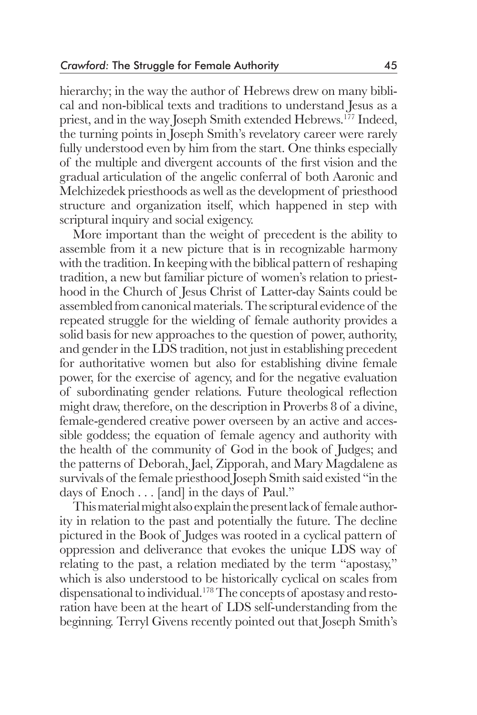hierarchy; in the way the author of Hebrews drew on many biblical and non-biblical texts and traditions to understand Jesus as a priest, and in the way Joseph Smith extended Hebrews.177 Indeed, the turning points in Joseph Smith's revelatory career were rarely fully understood even by him from the start. One thinks especially of the multiple and divergent accounts of the first vision and the gradual articulation of the angelic conferral of both Aaronic and Melchizedek priesthoods as well as the development of priesthood structure and organization itself, which happened in step with scriptural inquiry and social exigency.

 More important than the weight of precedent is the ability to assemble from it a new picture that is in recognizable harmony with the tradition. In keeping with the biblical pattern of reshaping tradition, a new but familiar picture of women's relation to priesthood in the Church of Jesus Christ of Latter-day Saints could be assembled from canonical materials. The scriptural evidence of the repeated struggle for the wielding of female authority provides a solid basis for new approaches to the question of power, authority, and gender in the LDS tradition, not just in establishing precedent for authoritative women but also for establishing divine female power, for the exercise of agency, and for the negative evaluation of subordinating gender relations. Future theological reflection might draw, therefore, on the description in Proverbs 8 of a divine, female-gendered creative power overseen by an active and accessible goddess; the equation of female agency and authority with the health of the community of God in the book of Judges; and the patterns of Deborah, Jael, Zipporah, and Mary Magdalene as survivals of the female priesthood Joseph Smith said existed "in the days of Enoch . . . [and] in the days of Paul."

 This material might also explain the present lack of female authority in relation to the past and potentially the future. The decline pictured in the Book of Judges was rooted in a cyclical pattern of oppression and deliverance that evokes the unique LDS way of relating to the past, a relation mediated by the term "apostasy," which is also understood to be historically cyclical on scales from dispensational to individual.178 The concepts of apostasy and restoration have been at the heart of LDS self-understanding from the beginning. Terryl Givens recently pointed out that Joseph Smith's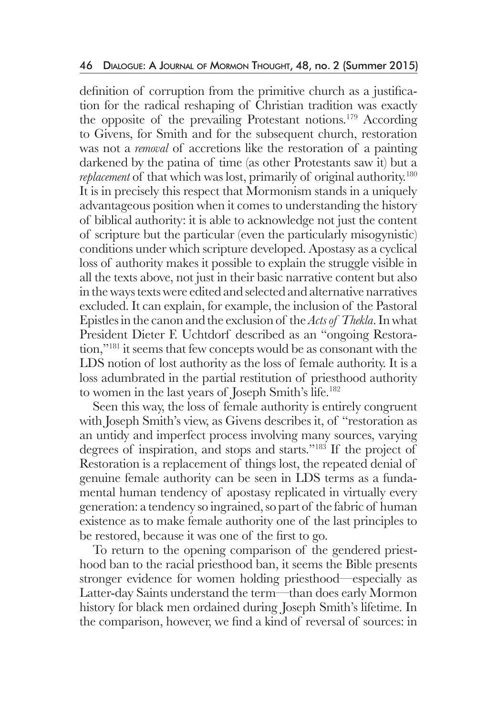definition of corruption from the primitive church as a justification for the radical reshaping of Christian tradition was exactly the opposite of the prevailing Protestant notions.179 According to Givens, for Smith and for the subsequent church, restoration was not a *removal* of accretions like the restoration of a painting darkened by the patina of time (as other Protestants saw it) but a *replacement* of that which was lost, primarily of original authority.<sup>180</sup> It is in precisely this respect that Mormonism stands in a uniquely advantageous position when it comes to understanding the history of biblical authority: it is able to acknowledge not just the content of scripture but the particular (even the particularly misogynistic) conditions under which scripture developed. Apostasy as a cyclical loss of authority makes it possible to explain the struggle visible in all the texts above, not just in their basic narrative content but also in the ways texts were edited and selected and alternative narratives excluded. It can explain, for example, the inclusion of the Pastoral Epistles in the canon and the exclusion of the *Acts of Thekla*. In what President Dieter F. Uchtdorf described as an "ongoing Restoration,"181 it seems that few concepts would be as consonant with the LDS notion of lost authority as the loss of female authority. It is a loss adumbrated in the partial restitution of priesthood authority to women in the last years of Joseph Smith's life.182

 Seen this way, the loss of female authority is entirely congruent with Joseph Smith's view, as Givens describes it, of "restoration as an untidy and imperfect process involving many sources, varying degrees of inspiration, and stops and starts."183 If the project of Restoration is a replacement of things lost, the repeated denial of genuine female authority can be seen in LDS terms as a fundamental human tendency of apostasy replicated in virtually every generation: a tendency so ingrained, so part of the fabric of human existence as to make female authority one of the last principles to be restored, because it was one of the first to go.

 To return to the opening comparison of the gendered priesthood ban to the racial priesthood ban, it seems the Bible presents stronger evidence for women holding priesthood—especially as Latter-day Saints understand the term—than does early Mormon history for black men ordained during Joseph Smith's lifetime. In the comparison, however, we find a kind of reversal of sources: in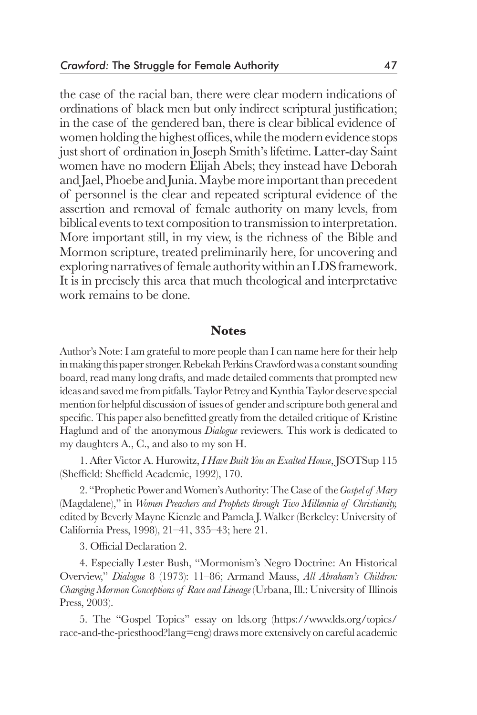the case of the racial ban, there were clear modern indications of ordinations of black men but only indirect scriptural justification; in the case of the gendered ban, there is clear biblical evidence of women holding the highest offices, while the modern evidence stops just short of ordination in Joseph Smith's lifetime. Latter-day Saint women have no modern Elijah Abels; they instead have Deborah and Jael, Phoebe and Junia. Maybe more important than precedent of personnel is the clear and repeated scriptural evidence of the assertion and removal of female authority on many levels, from biblical events to text composition to transmission to interpretation. More important still, in my view, is the richness of the Bible and Mormon scripture, treated preliminarily here, for uncovering and exploring narratives of female authority within an LDS framework. It is in precisely this area that much theological and interpretative work remains to be done.

#### **Notes**

Author's Note: I am grateful to more people than I can name here for their help in making this paper stronger. Rebekah Perkins Crawford was a constant sounding board, read many long drafts, and made detailed comments that prompted new ideas and saved me from pitfalls. Taylor Petrey and Kynthia Taylor deserve special mention for helpful discussion of issues of gender and scripture both general and specific. This paper also benefitted greatly from the detailed critique of Kristine Haglund and of the anonymous *Dialogue* reviewers. This work is dedicated to my daughters A., C., and also to my son H.

1. After Victor A. Hurowitz, *I Have Built You an Exalted House*, JSOTSup 115 (Sheffield: Sheffield Academic, 1992), 170.

2. "Prophetic Power and Women's Authority: The Case of the *Gospel of Mary* (Magdalene)," in *Women Preachers and Prophets through Two Millennia of Christianity,* edited by Beverly Mayne Kienzle and Pamela J. Walker (Berkeley: University of California Press, 1998), 21–41, 335–43; here 21.

3. Official Declaration 2.

4. Especially Lester Bush, "Mormonism's Negro Doctrine: An Historical Overview," *Dialogue* 8 (1973): 11–86; Armand Mauss, *All Abraham's Children: Changing Mormon Conceptions of Race and Lineage* (Urbana, Ill.: University of Illinois Press, 2003).

5. The "Gospel Topics" essay on lds.org (https://www.lds.org/topics/ race-and-the-priesthood?lang=eng) draws more extensively on careful academic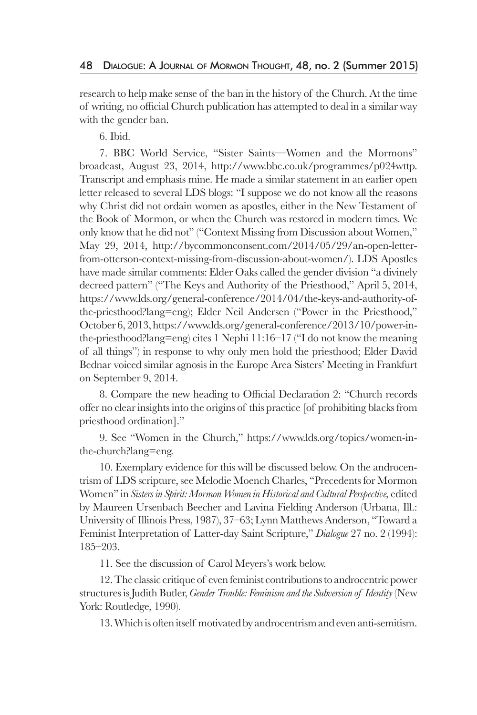research to help make sense of the ban in the history of the Church. At the time of writing, no official Church publication has attempted to deal in a similar way with the gender ban.

6. Ibid.

7. BBC World Service, "Sister Saints—Women and the Mormons" broadcast, August 23, 2014, http://www.bbc.co.uk/programmes/p024wttp. Transcript and emphasis mine. He made a similar statement in an earlier open letter released to several LDS blogs: "I suppose we do not know all the reasons why Christ did not ordain women as apostles, either in the New Testament of the Book of Mormon, or when the Church was restored in modern times. We only know that he did not" ("Context Missing from Discussion about Women," May 29, 2014, http://bycommonconsent.com/2014/05/29/an-open-letterfrom-otterson-context-missing-from-discussion-about-women/). LDS Apostles have made similar comments: Elder Oaks called the gender division "a divinely decreed pattern" ("The Keys and Authority of the Priesthood," April 5, 2014, https://www.lds.org/general-conference/2014/04/the-keys-and-authority-ofthe-priesthood?lang=eng); Elder Neil Andersen ("Power in the Priesthood," October 6, 2013, https://www.lds.org/general-conference/2013/10/power-inthe-priesthood?lang=eng) cites 1 Nephi 11:16–17 ("I do not know the meaning of all things") in response to why only men hold the priesthood; Elder David Bednar voiced similar agnosis in the Europe Area Sisters' Meeting in Frankfurt on September 9, 2014.

8. Compare the new heading to Official Declaration 2: "Church records offer no clear insights into the origins of this practice [of prohibiting blacks from priesthood ordination]."

9. See "Women in the Church," https://www.lds.org/topics/women-inthe-church?lang=eng.

10. Exemplary evidence for this will be discussed below. On the androcentrism of LDS scripture, see Melodie Moench Charles, "Precedents for Mormon Women" in *Sisters in Spirit: Mormon Women in Historical and Cultural Perspective,* edited by Maureen Ursenbach Beecher and Lavina Fielding Anderson (Urbana, Ill.: University of Illinois Press, 1987), 37–63; Lynn Matthews Anderson, "Toward a Feminist Interpretation of Latter-day Saint Scripture," *Dialogue* 27 no. 2 (1994): 185–203.

11. See the discussion of Carol Meyers's work below.

12. The classic critique of even feminist contributions to androcentric power structures is Judith Butler, *Gender Trouble: Feminism and the Subversion of Identity* (New York: Routledge, 1990).

13. Which is often itself motivated by androcentrism and even anti-semitism.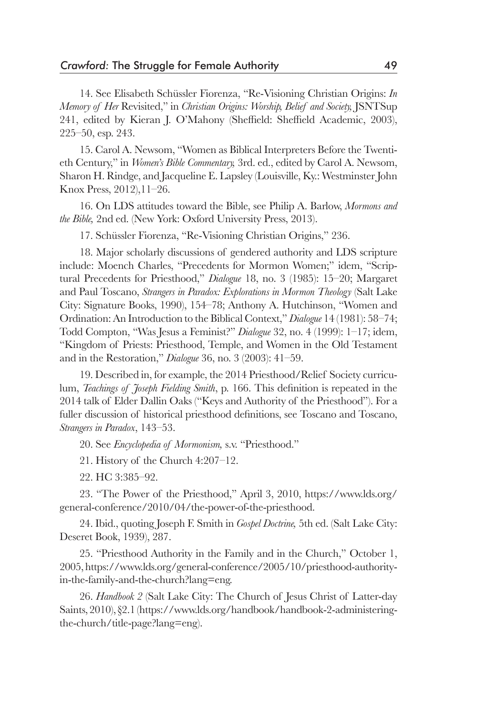14. See Elisabeth Schüssler Fiorenza, "Re-Visioning Christian Origins: *In Memory of Her* Revisited," in *Christian Origins: Worship, Belief and Society,* JSNTSup 241, edited by Kieran J. O'Mahony (Sheffield: Sheffield Academic, 2003), 225–50, esp. 243.

15. Carol A. Newsom, "Women as Biblical Interpreters Before the Twentieth Century," in *Women's Bible Commentary,* 3rd. ed., edited by Carol A. Newsom, Sharon H. Rindge, and Jacqueline E. Lapsley (Louisville, Ky.: Westminster John Knox Press, 2012),11–26.

16. On LDS attitudes toward the Bible, see Philip A. Barlow, *Mormons and the Bible,* 2nd ed. (New York: Oxford University Press, 2013).

17. Schüssler Fiorenza, "Re-Visioning Christian Origins," 236.

18. Major scholarly discussions of gendered authority and LDS scripture include: Moench Charles, "Precedents for Mormon Women;" idem, "Scriptural Precedents for Priesthood," *Dialogue* 18, no. 3 (1985): 15–20; Margaret and Paul Toscano, *Strangers in Paradox: Explorations in Mormon Theology* (Salt Lake City: Signature Books, 1990), 154–78; Anthony A. Hutchinson, "Women and Ordination: An Introduction to the Biblical Context," *Dialogue* 14 (1981): 58–74; Todd Compton, "Was Jesus a Feminist?" *Dialogue* 32, no. 4 (1999): 1–17; idem, "Kingdom of Priests: Priesthood, Temple, and Women in the Old Testament and in the Restoration," *Dialogue* 36, no. 3 (2003): 41–59.

19. Described in, for example, the 2014 Priesthood/Relief Society curriculum, *Teachings of Joseph Fielding Smith*, p. 166. This definition is repeated in the 2014 talk of Elder Dallin Oaks ("Keys and Authority of the Priesthood"). For a fuller discussion of historical priesthood definitions, see Toscano and Toscano, *Strangers in Paradox*, 143–53.

20. See *Encyclopedia of Mormonism,* s.v. "Priesthood."

21. History of the Church 4:207–12.

22. HC 3:385–92.

23. "The Power of the Priesthood," April 3, 2010, https://www.lds.org/ general-conference/2010/04/the-power-of-the-priesthood.

24. Ibid., quoting Joseph F. Smith in *Gospel Doctrine,* 5th ed. (Salt Lake City: Deseret Book, 1939), 287.

25. "Priesthood Authority in the Family and in the Church," October 1, 2005, https://www.lds.org/general-conference/2005/10/priesthood-authorityin-the-family-and-the-church?lang=eng.

26. *Handbook 2* (Salt Lake City: The Church of Jesus Christ of Latter-day Saints, 2010), §2.1 (https://www.lds.org/handbook/handbook-2-administeringthe-church/title-page?lang=eng).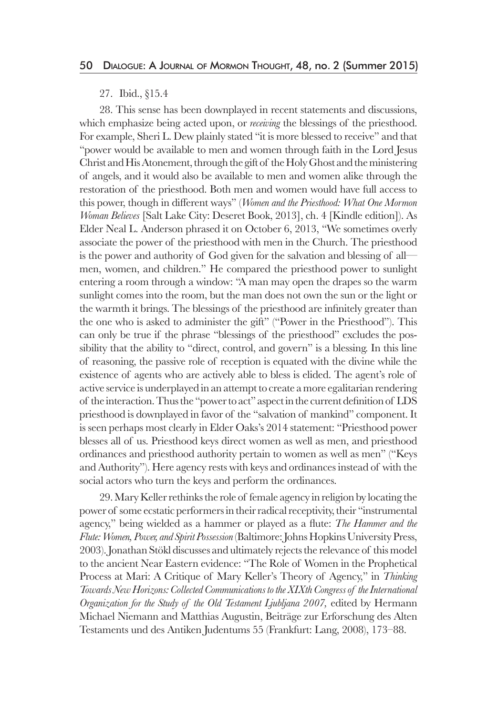#### 27. Ibid., §15.4

28. This sense has been downplayed in recent statements and discussions, which emphasize being acted upon, or *receiving* the blessings of the priesthood. For example, Sheri L. Dew plainly stated "it is more blessed to receive" and that "power would be available to men and women through faith in the Lord Jesus Christ and His Atonement, through the gift of the Holy Ghost and the ministering of angels, and it would also be available to men and women alike through the restoration of the priesthood. Both men and women would have full access to this power, though in different ways" (*Women and the Priesthood: What One Mormon Woman Believes* [Salt Lake City: Deseret Book, 2013], ch. 4 [Kindle edition]). As Elder Neal L. Anderson phrased it on October 6, 2013, "We sometimes overly associate the power of the priesthood with men in the Church. The priesthood is the power and authority of God given for the salvation and blessing of all men, women, and children." He compared the priesthood power to sunlight entering a room through a window: "A man may open the drapes so the warm sunlight comes into the room, but the man does not own the sun or the light or the warmth it brings. The blessings of the priesthood are infinitely greater than the one who is asked to administer the gift" ("Power in the Priesthood"). This can only be true if the phrase "blessings of the priesthood" excludes the possibility that the ability to "direct, control, and govern" is a blessing. In this line of reasoning, the passive role of reception is equated with the divine while the existence of agents who are actively able to bless is elided. The agent's role of active service is underplayed in an attempt to create a more egalitarian rendering of the interaction. Thus the "power to act" aspect in the current definition of LDS priesthood is downplayed in favor of the "salvation of mankind" component. It is seen perhaps most clearly in Elder Oaks's 2014 statement: "Priesthood power blesses all of us. Priesthood keys direct women as well as men, and priesthood ordinances and priesthood authority pertain to women as well as men" ("Keys and Authority"). Here agency rests with keys and ordinances instead of with the social actors who turn the keys and perform the ordinances.

29. Mary Keller rethinks the role of female agency in religion by locating the power of some ecstatic performers in their radical receptivity, their "instrumental agency," being wielded as a hammer or played as a flute: *The Hammer and the Flute: Women, Power, and Spirit Possession* (Baltimore: Johns Hopkins University Press, 2003). Jonathan Stökl discusses and ultimately rejects the relevance of this model to the ancient Near Eastern evidence: "The Role of Women in the Prophetical Process at Mari: A Critique of Mary Keller's Theory of Agency," in *Thinking Towards New Horizons: Collected Communications to the XIXth Congress of the International Organization for the Study of the Old Testament Ljubljana 2007,* edited by Hermann Michael Niemann and Matthias Augustin, Beiträge zur Erforschung des Alten Testaments und des Antiken Judentums 55 (Frankfurt: Lang, 2008), 173–88.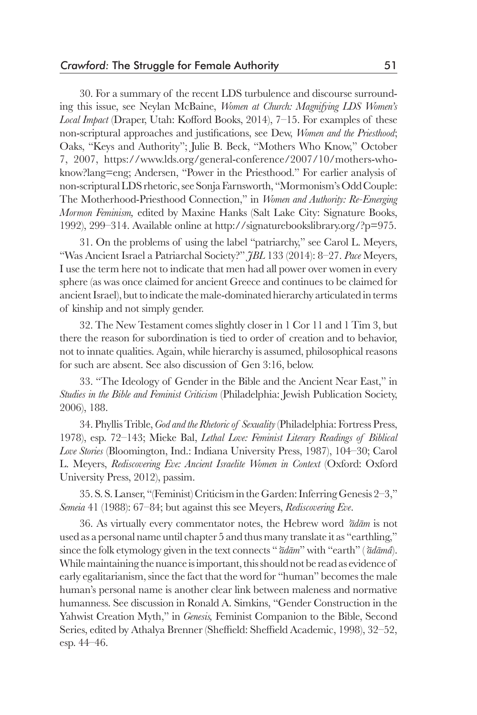30. For a summary of the recent LDS turbulence and discourse surrounding this issue, see Neylan McBaine, *Women at Church: Magnifying LDS Women's Local Impact* (Draper, Utah: Kofford Books, 2014), 7–15. For examples of these non-scriptural approaches and justifications, see Dew, *Women and the Priesthood*; Oaks, "Keys and Authority"; Julie B. Beck, "Mothers Who Know," October 7, 2007, https://www.lds.org/general-conference/2007/10/mothers-whoknow?lang=eng; Andersen, "Power in the Priesthood." For earlier analysis of non-scriptural LDS rhetoric, see Sonja Farnsworth, "Mormonism's Odd Couple: The Motherhood-Priesthood Connection," in *Women and Authority: Re-Emerging Mormon Feminism,* edited by Maxine Hanks (Salt Lake City: Signature Books, 1992), 299–314. Available online at http://signaturebookslibrary.org/?p=975.

31. On the problems of using the label "patriarchy," see Carol L. Meyers, "Was Ancient Israel a Patriarchal Society?" *JBL* 133 (2014): 8–27. *Pace* Meyers, I use the term here not to indicate that men had all power over women in every sphere (as was once claimed for ancient Greece and continues to be claimed for ancient Israel), but to indicate the male-dominated hierarchy articulated in terms of kinship and not simply gender.

32. The New Testament comes slightly closer in 1 Cor 11 and 1 Tim 3, but there the reason for subordination is tied to order of creation and to behavior, not to innate qualities. Again, while hierarchy is assumed, philosophical reasons for such are absent. See also discussion of Gen 3:16, below.

33. "The Ideology of Gender in the Bible and the Ancient Near East," in *Studies in the Bible and Feminist Criticism* (Philadelphia: Jewish Publication Society, 2006), 188.

34. Phyllis Trible, *God and the Rhetoric of Sexuality* (Philadelphia: Fortress Press, 1978), esp. 72–143; Mieke Bal, *Lethal Love: Feminist Literary Readings of Biblical Love Stories* (Bloomington, Ind.: Indiana University Press, 1987), 104–30; Carol L. Meyers, *Rediscovering Eve: Ancient Israelite Women in Context* (Oxford: Oxford University Press, 2012), passim.

35. S. S. Lanser, "(Feminist) Criticism in the Garden: Inferring Genesis 2–3," *Semeia* 41 (1988): 67–84; but against this see Meyers, *Rediscovering Eve*.

36. As virtually every commentator notes, the Hebrew word *ʾādām* is not used as a personal name until chapter 5 and thus many translate it as "earthling," since the folk etymology given in the text connects "*ʾādām*" with "earth" (*ʾādāmâ*). While maintaining the nuance is important, this should not be read as evidence of early egalitarianism, since the fact that the word for "human" becomes the male human's personal name is another clear link between maleness and normative humanness. See discussion in Ronald A. Simkins, "Gender Construction in the Yahwist Creation Myth," in *Genesis,* Feminist Companion to the Bible, Second Series, edited by Athalya Brenner (Sheffield: Sheffield Academic, 1998), 32–52, esp. 44–46.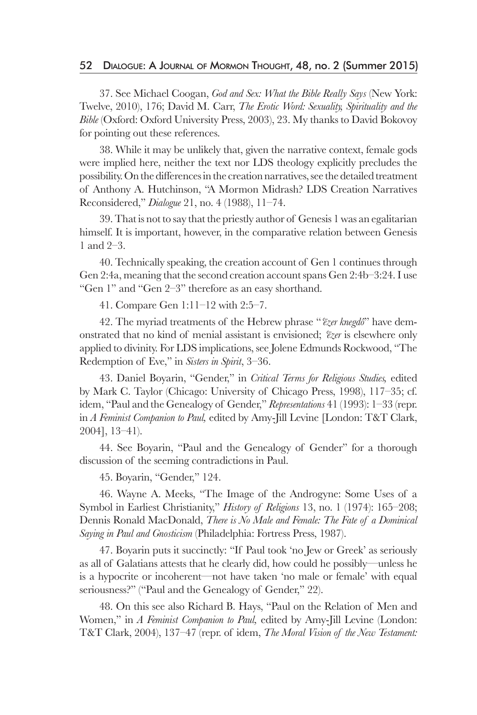#### 52 Dialogue: A Journal of Mormon Thought, 48, no. 2 (Summer 2015)

37. See Michael Coogan, *God and Sex: What the Bible Really Says* (New York: Twelve, 2010), 176; David M. Carr, *The Erotic Word: Sexuality, Spirituality and the Bible* (Oxford: Oxford University Press, 2003), 23. My thanks to David Bokovoy for pointing out these references.

38. While it may be unlikely that, given the narrative context, female gods were implied here, neither the text nor LDS theology explicitly precludes the possibility. On the differences in the creation narratives, see the detailed treatment of Anthony A. Hutchinson, "A Mormon Midrash? LDS Creation Narratives Reconsidered," *Dialogue* 21, no. 4 (1988), 11–74.

39. That is not to say that the priestly author of Genesis 1 was an egalitarian himself. It is important, however, in the comparative relation between Genesis 1 and 2–3.

40. Technically speaking, the creation account of Gen 1 continues through Gen 2:4a, meaning that the second creation account spans Gen 2:4b–3:24. I use "Gen 1" and "Gen 2–3" therefore as an easy shorthand.

41. Compare Gen 1:11–12 with 2:5–7.

42. The myriad treatments of the Hebrew phrase "*ʿēzer knegdô*" have demonstrated that no kind of menial assistant is envisioned; *ʿēzer* is elsewhere only applied to divinity. For LDS implications, see Jolene Edmunds Rockwood, "The Redemption of Eve," in *Sisters in Spirit*, 3–36.

43. Daniel Boyarin, "Gender," in *Critical Terms for Religious Studies,* edited by Mark C. Taylor (Chicago: University of Chicago Press, 1998), 117–35; cf. idem, "Paul and the Genealogy of Gender," *Representations* 41 (1993): 1–33 (repr. in *A Feminist Companion to Paul,* edited by Amy-Jill Levine [London: T&T Clark, 2004], 13–41).

44. See Boyarin, "Paul and the Genealogy of Gender" for a thorough discussion of the seeming contradictions in Paul.

45. Boyarin, "Gender," 124.

46. Wayne A. Meeks, "The Image of the Androgyne: Some Uses of a Symbol in Earliest Christianity," *History of Religions* 13, no. 1 (1974): 165–208; Dennis Ronald MacDonald, *There is No Male and Female: The Fate of a Dominical Saying in Paul and Gnosticism* (Philadelphia: Fortress Press, 1987).

47. Boyarin puts it succinctly: "If Paul took 'no Jew or Greek' as seriously as all of Galatians attests that he clearly did, how could he possibly—unless he is a hypocrite or incoherent—not have taken 'no male or female' with equal seriousness?" ("Paul and the Genealogy of Gender," 22).

48. On this see also Richard B. Hays, "Paul on the Relation of Men and Women," in *A Feminist Companion to Paul,* edited by Amy-Jill Levine (London: T&T Clark, 2004), 137–47 (repr. of idem, *The Moral Vision of the New Testament:*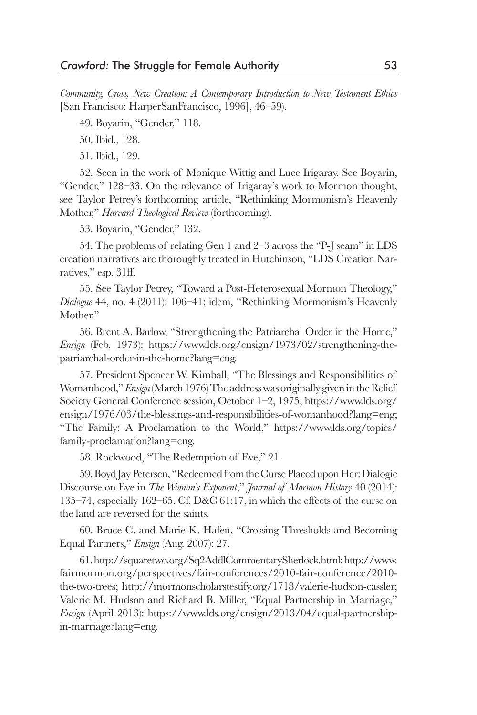*Community, Cross, New Creation: A Contemporary Introduction to New Testament Ethics* [San Francisco: HarperSanFrancisco, 1996], 46–59).

49. Boyarin, "Gender," 118.

50. Ibid., 128.

51. Ibid., 129.

52. Seen in the work of Monique Wittig and Luce Irigaray. See Boyarin, "Gender," 128–33. On the relevance of Irigaray's work to Mormon thought, see Taylor Petrey's forthcoming article, "Rethinking Mormonism's Heavenly Mother," *Harvard Theological Review* (forthcoming).

53. Boyarin, "Gender," 132.

54. The problems of relating Gen 1 and 2–3 across the "P-J seam" in LDS creation narratives are thoroughly treated in Hutchinson, "LDS Creation Narratives," esp. 31ff.

55. See Taylor Petrey, "Toward a Post-Heterosexual Mormon Theology," *Dialogue* 44, no. 4 (2011): 106–41; idem, "Rethinking Mormonism's Heavenly Mother."

56. Brent A. Barlow, "Strengthening the Patriarchal Order in the Home," *Ensign* (Feb. 1973): https://www.lds.org/ensign/1973/02/strengthening-thepatriarchal-order-in-the-home?lang=eng.

57. President Spencer W. Kimball, "The Blessings and Responsibilities of Womanhood," *Ensign* (March 1976) The address was originally given in the Relief Society General Conference session, October 1–2, 1975, https://www.lds.org/ ensign/1976/03/the-blessings-and-responsibilities-of-womanhood?lang=eng; "The Family: A Proclamation to the World," https://www.lds.org/topics/ family-proclamation?lang=eng.

58. Rockwood, "The Redemption of Eve," 21.

59. Boyd Jay Petersen, "Redeemed from the Curse Placed upon Her: Dialogic Discourse on Eve in *The Woman's Exponent*," *Journal of Mormon History* 40 (2014): 135–74, especially 162–65. Cf. D&C 61:17, in which the effects of the curse on the land are reversed for the saints.

60. Bruce C. and Marie K. Hafen, "Crossing Thresholds and Becoming Equal Partners," *Ensign* (Aug. 2007): 27.

61. http://squaretwo.org/Sq2AddlCommentarySherlock.html; http://www. fairmormon.org/perspectives/fair-conferences/2010-fair-conference/2010 the-two-trees; http://mormonscholarstestify.org/1718/valerie-hudson-cassler; Valerie M. Hudson and Richard B. Miller, "Equal Partnership in Marriage," *Ensign* (April 2013): https://www.lds.org/ensign/2013/04/equal-partnershipin-marriage?lang=eng.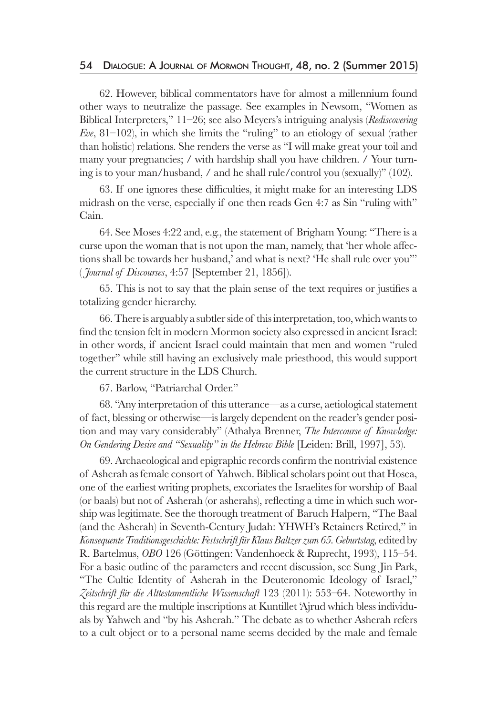62. However, biblical commentators have for almost a millennium found other ways to neutralize the passage. See examples in Newsom, "Women as Biblical Interpreters," 11–26; see also Meyers's intriguing analysis (*Rediscovering Eve*, 81–102), in which she limits the "ruling" to an etiology of sexual (rather than holistic) relations. She renders the verse as "I will make great your toil and many your pregnancies; / with hardship shall you have children. / Your turning is to your man/husband, / and he shall rule/control you (sexually)" (102).

63. If one ignores these difficulties, it might make for an interesting LDS midrash on the verse, especially if one then reads Gen 4:7 as Sin "ruling with" Cain.

64. See Moses 4:22 and, e.g., the statement of Brigham Young: "There is a curse upon the woman that is not upon the man, namely, that 'her whole affections shall be towards her husband,' and what is next? 'He shall rule over you'" ( *Journal of Discourses*, 4:57 [September 21, 1856]).

65. This is not to say that the plain sense of the text requires or justifies a totalizing gender hierarchy.

66. There is arguably a subtler side of this interpretation, too, which wants to find the tension felt in modern Mormon society also expressed in ancient Israel: in other words, if ancient Israel could maintain that men and women "ruled together" while still having an exclusively male priesthood, this would support the current structure in the LDS Church.

67. Barlow, "Patriarchal Order."

68. "Any interpretation of this utterance—as a curse, aetiological statement of fact, blessing or otherwise—is largely dependent on the reader's gender position and may vary considerably" (Athalya Brenner, *The Intercourse of Knowledge: On Gendering Desire and "Sexuality" in the Hebrew Bible* [Leiden: Brill, 1997], 53).

69. Archaeological and epigraphic records confirm the nontrivial existence of Asherah as female consort of Yahweh. Biblical scholars point out that Hosea, one of the earliest writing prophets, excoriates the Israelites for worship of Baal (or baals) but not of Asherah (or asherahs), reflecting a time in which such worship was legitimate. See the thorough treatment of Baruch Halpern, "The Baal (and the Asherah) in Seventh-Century Judah: YHWH's Retainers Retired," in *Konsequente Traditionsgeschichte: Festschrift für Klaus Baltzer zum 65. Geburtstag,* edited by R. Bartelmus, *OBO* 126 (Göttingen: Vandenhoeck & Ruprecht, 1993), 115–54. For a basic outline of the parameters and recent discussion, see Sung Jin Park, "The Cultic Identity of Asherah in the Deuteronomic Ideology of Israel," *Zeitschrift für die Alttestamentliche Wissenschaft* 123 (2011): 553–64. Noteworthy in this regard are the multiple inscriptions at Kuntillet 'Ajrud which bless individuals by Yahweh and "by his Asherah." The debate as to whether Asherah refers to a cult object or to a personal name seems decided by the male and female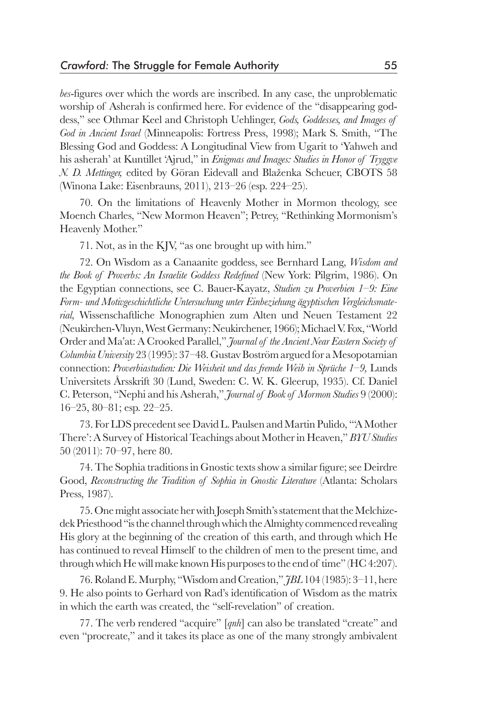*bes*-figures over which the words are inscribed. In any case, the unproblematic worship of Asherah is confirmed here. For evidence of the "disappearing goddess," see Othmar Keel and Christoph Uehlinger, *Gods, Goddesses, and Images of God in Ancient Israel* (Minneapolis: Fortress Press, 1998); Mark S. Smith, "The Blessing God and Goddess: A Longitudinal View from Ugarit to 'Yahweh and his asherah' at Kuntillet 'Ajrud," in *Enigmas and Images: Studies in Honor of Tryggve N. D. Mettinger,* edited by Göran Eidevall and Blaženka Scheuer, CBOTS 58 (Winona Lake: Eisenbrauns, 2011), 213–26 (esp. 224–25).

70. On the limitations of Heavenly Mother in Mormon theology, see Moench Charles, "New Mormon Heaven"; Petrey, "Rethinking Mormonism's Heavenly Mother."

71. Not, as in the KJV, "as one brought up with him."

72. On Wisdom as a Canaanite goddess, see Bernhard Lang, *Wisdom and the Book of Proverbs: An Israelite Goddess Redefined* (New York: Pilgrim, 1986). On the Egyptian connections, see C. Bauer-Kayatz, *Studien zu Proverbien 1–9: Eine Form- und Motivgeschichtliche Untersuchung unter Einbeziehung ägyptischen Vergleichsmaterial,* Wissenschaftliche Monographien zum Alten und Neuen Testament 22 (Neukirchen-Vluyn, West Germany: Neukirchener, 1966); Michael V. Fox, "World Order and Ma'at: A Crooked Parallel," *Journal of the Ancient Near Eastern Society of Columbia University* 23 (1995): 37–48. Gustav Boström argued for a Mesopotamian connection: *Proverbiastudien: Die Weisheit und das fremde Weib in Sprüche 1–9,* Lunds Universitets Årsskrift 30 (Lund, Sweden: C. W. K. Gleerup, 1935). Cf. Daniel C. Peterson, "Nephi and his Asherah," *Journal of Book of Mormon Studies* 9 (2000): 16–25, 80–81; esp. 22–25.

73. For LDS precedent see David L. Paulsen and Martin Pulido, "'A Mother There': A Survey of Historical Teachings about Mother in Heaven," *BYU Studies* 50 (2011): 70–97, here 80.

74. The Sophia traditions in Gnostic texts show a similar figure; see Deirdre Good, *Reconstructing the Tradition of Sophia in Gnostic Literature* (Atlanta: Scholars Press, 1987).

75. One might associate her with Joseph Smith's statement that the Melchizedek Priesthood "is the channel through which the Almighty commenced revealing His glory at the beginning of the creation of this earth, and through which He has continued to reveal Himself to the children of men to the present time, and through which He will make known His purposes to the end of time" (HC 4:207).

76. Roland E. Murphy, "Wisdom and Creation," *JBL* 104 (1985): 3–11, here 9. He also points to Gerhard von Rad's identification of Wisdom as the matrix in which the earth was created, the "self-revelation" of creation.

77. The verb rendered "acquire" [*qnh*] can also be translated "create" and even "procreate," and it takes its place as one of the many strongly ambivalent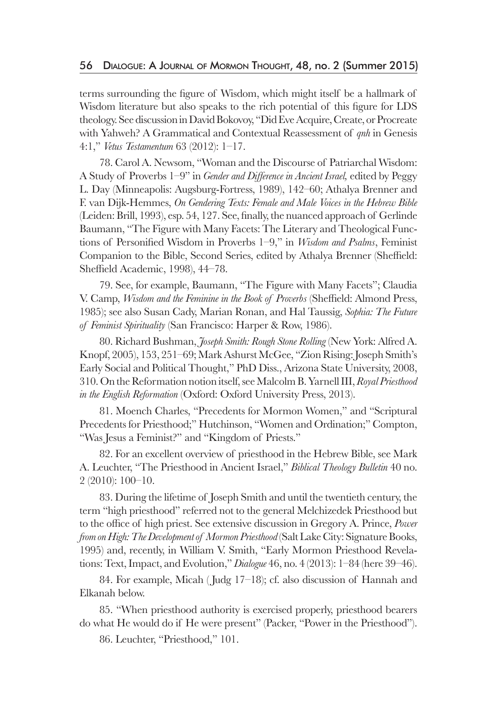terms surrounding the figure of Wisdom, which might itself be a hallmark of Wisdom literature but also speaks to the rich potential of this figure for LDS theology. See discussion in David Bokovoy, "Did Eve Acquire, Create, or Procreate with Yahweh? A Grammatical and Contextual Reassessment of *qnh* in Genesis 4:1," *Vetus Testamentum* 63 (2012): 1–17.

78. Carol A. Newsom, "Woman and the Discourse of Patriarchal Wisdom: A Study of Proverbs 1–9" in *Gender and Difference in Ancient Israel,* edited by Peggy L. Day (Minneapolis: Augsburg-Fortress, 1989), 142–60; Athalya Brenner and F. van Dijk-Hemmes, *On Gendering Texts: Female and Male Voices in the Hebrew Bible* (Leiden: Brill, 1993), esp. 54, 127. See, finally, the nuanced approach of Gerlinde Baumann, "The Figure with Many Facets: The Literary and Theological Functions of Personified Wisdom in Proverbs 1–9," in *Wisdom and Psalms*, Feminist Companion to the Bible, Second Series, edited by Athalya Brenner (Sheffield: Sheffield Academic, 1998), 44–78.

79. See, for example, Baumann, "The Figure with Many Facets"; Claudia V. Camp, *Wisdom and the Feminine in the Book of Proverbs* (Sheffield: Almond Press, 1985); see also Susan Cady, Marian Ronan, and Hal Taussig, *Sophia: The Future of Feminist Spirituality* (San Francisco: Harper & Row, 1986).

80. Richard Bushman, *Joseph Smith: Rough Stone Rolling* (New York: Alfred A. Knopf, 2005), 153, 251–69; Mark Ashurst McGee, "Zion Rising: Joseph Smith's Early Social and Political Thought," PhD Diss., Arizona State University, 2008, 310. On the Reformation notion itself, see Malcolm B. Yarnell III, *Royal Priesthood in the English Reformation* (Oxford: Oxford University Press, 2013).

81. Moench Charles, "Precedents for Mormon Women," and "Scriptural Precedents for Priesthood;" Hutchinson, "Women and Ordination;" Compton, "Was Jesus a Feminist?" and "Kingdom of Priests."

82. For an excellent overview of priesthood in the Hebrew Bible, see Mark A. Leuchter, "The Priesthood in Ancient Israel," *Biblical Theology Bulletin* 40 no. 2 (2010): 100–10.

83. During the lifetime of Joseph Smith and until the twentieth century, the term "high priesthood" referred not to the general Melchizedek Priesthood but to the office of high priest. See extensive discussion in Gregory A. Prince, *Power from on High: The Development of Mormon Priesthood* (Salt Lake City: Signature Books, 1995) and, recently, in William V. Smith, "Early Mormon Priesthood Revelations: Text, Impact, and Evolution," *Dialogue* 46, no. 4 (2013): 1–84 (here 39–46).

84. For example, Micah ( Judg 17–18); cf. also discussion of Hannah and Elkanah below.

85. "When priesthood authority is exercised properly, priesthood bearers do what He would do if He were present" (Packer, "Power in the Priesthood").

86. Leuchter, "Priesthood," 101.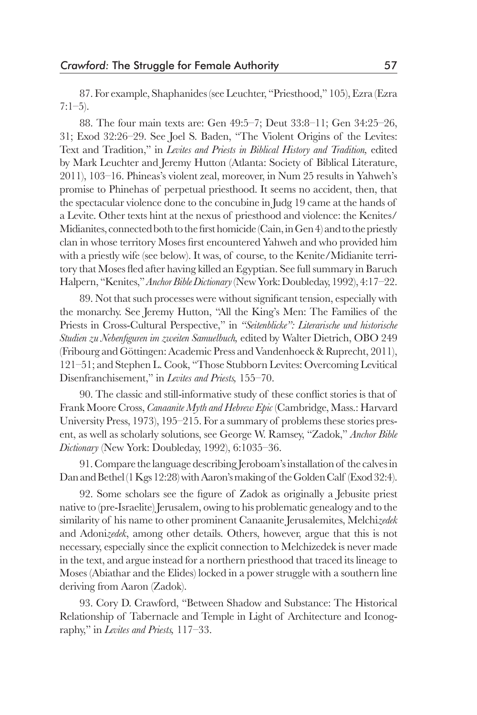87. For example, Shaphanides (see Leuchter, "Priesthood," 105), Ezra (Ezra 7:1–5).

88. The four main texts are: Gen 49:5–7; Deut 33:8–11; Gen 34:25–26, 31; Exod 32:26–29. See Joel S. Baden, "The Violent Origins of the Levites: Text and Tradition," in *Levites and Priests in Biblical History and Tradition,* edited by Mark Leuchter and Jeremy Hutton (Atlanta: Society of Biblical Literature, 2011), 103–16. Phineas's violent zeal, moreover, in Num 25 results in Yahweh's promise to Phinehas of perpetual priesthood. It seems no accident, then, that the spectacular violence done to the concubine in Judg 19 came at the hands of a Levite. Other texts hint at the nexus of priesthood and violence: the Kenites/ Midianites, connected both to the first homicide (Cain, in Gen 4) and to the priestly clan in whose territory Moses first encountered Yahweh and who provided him with a priestly wife (see below). It was, of course, to the Kenite/Midianite territory that Moses fled after having killed an Egyptian. See full summary in Baruch Halpern, "Kenites," *Anchor Bible Dictionary* (New York: Doubleday, 1992), 4:17–22.

89. Not that such processes were without significant tension, especially with the monarchy. See Jeremy Hutton, "All the King's Men: The Families of the Priests in Cross-Cultural Perspective," in *"Seitenblicke": Literarische und historische Studien zu Nebenfiguren im zweiten Samuelbuch,* edited by Walter Dietrich, OBO 249 (Fribourg and Göttingen: Academic Press and Vandenhoeck & Ruprecht, 2011), 121–51; and Stephen L. Cook, "Those Stubborn Levites: Overcoming Levitical Disenfranchisement," in *Levites and Priests,* 155–70.

90. The classic and still-informative study of these conflict stories is that of Frank Moore Cross, *Canaanite Myth and Hebrew Epic* (Cambridge, Mass.: Harvard University Press, 1973), 195–215. For a summary of problems these stories present, as well as scholarly solutions, see George W. Ramsey, "Zadok," *Anchor Bible Dictionary* (New York: Doubleday, 1992), 6:1035–36.

91. Compare the language describing Jeroboam's installation of the calves in Dan and Bethel (1 Kgs 12:28) with Aaron's making of the Golden Calf (Exod 32:4).

92. Some scholars see the figure of Zadok as originally a Jebusite priest native to (pre-Israelite) Jerusalem, owing to his problematic genealogy and to the similarity of his name to other prominent Canaanite Jerusalemites, Melchi*zedek* and Adoni*zedek*, among other details. Others, however, argue that this is not necessary, especially since the explicit connection to Melchizedek is never made in the text, and argue instead for a northern priesthood that traced its lineage to Moses (Abiathar and the Elides) locked in a power struggle with a southern line deriving from Aaron (Zadok).

93. Cory D. Crawford, "Between Shadow and Substance: The Historical Relationship of Tabernacle and Temple in Light of Architecture and Iconography," in *Levites and Priests,* 117–33.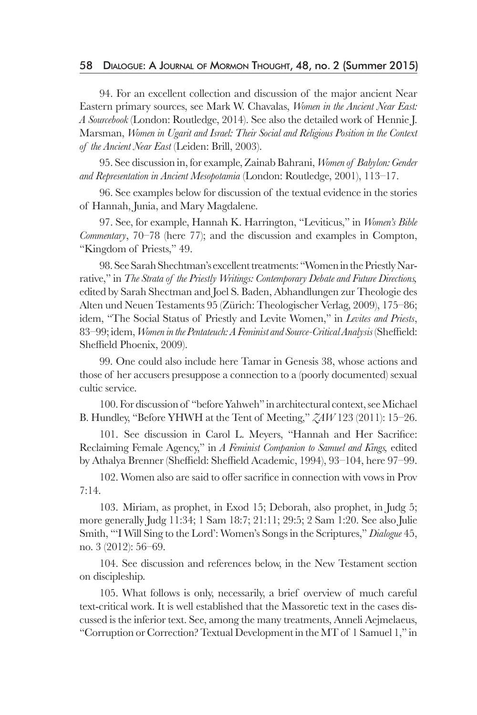#### 58 Dialogue: A Journal of Mormon Thought, 48, no. 2 (Summer 2015)

94. For an excellent collection and discussion of the major ancient Near Eastern primary sources, see Mark W. Chavalas, *Women in the Ancient Near East: A Sourcebook* (London: Routledge, 2014). See also the detailed work of Hennie J. Marsman, *Women in Ugarit and Israel: Their Social and Religious Position in the Context of the Ancient Near East* (Leiden: Brill, 2003).

95. See discussion in, for example, Zainab Bahrani, *Women of Babylon: Gender and Representation in Ancient Mesopotamia* (London: Routledge, 2001), 113–17.

96. See examples below for discussion of the textual evidence in the stories of Hannah, Junia, and Mary Magdalene.

97. See, for example, Hannah K. Harrington, "Leviticus," in *Women's Bible Commentary*, 70–78 (here 77); and the discussion and examples in Compton, "Kingdom of Priests," 49.

98. See Sarah Shechtman's excellent treatments: "Women in the Priestly Narrative," in *The Strata of the Priestly Writings: Contemporary Debate and Future Directions,* edited by Sarah Shectman and Joel S. Baden, Abhandlungen zur Theologie des Alten und Neuen Testaments 95 (Zürich: Theologischer Verlag, 2009), 175–86; idem, "The Social Status of Priestly and Levite Women," in *Levites and Priests*, 83–99; idem, *Women in the Pentateuch: A Feminist and Source-Critical Analysis* (Sheffield: Sheffield Phoenix, 2009).

99. One could also include here Tamar in Genesis 38, whose actions and those of her accusers presuppose a connection to a (poorly documented) sexual cultic service.

100. For discussion of "before Yahweh" in architectural context, see Michael B. Hundley, "Before YHWH at the Tent of Meeting," *ZAW* 123 (2011): 15–26.

101. See discussion in Carol L. Meyers, "Hannah and Her Sacrifice: Reclaiming Female Agency," in *A Feminist Companion to Samuel and Kings,* edited by Athalya Brenner (Sheffield: Sheffield Academic, 1994), 93–104, here 97–99.

102. Women also are said to offer sacrifice in connection with vows in Prov 7:14.

103. Miriam, as prophet, in Exod 15; Deborah, also prophet, in Judg 5; more generally Judg 11:34; 1 Sam 18:7; 21:11; 29:5; 2 Sam 1:20. See also Julie Smith, "'I Will Sing to the Lord': Women's Songs in the Scriptures," *Dialogue* 45, no. 3 (2012): 56–69.

104. See discussion and references below, in the New Testament section on discipleship.

105. What follows is only, necessarily, a brief overview of much careful text-critical work. It is well established that the Massoretic text in the cases discussed is the inferior text. See, among the many treatments, Anneli Aejmelaeus, "Corruption or Correction? Textual Development in the MT of 1 Samuel 1," in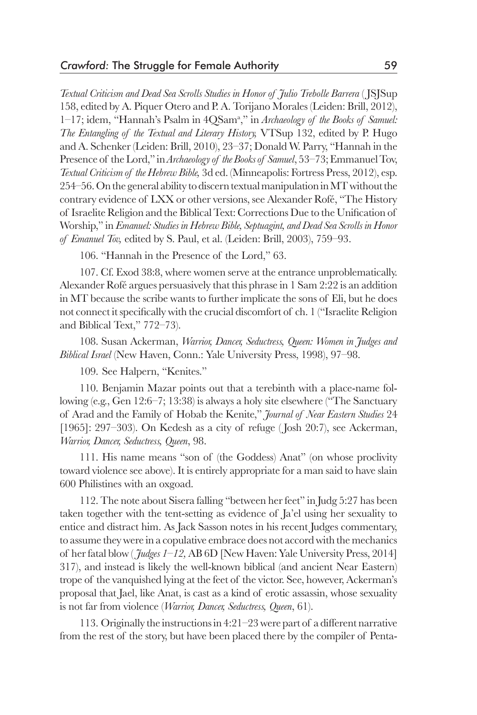*Textual Criticism and Dead Sea Scrolls Studies in Honor of Julio Trebolle Barrera* ( JSJSup 158, edited by A. Piquer Otero and P. A. Torijano Morales (Leiden: Brill, 2012), 1–17; idem, "Hannah's Psalm in 4QSam<sup>a</sup> ," in *Archaeology of the Books of Samuel: The Entangling of the Textual and Literary History,* VTSup 132, edited by P. Hugo and A. Schenker (Leiden: Brill, 2010), 23–37; Donald W. Parry, "Hannah in the Presence of the Lord," in *Archaeology of the Books of Samuel*, 53–73; Emmanuel Tov, *Textual Criticism of the Hebrew Bible,* 3d ed. (Minneapolis: Fortress Press, 2012), esp. 254–56. On the general ability to discern textual manipulation in MT without the contrary evidence of LXX or other versions, see Alexander Rofé, "The History of Israelite Religion and the Biblical Text: Corrections Due to the Unification of Worship," in *Emanuel: Studies in Hebrew Bible, Septuagint, and Dead Sea Scrolls in Honor of Emanuel Tov,* edited by S. Paul, et al. (Leiden: Brill, 2003), 759–93.

106. "Hannah in the Presence of the Lord," 63.

107. Cf. Exod 38:8, where women serve at the entrance unproblematically. Alexander Rofé argues persuasively that this phrase in 1 Sam 2:22 is an addition in MT because the scribe wants to further implicate the sons of Eli, but he does not connect it specifically with the crucial discomfort of ch. 1 ("Israelite Religion and Biblical Text," 772–73).

108. Susan Ackerman, *Warrior, Dancer, Seductress, Queen: Women in Judges and Biblical Israel* (New Haven, Conn.: Yale University Press, 1998), 97–98.

109. See Halpern, "Kenites."

110. Benjamin Mazar points out that a terebinth with a place-name following (e.g., Gen 12:6–7; 13:38) is always a holy site elsewhere ("The Sanctuary of Arad and the Family of Hobab the Kenite," *Journal of Near Eastern Studies* 24 [1965]: 297-303). On Kedesh as a city of refuge (Josh 20:7), see Ackerman, *Warrior, Dancer, Seductress, Queen*, 98.

111. His name means "son of (the Goddess) Anat" (on whose proclivity toward violence see above). It is entirely appropriate for a man said to have slain 600 Philistines with an oxgoad.

112. The note about Sisera falling "between her feet" in Judg 5:27 has been taken together with the tent-setting as evidence of Ja'el using her sexuality to entice and distract him. As Jack Sasson notes in his recent Judges commentary, to assume they were in a copulative embrace does not accord with the mechanics of her fatal blow ( *Judges 1–12,* AB 6D [New Haven: Yale University Press, 2014] 317), and instead is likely the well-known biblical (and ancient Near Eastern) trope of the vanquished lying at the feet of the victor. See, however, Ackerman's proposal that Jael, like Anat, is cast as a kind of erotic assassin, whose sexuality is not far from violence (*Warrior, Dancer, Seductress, Queen*, 61).

113. Originally the instructions in 4:21–23 were part of a different narrative from the rest of the story, but have been placed there by the compiler of Penta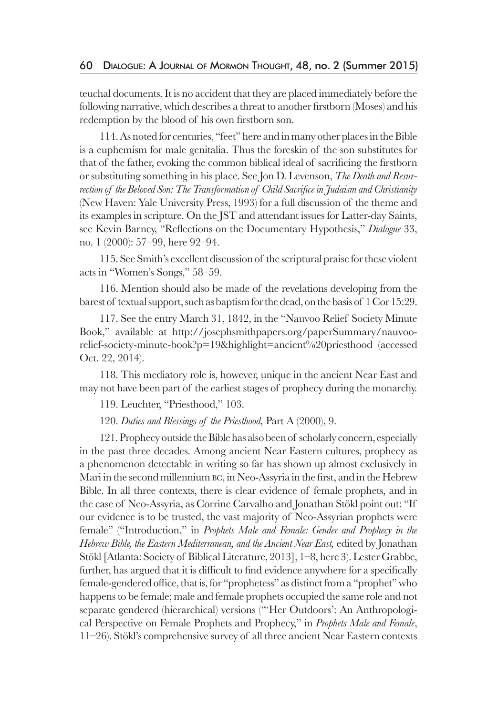teuchal documents. It is no accident that they are placed immediately before the following narrative, which describes a threat to another firstborn (Moses) and his redemption by the blood of his own firstborn son.

114. As noted for centuries, "feet" here and in many other places in the Bible is a euphemism for male genitalia. Thus the foreskin of the son substitutes for that of the father, evoking the common biblical ideal of sacrificing the firstborn or substituting something in his place. See Jon D. Levenson, *The Death and Resurrection of the Beloved Son: The Transformation of Child Sacrifice in Judaism and Christianity* (New Haven: Yale University Press, 1993) for a full discussion of the theme and its examples in scripture. On the JST and attendant issues for Latter-day Saints, see Kevin Barney, "Reflections on the Documentary Hypothesis," *Dialogue* 33, no. 1 (2000): 57–99, here 92–94.

115. See Smith's excellent discussion of the scriptural praise for these violent acts in "Women's Songs," 58–59.

116. Mention should also be made of the revelations developing from the barest of textual support, such as baptism for the dead, on the basis of 1 Cor 15:29.

117. See the entry March 31, 1842, in the "Nauvoo Relief Society Minute Book," available at http://josephsmithpapers.org/paperSummary/nauvoorelief-society-minute-book?p=19&highlight=ancient%20priesthood (accessed Oct. 22, 2014).

118. This mediatory role is, however, unique in the ancient Near East and may not have been part of the earliest stages of prophecy during the monarchy.

119. Leuchter, "Priesthood," 103.

120. *Duties and Blessings of the Priesthood,* Part A (2000), 9.

121. Prophecy outside the Bible has also been of scholarly concern, especially in the past three decades. Among ancient Near Eastern cultures, prophecy as a phenomenon detectable in writing so far has shown up almost exclusively in Mari in the second millennium bc, in Neo-Assyria in the first, and in the Hebrew Bible. In all three contexts, there is clear evidence of female prophets, and in the case of Neo-Assyria, as Corrine Carvalho and Jonathan Stökl point out: "If our evidence is to be trusted, the vast majority of Neo-Assyrian prophets were female" ("Introduction," in *Prophets Male and Female: Gender and Prophecy in the Hebrew Bible, the Eastern Mediterranean, and the Ancient Near East,* edited by Jonathan Stökl [Atlanta: Society of Biblical Literature, 2013], 1–8, here 3). Lester Grabbe, further, has argued that it is difficult to find evidence anywhere for a specifically female-gendered office, that is, for "prophetess" as distinct from a "prophet" who happens to be female; male and female prophets occupied the same role and not separate gendered (hierarchical) versions ("'Her Outdoors': An Anthropological Perspective on Female Prophets and Prophecy," in *Prophets Male and Female*, 11–26). Stökl's comprehensive survey of all three ancient Near Eastern contexts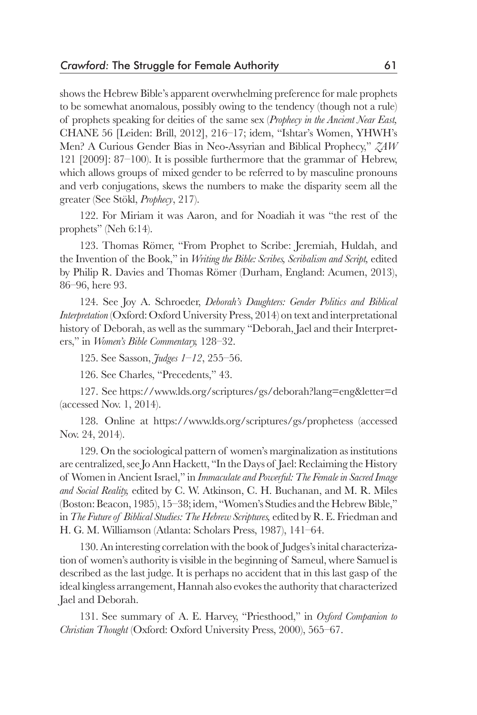shows the Hebrew Bible's apparent overwhelming preference for male prophets to be somewhat anomalous, possibly owing to the tendency (though not a rule) of prophets speaking for deities of the same sex (*Prophecy in the Ancient Near East,* CHANE 56 [Leiden: Brill, 2012], 216–17; idem, "Ishtar's Women, YHWH's Men? A Curious Gender Bias in Neo-Assyrian and Biblical Prophecy," *ZAW* 121 [2009]: 87–100). It is possible furthermore that the grammar of Hebrew, which allows groups of mixed gender to be referred to by masculine pronouns and verb conjugations, skews the numbers to make the disparity seem all the greater (See Stökl, *Prophecy*, 217).

122. For Miriam it was Aaron, and for Noadiah it was "the rest of the prophets" (Neh 6:14).

123. Thomas Römer, "From Prophet to Scribe: Jeremiah, Huldah, and the Invention of the Book," in *Writing the Bible: Scribes, Scribalism and Script,* edited by Philip R. Davies and Thomas Römer (Durham, England: Acumen, 2013), 86–96, here 93.

124. See Joy A. Schroeder, *Deborah's Daughters: Gender Politics and Biblical Interpretation* (Oxford: Oxford University Press, 2014) on text and interpretational history of Deborah, as well as the summary "Deborah, Jael and their Interpreters," in *Women's Bible Commentary,* 128–32.

125. See Sasson, *Judges 1–12*, 255–56.

126. See Charles, "Precedents," 43.

127. See https://www.lds.org/scriptures/gs/deborah?lang=eng&letter=d (accessed Nov. 1, 2014).

128. Online at https://www.lds.org/scriptures/gs/prophetess (accessed Nov. 24, 2014).

129. On the sociological pattern of women's marginalization as institutions are centralized, see Jo Ann Hackett, "In the Days of Jael: Reclaiming the History of Women in Ancient Israel," in *Immaculate and Powerful: The Female in Sacred Image and Social Reality,* edited by C. W. Atkinson, C. H. Buchanan, and M. R. Miles (Boston: Beacon, 1985), 15–38; idem, "Women's Studies and the Hebrew Bible," in *The Future of Biblical Studies: The Hebrew Scriptures,* edited by R. E. Friedman and H. G. M. Williamson (Atlanta: Scholars Press, 1987), 141–64.

130. An interesting correlation with the book of Judges's inital characterization of women's authority is visible in the beginning of Sameul, where Samuel is described as the last judge. It is perhaps no accident that in this last gasp of the ideal kingless arrangement, Hannah also evokes the authority that characterized Jael and Deborah.

131. See summary of A. E. Harvey, "Priesthood," in *Oxford Companion to Christian Thought* (Oxford: Oxford University Press, 2000), 565–67.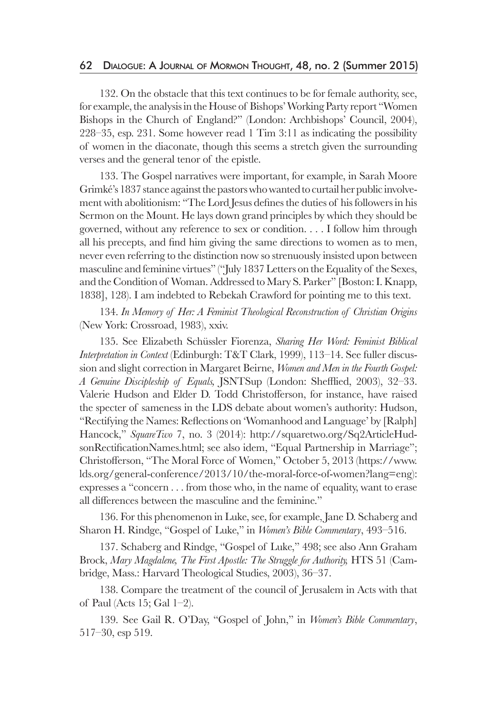132. On the obstacle that this text continues to be for female authority, see, for example, the analysis in the House of Bishops' Working Party report "Women Bishops in the Church of England?" (London: Archbishops' Council, 2004), 228–35, esp. 231. Some however read 1 Tim 3:11 as indicating the possibility of women in the diaconate, though this seems a stretch given the surrounding verses and the general tenor of the epistle.

133. The Gospel narratives were important, for example, in Sarah Moore Grimké's 1837 stance against the pastors who wanted to curtail her public involvement with abolitionism: "The Lord Jesus defines the duties of his followers in his Sermon on the Mount. He lays down grand principles by which they should be governed, without any reference to sex or condition. . . . I follow him through all his precepts, and find him giving the same directions to women as to men, never even referring to the distinction now so strenuously insisted upon between masculine and feminine virtues" ("July 1837 Letters on the Equality of the Sexes, and the Condition of Woman. Addressed to Mary S. Parker" [Boston: I. Knapp, 1838], 128). I am indebted to Rebekah Crawford for pointing me to this text.

134. *In Memory of Her: A Feminist Theological Reconstruction of Christian Origins*  (New York: Crossroad, 1983), xxiv.

135. See Elizabeth Schüssler Fiorenza, *Sharing Her Word: Feminist Biblical Interpretation in Context* (Edinburgh: T&T Clark, 1999), 113–14. See fuller discussion and slight correction in Margaret Beirne, *Women and Men in the Fourth Gospel: A Genuine Discipleship of Equals,* JSNTSup (London: Shefflied, 2003), 32–33. Valerie Hudson and Elder D. Todd Christofferson, for instance, have raised the specter of sameness in the LDS debate about women's authority: Hudson, "Rectifying the Names: Reflections on 'Womanhood and Language' by [Ralph] Hancock," *SquareTwo* 7, no. 3 (2014): http://squaretwo.org/Sq2ArticleHudsonRectificationNames.html; see also idem, "Equal Partnership in Marriage"; Christofferson, "The Moral Force of Women," October 5, 2013 (https://www. lds.org/general-conference/2013/10/the-moral-force-of-women?lang=eng): expresses a "concern . . . from those who, in the name of equality, want to erase all differences between the masculine and the feminine."

136. For this phenomenon in Luke, see, for example, Jane D. Schaberg and Sharon H. Rindge, "Gospel of Luke," in *Women's Bible Commentary*, 493–516.

137. Schaberg and Rindge, "Gospel of Luke," 498; see also Ann Graham Brock, *Mary Magdalene, The First Apostle: The Struggle for Authority,* HTS 51 (Cambridge, Mass.: Harvard Theological Studies, 2003), 36–37.

138. Compare the treatment of the council of Jerusalem in Acts with that of Paul (Acts 15; Gal 1–2).

139. See Gail R. O'Day, "Gospel of John," in *Women's Bible Commentary*, 517–30, esp 519.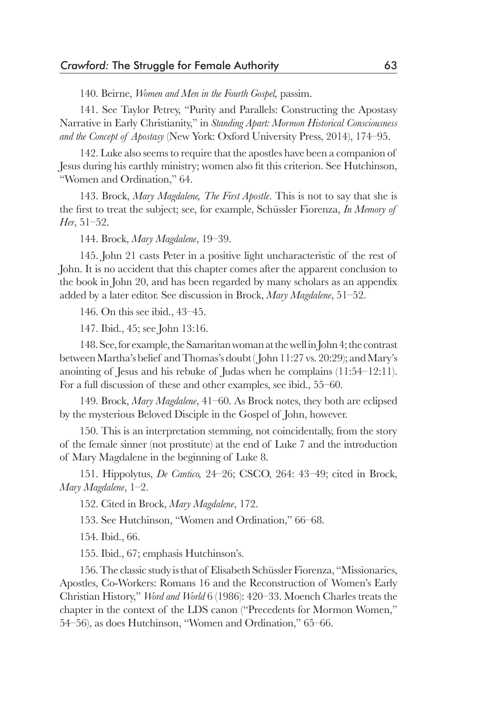140. Beirne, *Women and Men in the Fourth Gospel,* passim.

141. See Taylor Petrey, "Purity and Parallels: Constructing the Apostasy Narrative in Early Christianity," in *Standing Apart: Mormon Historical Consciousness and the Concept of Apostasy* (New York: Oxford University Press, 2014), 174–95.

142. Luke also seems to require that the apostles have been a companion of Jesus during his earthly ministry; women also fit this criterion. See Hutchinson, "Women and Ordination," 64.

143. Brock, *Mary Magdalene, The First Apostle*. This is not to say that she is the first to treat the subject; see, for example, Schüssler Fiorenza, *In Memory of Her*, 51–52.

144. Brock, *Mary Magdalene*, 19–39.

145. John 21 casts Peter in a positive light uncharacteristic of the rest of John. It is no accident that this chapter comes after the apparent conclusion to the book in John 20, and has been regarded by many scholars as an appendix added by a later editor. See discussion in Brock, *Mary Magdalene*, 51–52.

146. On this see ibid., 43–45.

147. Ibid., 45; see John 13:16.

148. See, for example, the Samaritan woman at the well in John 4; the contrast between Martha's belief and Thomas's doubt ( John 11:27 vs. 20:29); and Mary's anointing of Jesus and his rebuke of Judas when he complains (11:54–12:11). For a full discussion of these and other examples, see ibid., 55–60.

149. Brock, *Mary Magdalene*, 41–60. As Brock notes, they both are eclipsed by the mysterious Beloved Disciple in the Gospel of John, however.

150. This is an interpretation stemming, not coincidentally, from the story of the female sinner (not prostitute) at the end of Luke 7 and the introduction of Mary Magdalene in the beginning of Luke 8.

151. Hippolytus, *De Cantico,* 24–26; CSCO, 264: 43–49; cited in Brock, *Mary Magdalene*, 1–2.

152. Cited in Brock, *Mary Magdalene*, 172.

153. See Hutchinson, "Women and Ordination," 66–68.

154. Ibid., 66.

155. Ibid., 67; emphasis Hutchinson's.

156. The classic study is that of Elisabeth Schüssler Fiorenza, "Missionaries, Apostles, Co-Workers: Romans 16 and the Reconstruction of Women's Early Christian History," *Word and World* 6 (1986): 420–33. Moench Charles treats the chapter in the context of the LDS canon ("Precedents for Mormon Women," 54–56), as does Hutchinson, "Women and Ordination," 65–66.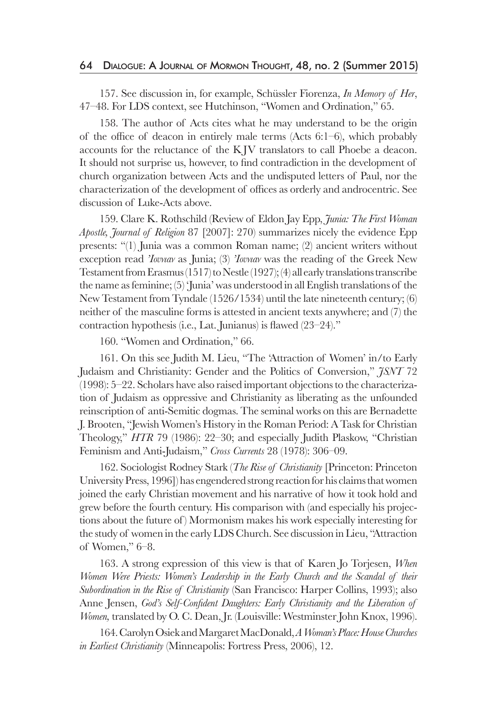157. See discussion in, for example, Schüssler Fiorenza, *In Memory of Her*, 47–48. For LDS context, see Hutchinson, "Women and Ordination," 65.

158. The author of Acts cites what he may understand to be the origin of the office of deacon in entirely male terms (Acts 6:1–6), which probably accounts for the reluctance of the K JV translators to call Phoebe a deacon. It should not surprise us, however, to find contradiction in the development of church organization between Acts and the undisputed letters of Paul, nor the characterization of the development of offices as orderly and androcentric. See discussion of Luke-Acts above.

159. Clare K. Rothschild (Review of Eldon Jay Epp, *Junia: The First Woman Apostle, Journal of Religion* 87 [2007]: 270) summarizes nicely the evidence Epp presents: "(1) Junia was a common Roman name; (2) ancient writers without exception read *'Ioυνιαν* as Junia; (3) *'Ioυνιαν* was the reading of the Greek New Testament from Erasmus (1517) to Nestle (1927); (4) all early translations transcribe the name as feminine; (5) 'Junia' was understood in all English translations of the New Testament from Tyndale (1526/1534) until the late nineteenth century; (6) neither of the masculine forms is attested in ancient texts anywhere; and (7) the contraction hypothesis (i.e., Lat. Junianus) is flawed (23–24)."

160. "Women and Ordination," 66.

161. On this see Judith M. Lieu, "The 'Attraction of Women' in/to Early Judaism and Christianity: Gender and the Politics of Conversion," *JSNT* 72 (1998): 5–22. Scholars have also raised important objections to the characterization of Judaism as oppressive and Christianity as liberating as the unfounded reinscription of anti-Semitic dogmas. The seminal works on this are Bernadette J. Brooten, "Jewish Women's History in the Roman Period: A Task for Christian Theology," *HTR* 79 (1986): 22–30; and especially Judith Plaskow, "Christian Feminism and Anti-Judaism," *Cross Currents* 28 (1978): 306–09.

162. Sociologist Rodney Stark (*The Rise of Christianity* [Princeton: Princeton University Press, 1996]) has engendered strong reaction for his claims that women joined the early Christian movement and his narrative of how it took hold and grew before the fourth century. His comparison with (and especially his projections about the future of ) Mormonism makes his work especially interesting for the study of women in the early LDS Church. See discussion in Lieu, "Attraction of Women," 6–8.

163. A strong expression of this view is that of Karen Jo Torjesen, *When Women Were Priests: Women's Leadership in the Early Church and the Scandal of their Subordination in the Rise of Christianity* (San Francisco: Harper Collins, 1993); also Anne Jensen, *God's Self-Confident Daughters: Early Christianity and the Liberation of Women,* translated by O. C. Dean, Jr. (Louisville: Westminster John Knox, 1996).

164. Carolyn Osiek and Margaret MacDonald, *A Woman's Place: House Churches in Earliest Christianity* (Minneapolis: Fortress Press, 2006), 12.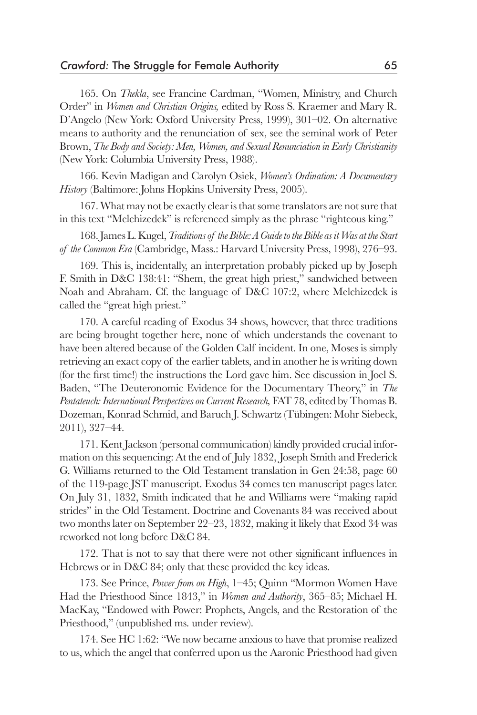165. On *Thekla*, see Francine Cardman, "Women, Ministry, and Church Order" in *Women and Christian Origins,* edited by Ross S. Kraemer and Mary R. D'Angelo (New York: Oxford University Press, 1999), 301–02. On alternative means to authority and the renunciation of sex, see the seminal work of Peter Brown, *The Body and Society: Men, Women, and Sexual Renunciation in Early Christianity* (New York: Columbia University Press, 1988).

166. Kevin Madigan and Carolyn Osiek, *Women's Ordination: A Documentary History* (Baltimore: Johns Hopkins University Press, 2005).

167. What may not be exactly clear is that some translators are not sure that in this text "Melchizedek" is referenced simply as the phrase "righteous king."

168. James L. Kugel, *Traditions of the Bible: A Guide to the Bible as it Was at the Start of the Common Era* (Cambridge, Mass.: Harvard University Press, 1998), 276–93.

169. This is, incidentally, an interpretation probably picked up by Joseph F. Smith in D&C 138:41: "Shem, the great high priest," sandwiched between Noah and Abraham. Cf. the language of D&C 107:2, where Melchizedek is called the "great high priest."

170. A careful reading of Exodus 34 shows, however, that three traditions are being brought together here, none of which understands the covenant to have been altered because of the Golden Calf incident. In one, Moses is simply retrieving an exact copy of the earlier tablets, and in another he is writing down (for the first time!) the instructions the Lord gave him. See discussion in Joel S. Baden, "The Deuteronomic Evidence for the Documentary Theory," in *The Pentateuch: International Perspectives on Current Research,* FAT 78, edited by Thomas B. Dozeman, Konrad Schmid, and Baruch J. Schwartz (Tübingen: Mohr Siebeck, 2011), 327–44.

171. Kent Jackson (personal communication) kindly provided crucial information on this sequencing: At the end of July 1832, Joseph Smith and Frederick G. Williams returned to the Old Testament translation in Gen 24:58, page 60 of the 119-page JST manuscript. Exodus 34 comes ten manuscript pages later. On July 31, 1832, Smith indicated that he and Williams were "making rapid strides" in the Old Testament. Doctrine and Covenants 84 was received about two months later on September 22–23, 1832, making it likely that Exod 34 was reworked not long before D&C 84.

172. That is not to say that there were not other significant influences in Hebrews or in D&C 84; only that these provided the key ideas.

173. See Prince, *Power from on High*, 1–45; Quinn "Mormon Women Have Had the Priesthood Since 1843," in *Women and Authority*, 365–85; Michael H. MacKay, "Endowed with Power: Prophets, Angels, and the Restoration of the Priesthood," (unpublished ms. under review).

174. See HC 1:62: "We now became anxious to have that promise realized to us, which the angel that conferred upon us the Aaronic Priesthood had given